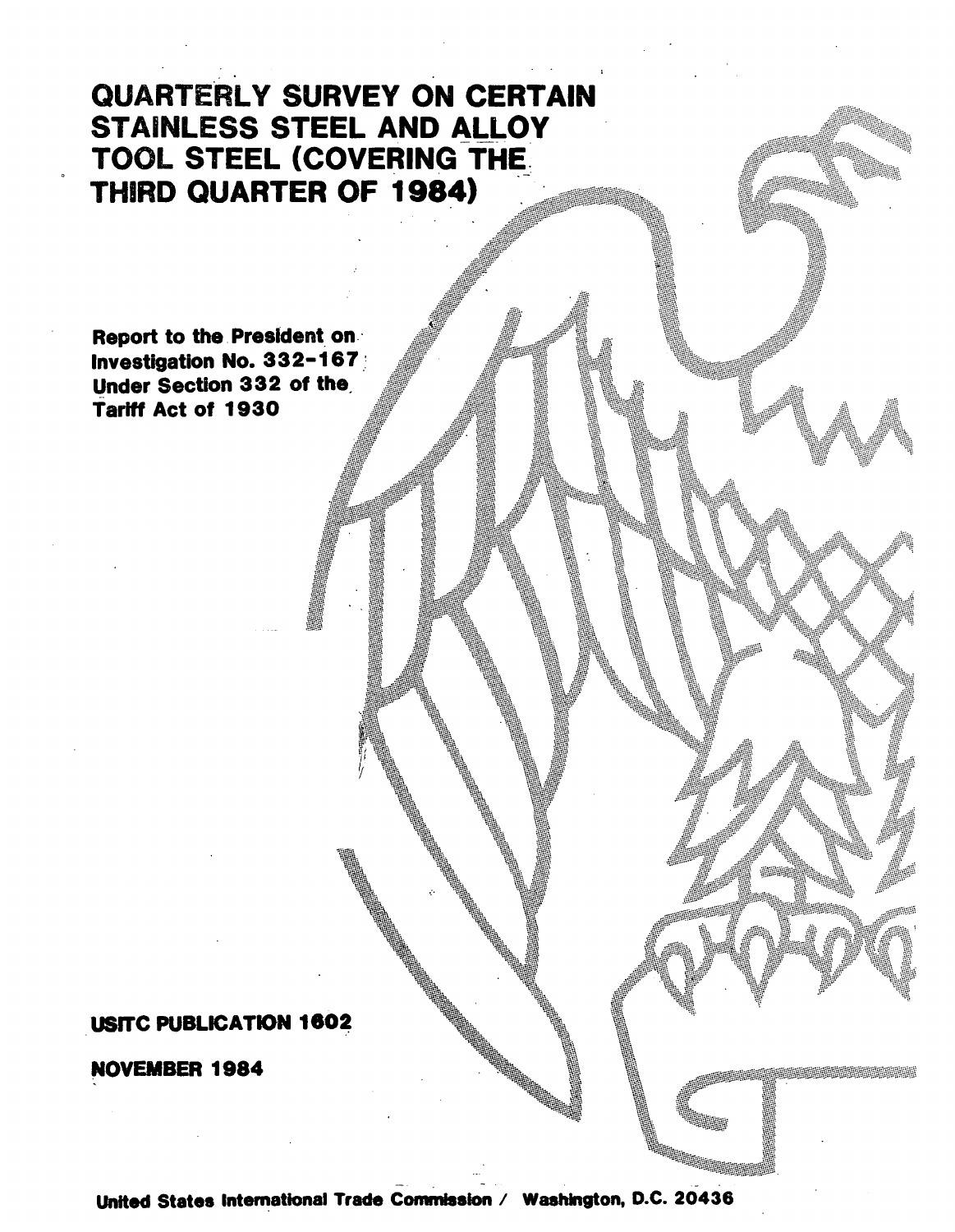# . . . QUARTERLY SURVEY ON CERTAIN STAINLESS STEEL AND ALLOY TOOL STEEL (COVERING THE. THIRD QUARTER OF 1984)

Report to the President on. Investigation No. 332-167 Under Section 332 of the Tariff Act of 1930

## USITC PUBLICATION 1602

NOVEMBER 1984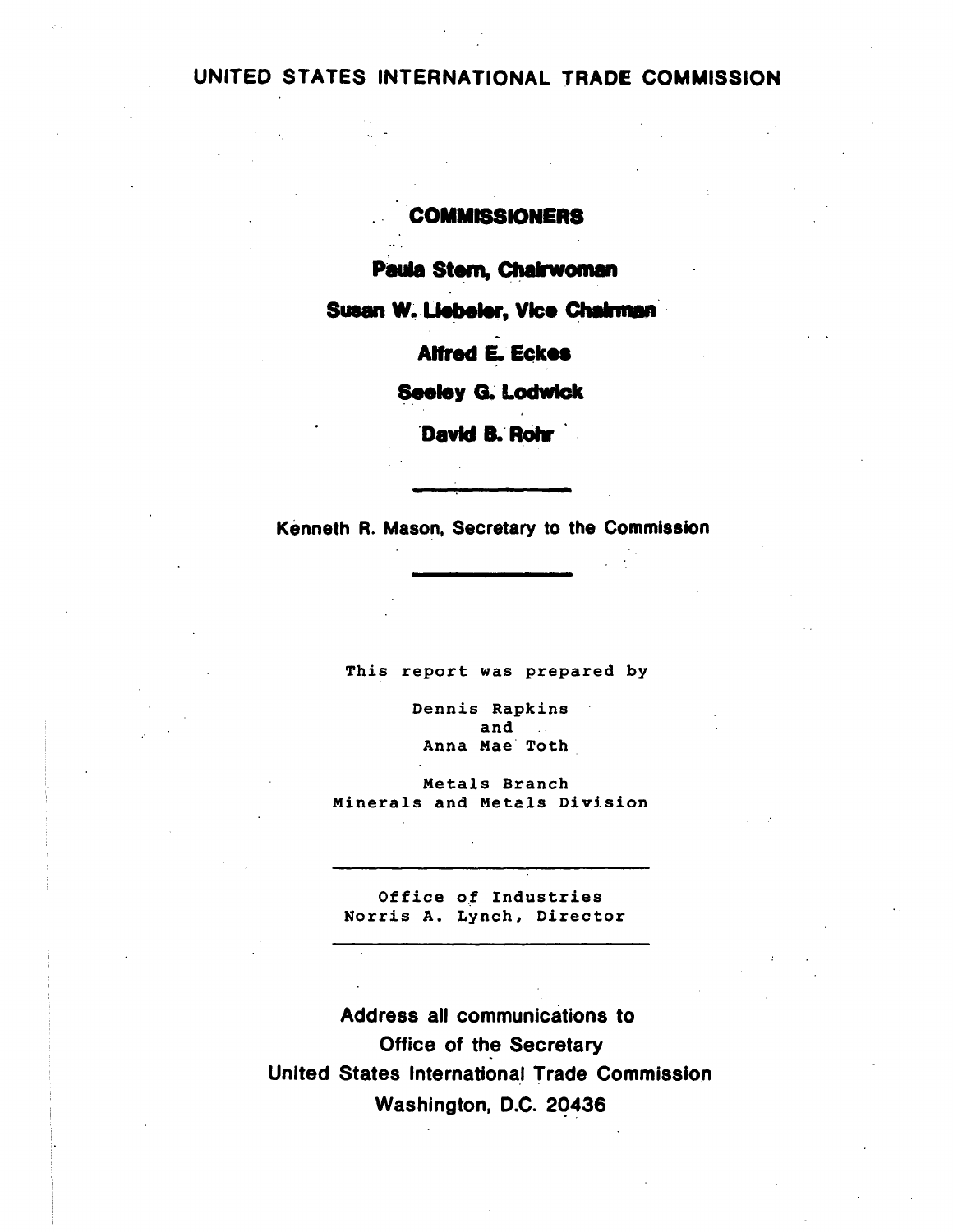## UNITED STATES INTERNATIONAL TRADE COMMISSION

### . COMMISSIONERS

Paula Stern, Chairwoman

Susan W. Liebeler, Vice Chairman

**Alfred E. Eckes** 

Seeley G. Lodwick

David B. Rohr

Kenneth R. Mason, Secretary to the Commission

This report was prepared by

Dennis Rapkins and Anna Mae· Toth

Metals Branch Minerals and Metals Division

Office *o!* Industries Norris A. Lynch, Director

Address all communications to Office of the Secretary United States International Trade Commission Washington, 0.C. 2Q436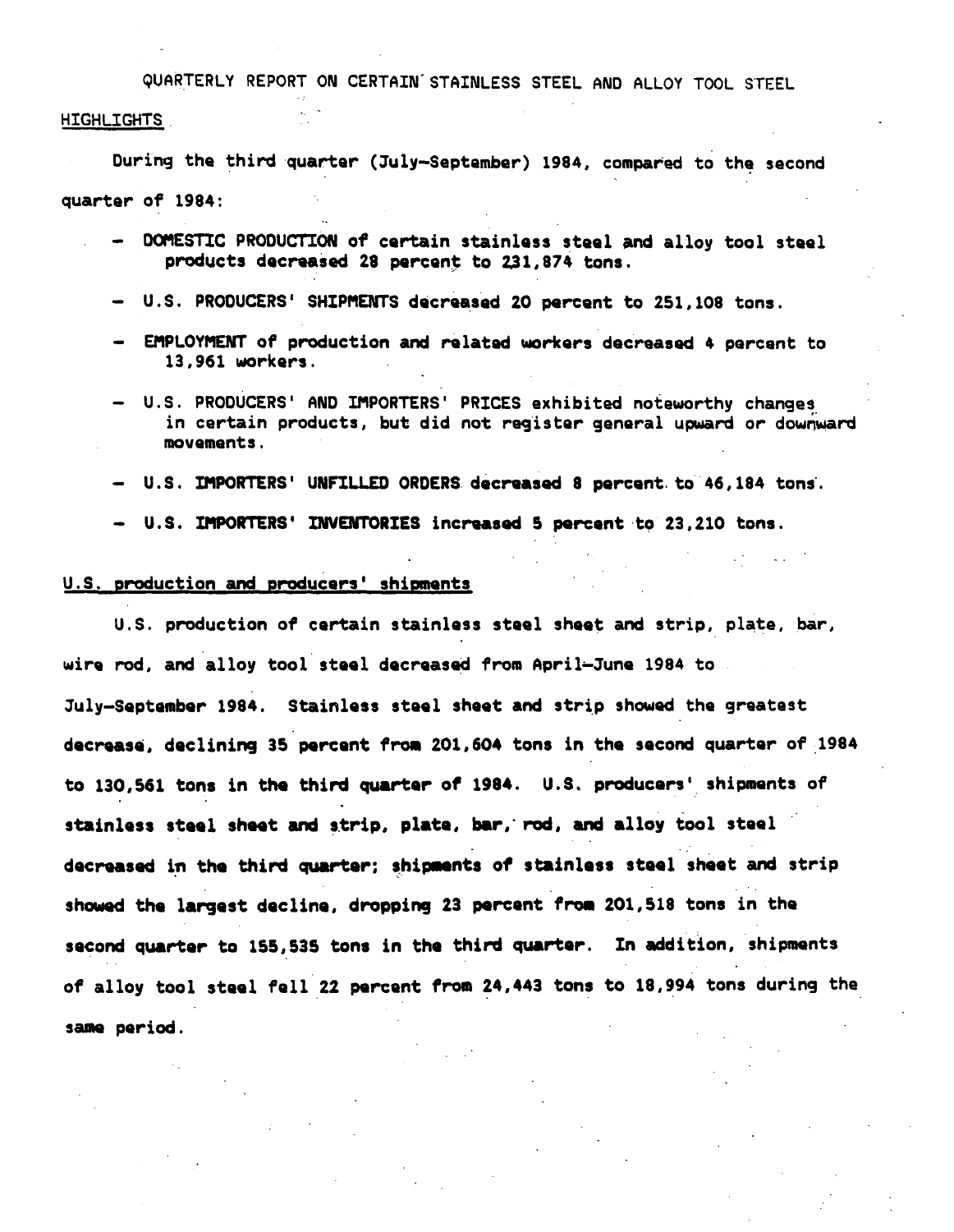QUARTERLY REPORT ON CERTAIN STAINLESS STEEL AND ALLOY TOOL STEEL

#### HIGHLIGHTS \_

During the third quarter (July-September) 1984, compared to the second quarter of 1984:

- DOMESTIC PRODUCTION of certain stainless steel and alloy tool steel products decreased 28 percent to 231,874 tons.
- U.S. PRODUCERS' SHIPMENTS decreased 20 percent to 251, 108 tons.
- EPIPLOYMENT of production and related workers decreased percent to 13, 961 workers.
- U.S. PRODUCERS' AND IMPORTERS' PRICES exhibited noteworthy changes in certain products, but did not register general upward or downward movements.
- U.S. IMPORTERS' UNFILLED ORDERS decreased 8 percent to 46, 184 tons.
- U.S. IMPORTERS' INVENTORIES increased 5 percent to 23,210 tons.

#### U.S. production and producers' shipments

U.S. production of certain stainless steel sheet and strip, plate, bar, wire rod, and alloy tool steal decreased from April-June 1984 to July-September 1984. Stainless steel sheet and strip showed the greatest decrease, declining 35 percent from 201,604 tons in the second quarter of 1984 to 130,561 tons in the third quarter of 1984. U.S. producers' shipments of stainless steel sheet and strip, plate, bar, rod, and alloy tool steel decreased in the third quarter; shipments of stainless steel sheet and strip showed the largest decline, dropping 23 percent from 201,518 tons in the second quartar to 155,535 tons in the third quarter. In addition, shipments of alloy tool steal fall 22 percent from 24,443 tons to 18,994 tons during the same period.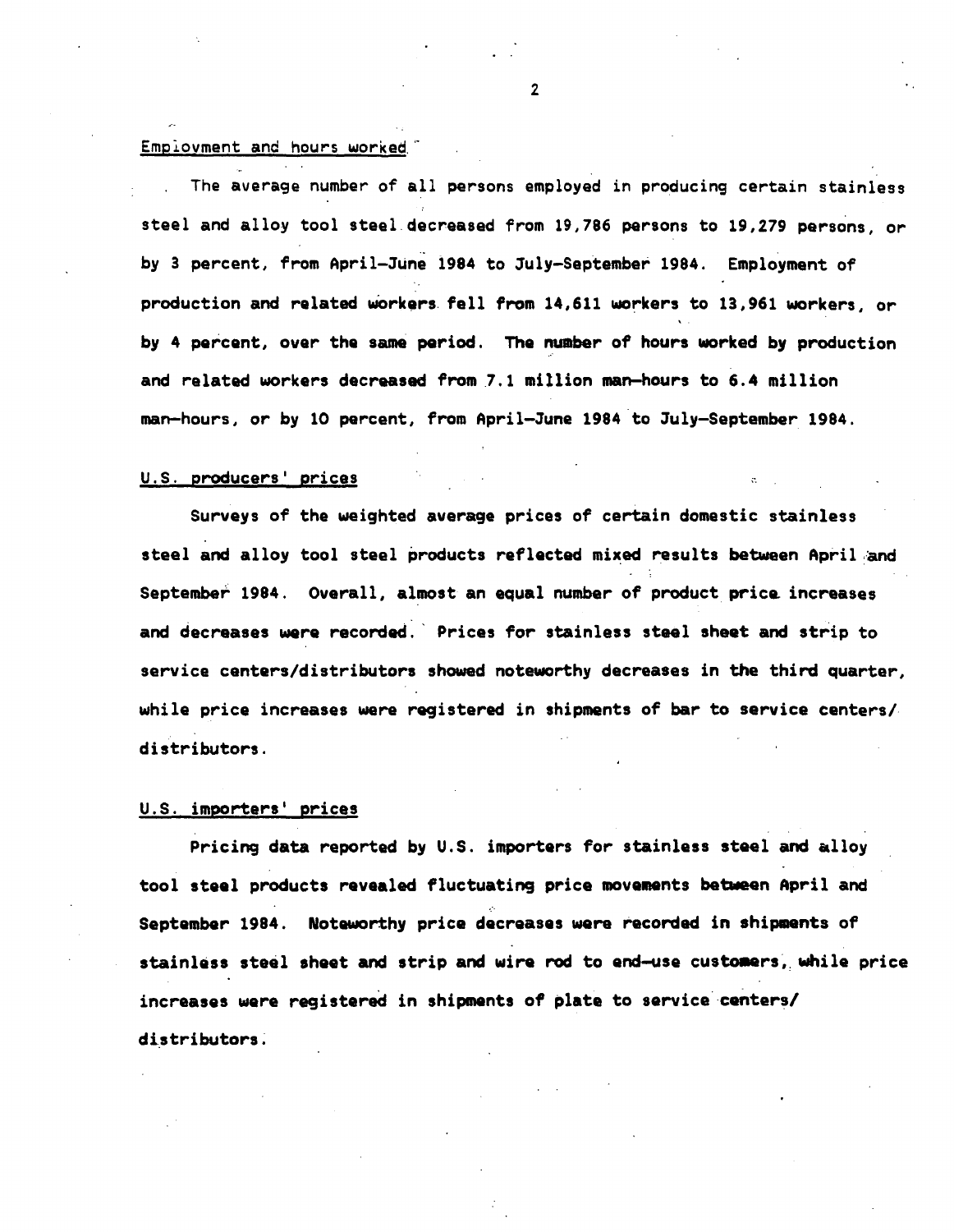#### Empiovment and hours worked~

The average number of all persons employed in producing certain stainless steel and alloy tool steel decreased from 19,786 persons to 19,279 persons, or by 3 percent, from April-June 1984 to July-September 1984. Employment of production and related workers fell from 14,611 workers to 13,961 workers, or by 4 percent, over the same period. The number of hours worked by production and related workers decreased from 7.1 million man-hours to 6.4 million man-hours, or by 10 percent, from April-June 1984 to July-September 1984.

#### U.S. producers' prices

Surveys of the weighted average prices of certain domestic stainless steel and alloy tool steel products reflected mixed results between April and September 1984. Overall, almost an equal number of product price increases and decreases were recorded. Prices for stainless steel sheet and strip to service centers/distributors showed noteworthy decreases in the third quarter, while price increases were registered in shipments of bar to service centers/ distributors.

#### U.S. importers' prices

Pricing data reported by U.S. importers for stainless steel and alloy tool steel products revealed fluctuating price movements between April and September 1984. Noteworthy price decreases ware recorded in shipments of stainless steel sheet and strip and wire rod to end-use customers, while price increases were registered in shipments of plate to service centers/ distributors.

2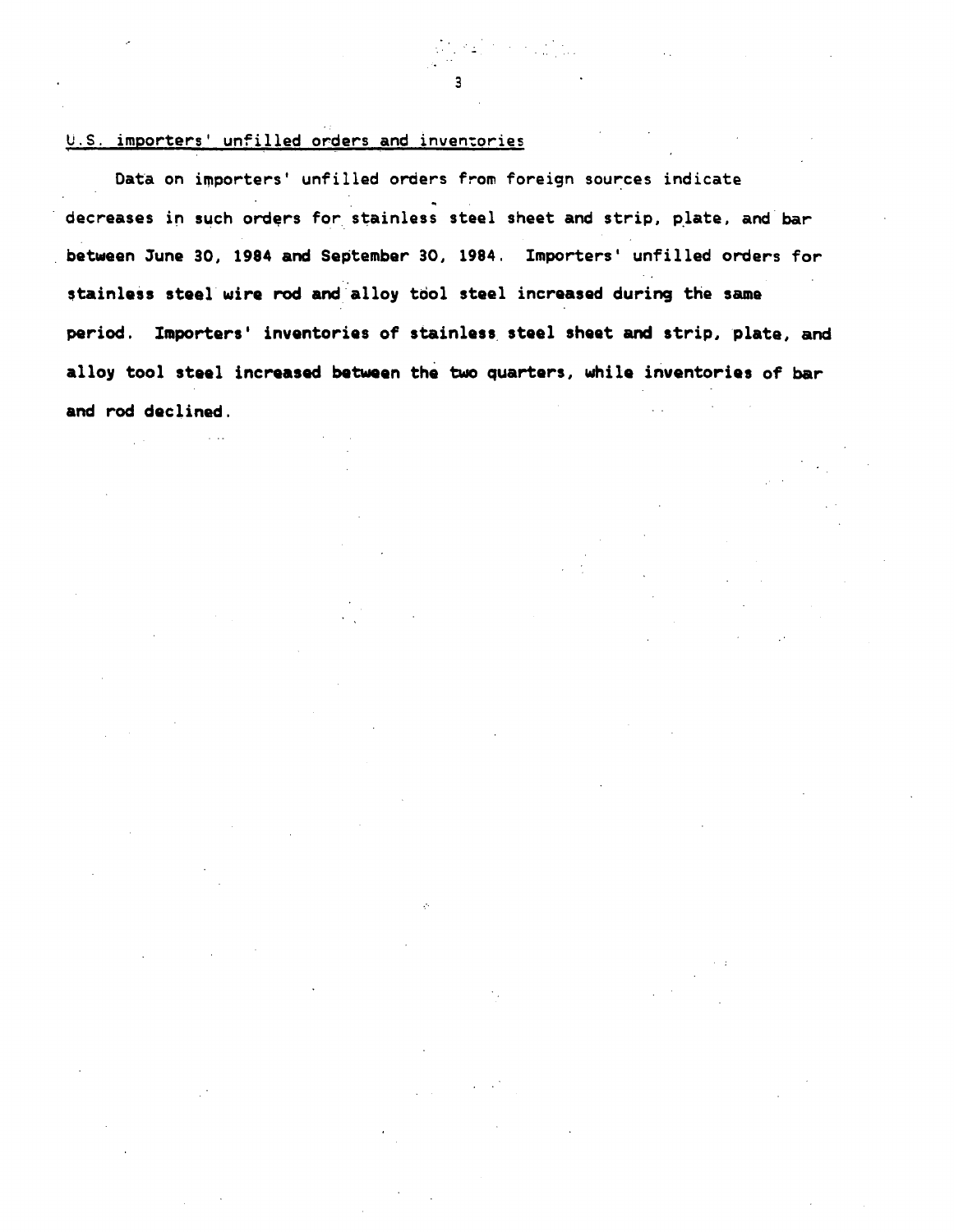#### U.S. importers' unfilled orders and inventories

Data on importers' unfilled orders from foreign sources indicate decreases in such orders for stainless steel sheet and strip, plate, and bar between June 30, 1984 and September 30, 1984. Importers' unfilled orders for stainless steel wire rod and alloy tool steel increased during the same period. Importers' inventories of stainless. steel sheet and strip. plate, and alloy tool steel increased between the two quarters, while inventories of bar and *rod* declined.

 $\frac{3}{2}$  ) and  $\frac{3}{2}$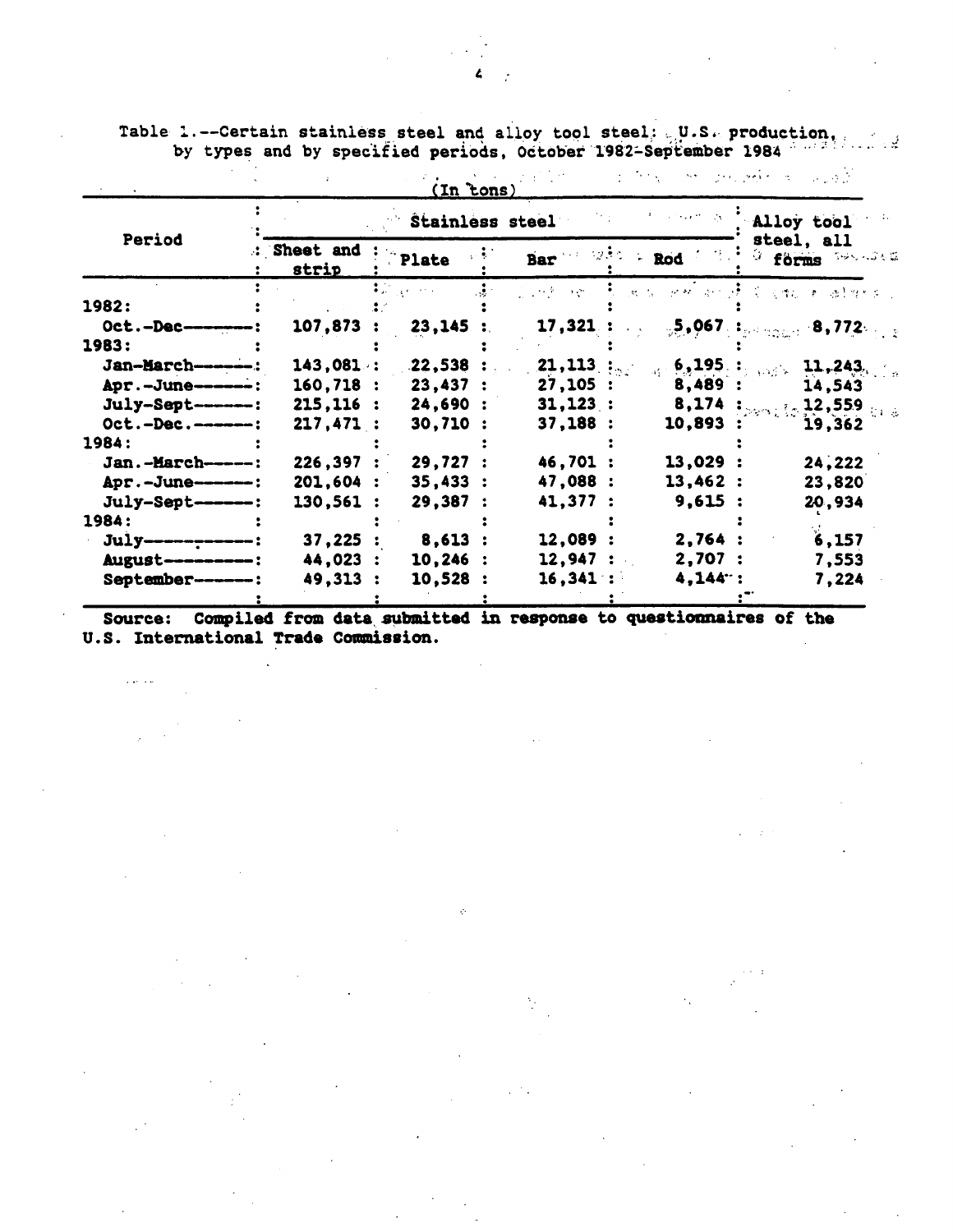Table 1.--Certain stainless steel and alloy tool steel: U.S. production,<br>by types and by specified periods, October 1982-September 1984

 $\sim 10^{-11}$ 

 $\epsilon_{\rm{B}}$ 

|                   |                      | (In tons)                                                                                        | $\label{eq:R1} \mathcal{L}(\mathbf{u}) = \mathcal{L}(\mathbf{u}) = \mathcal{L}(\mathbf{u}) = \mathcal{L}(\mathbf{u}) = \mathcal{L}(\mathbf{u})$ | أوجرين المالعة فموارده العمار والتراوي |                                                                  |  |
|-------------------|----------------------|--------------------------------------------------------------------------------------------------|-------------------------------------------------------------------------------------------------------------------------------------------------|----------------------------------------|------------------------------------------------------------------|--|
|                   |                      | Alloy tool                                                                                       |                                                                                                                                                 |                                        |                                                                  |  |
| Period            | : Sheet and<br>strip | Bar $\mathbb{R}^{3}$ - Rod $\mathbb{R}^{3}$<br>Plate <sup>2</sup>                                |                                                                                                                                                 |                                        | steel, all<br>O forms because                                    |  |
| 1982:             |                      | $\mathbb{E} \mathcal{D}_{\mathcal{A} \mathcal{A}}$ , we have a set<br>$\mathcal{L}(\mathcal{S})$ |                                                                                                                                                 |                                        | ගියාව හොට විශාලන කත් කොටුවී බලවා. මෙයකි අවසා                     |  |
| $Oct.-Dec-----:$  | $107,873$ :          | 23,145:                                                                                          | 17,321:                                                                                                                                         |                                        | $-5,067,1,,8,772$                                                |  |
| 1983:             |                      |                                                                                                  |                                                                                                                                                 |                                        |                                                                  |  |
| Jan-March-------: | 143,081:             | 22,538:                                                                                          | $21,113$ :                                                                                                                                      | 6,195                                  | 11, 243<br>$\mathcal{L}_\mathrm{X} \in \mathcal{L}_\mathrm{X}$ . |  |
| Apr.-June------:  | 160, 718:            | 23,437:                                                                                          | 27,105:                                                                                                                                         | 8,489 :                                | 14,543                                                           |  |
| July-Sept-------  | 215,116:             | 24,690:                                                                                          | 31,123:                                                                                                                                         | 8,174                                  | 7.12,559                                                         |  |
| Oct.-Dec.-------: | 217,471:             | 30,710:                                                                                          | 37,188:                                                                                                                                         | 10,893                                 | 19,362                                                           |  |
| 1984:             |                      |                                                                                                  |                                                                                                                                                 |                                        |                                                                  |  |
| Jan.-March------: | 226, 397:            | 29,727:                                                                                          | 46,701 :                                                                                                                                        | 13,029:                                | 24,222                                                           |  |
| Apr.-June------:  | 201,604              | 35,433:                                                                                          | 47,088 :                                                                                                                                        | 13,462:                                | 23,820                                                           |  |
| July-Sept-------: | 130,561:             | 29,387:                                                                                          | 41,377:                                                                                                                                         | 9,615:                                 | 20,934                                                           |  |
| 1984:             |                      |                                                                                                  |                                                                                                                                                 |                                        |                                                                  |  |
| July------------  | 37,225               | 8,613:                                                                                           | 12,089:                                                                                                                                         | 2,764:                                 | 6,157                                                            |  |
| August----------: | 44,023               | 10,246:                                                                                          | 12,947:                                                                                                                                         | 2,707:                                 | 7,553                                                            |  |
| September-------  | 49,313               | 10,528:                                                                                          | 16,341:                                                                                                                                         | 4,144                                  | 7,224                                                            |  |
|                   |                      |                                                                                                  |                                                                                                                                                 |                                        |                                                                  |  |

Source: Compiled from data submitted in response to questionnaires of the U.S. International Trade Commission.

المتحدث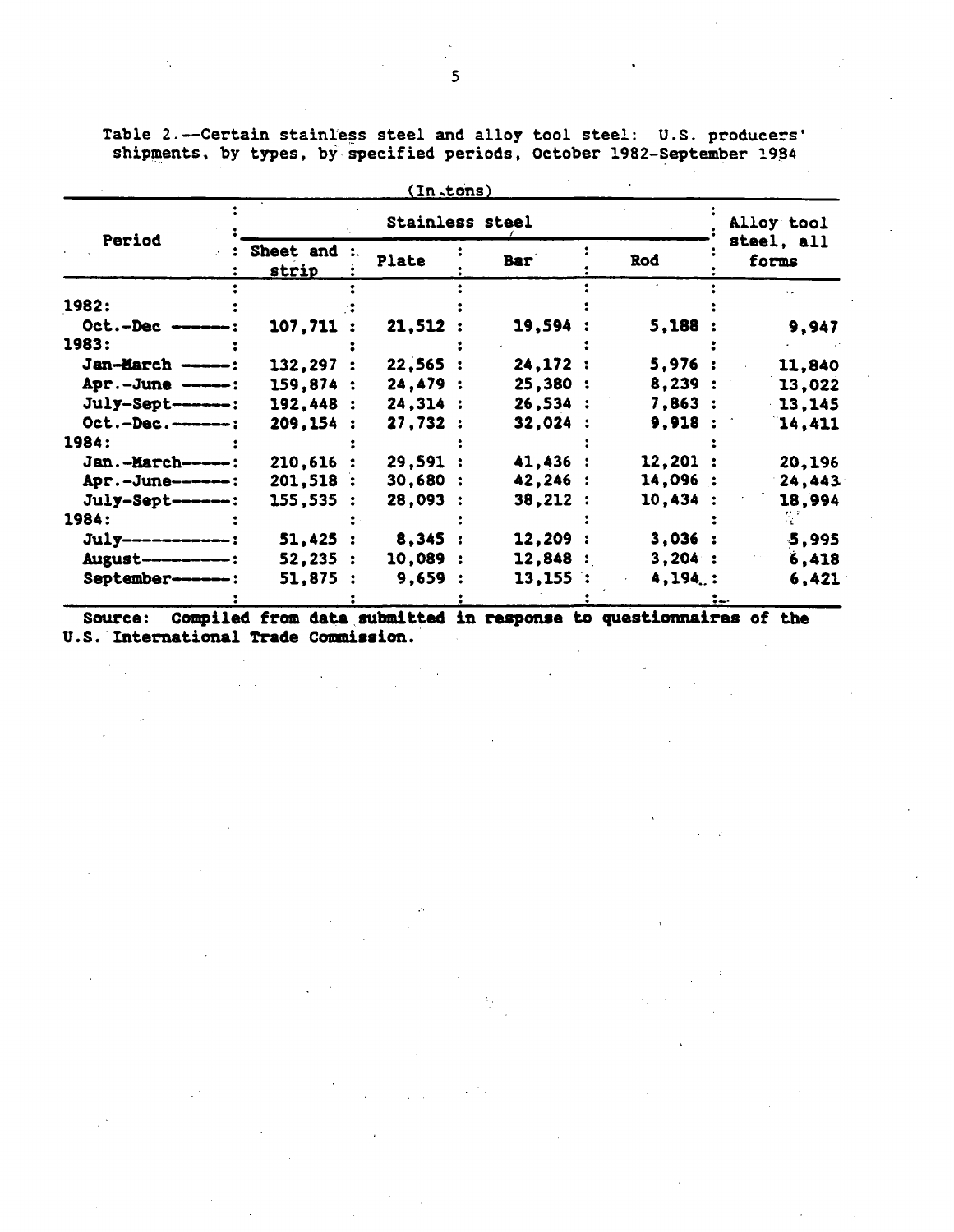|                   |                           | (In <b>tons</b> )<br>Stainless steel |            |            |                          |
|-------------------|---------------------------|--------------------------------------|------------|------------|--------------------------|
| Period            |                           |                                      |            |            | Alloy tool<br>steel, all |
|                   | Sheet and<br><u>strip</u> | Plate                                | <b>Bar</b> | Rod        | forms                    |
|                   |                           |                                      |            |            |                          |
| 1982:             |                           |                                      |            |            |                          |
| $Oct.-Dec$        | 107,711:                  | 21,512:                              | 19,594:    | 5,188:     | 9,947                    |
| 1983:             |                           |                                      |            |            |                          |
| Jan-March ------  | 132, 297:                 | 22,565:                              | 24,172:    | 5,976:     | 11,840                   |
| Apr.-June ------: | 159,874 :                 | 24,479:                              | 25,380:    | 8,239:     | 13,022                   |
| July-Sept-------: | 192,448 :                 | 24,314:                              | 26,534:    | 7,863:     | $-13,145$                |
| Oct.-Dec.-------: | 209.154 :                 | 27,732:                              | 32,024:    | 9,918:     | 14,411                   |
| 1984:             |                           |                                      |            |            |                          |
| Jan.-March------: | 210,616:                  | 29,591:                              | 41,436:    | 12,201:    | 20,196                   |
| Apr.-June------:  | 201,518:                  | 30,680:                              | 42,246:    | 14,096:    | 24,443                   |
| July-Sept-------: | 155,535:                  | 28,093 :                             | 38,212:    | 10,434:    | 18,994                   |
| 1984:             |                           |                                      |            |            |                          |
| July------------: | 51,425:                   | 8,345:                               | 12,209:    | 3,036:     | 5,995                    |
| August----------  | 52,235:                   | 10,089:                              | 12,848:    | 3,204:     | 6,418                    |
| September-------  | 51,875:                   | 9,659:                               | 13, 155:   | $4,194.$ : | 6,421                    |
|                   |                           |                                      |            |            |                          |

Table 2.--Certain stainless steel and alloy tool steel: U.S. producers' shipments, by types, by specified periods, October 1982-September 1984

Source: Compiled from data submitted in response to U.S. International Trade Commission. questionnaires of the

 $\label{eq:2.1} \frac{1}{\sqrt{2}}\int_{0}^{\sqrt{2}}\frac{1}{\sqrt{2}}\left(\frac{1}{\sqrt{2}}\right)^{2}d\mu\,d\mu\,.$ 

 $\mathcal{L}_{\mathcal{A}}$ 

 $\mathcal{L}_{\text{max}}$  , where  $\mathcal{L}_{\text{max}}$ 

5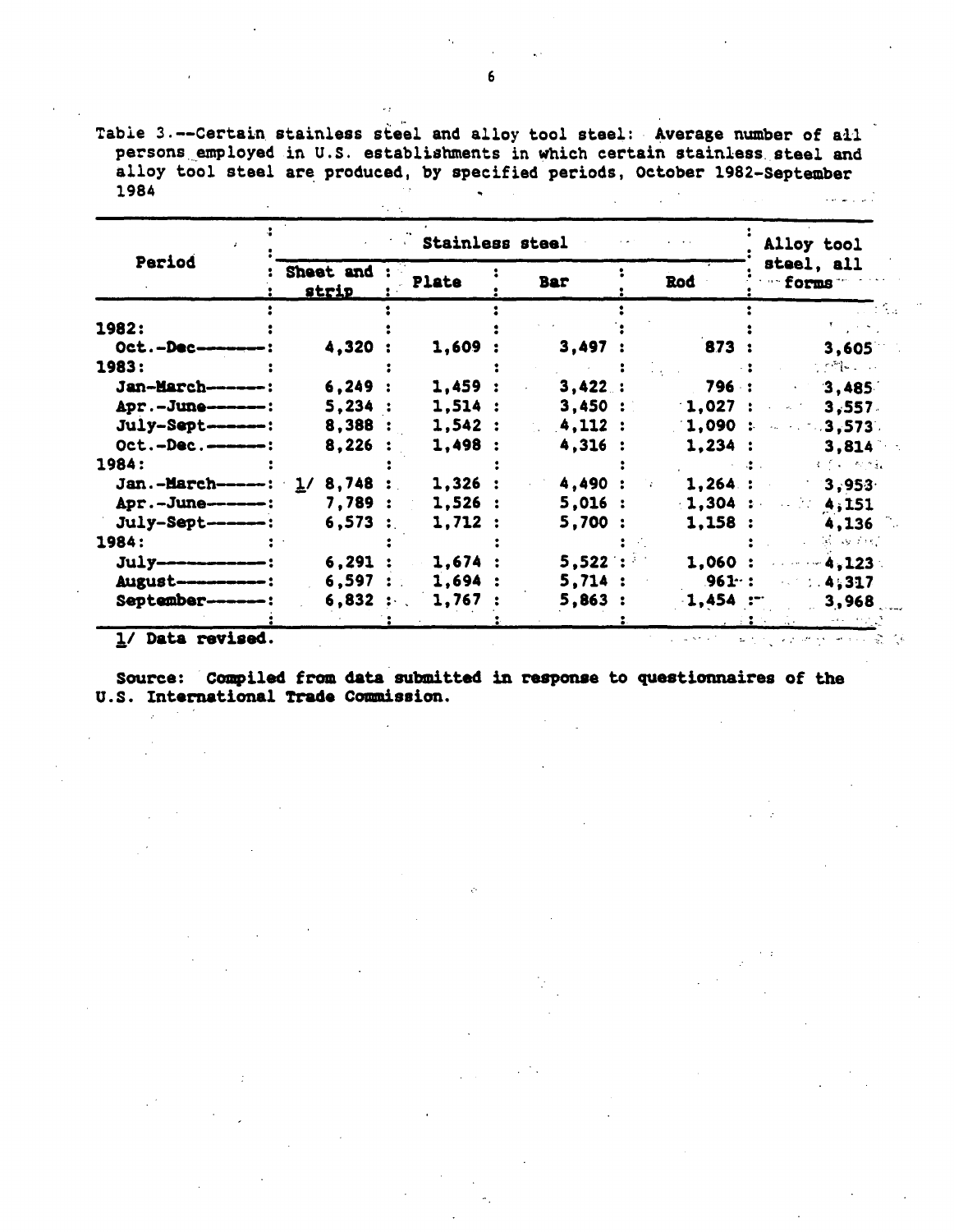Table 3.--Certain stainless steel and alloy tool steel: Average number of all persons employed in U.S. establishments in which certain stainless steel and alloy tool steel are produced, by specified periods, October 1982-September 1984 ي.<br>د مان عباسيا

| Period                |                           | Alloy tool |            |                 |                                                              |
|-----------------------|---------------------------|------------|------------|-----------------|--------------------------------------------------------------|
|                       | Sheet and<br><u>strip</u> | Plate      | <b>Bar</b> | <b>Rod</b>      | steel, all<br>" forms"                                       |
| 1982:                 |                           |            |            |                 |                                                              |
| Oct.-Dec--------      | 4,320 :                   | 1,609      | 3,497      | 873 :           | 3,605                                                        |
| 1983:                 |                           |            |            |                 | ្វ <sup>្</sup> មិ - ក                                       |
| Jan-March-------      | 6,249:                    | 1,459:     | 3,422:     | 796 :           | 3,485                                                        |
| Apr.-June------:      | 5,234:                    | 1,514:     | 3,450:     | $\cdot$ 1,027 : | 3,557                                                        |
| July-Sept-------:     | 8,388 :                   | 1,542:     | .4.112:    | 1,090:          | $-3,573$                                                     |
| Oct.-Dec.-------:     | 8,226:                    | 1,498:     | 4,316:     | 1,234:          | 3,814                                                        |
| 1984:                 |                           |            |            |                 | $\mathcal{L}(\mathcal{E})$ , where $\mathcal{E}_\mathcal{E}$ |
| $Jan.-Harch-----: 1/$ | 8,748:                    | 1,326:     | 4,490:     | 1,264:          | 3,953<br>$\sim$ $\sim$                                       |
| Apr.-June------:      | 7,789:                    | 1,526:     | 5,016:     | $1,304$ :       | 4,151                                                        |
| July-Sept-------:     | 6,573:                    | 1,712:     | 5,700:     | 1,158:          | 4,136                                                        |
| 1984:                 |                           |            |            |                 | (戦) 89 チャン                                                   |
| July------------:     | 6,291:                    | 1,674:     | 5,522:     | 1,060:          | $-4,123$                                                     |
| August-----------     | 6,597:                    | 1,694:     | 5,714:     | .961:           | 1.4.317<br>$\sim 10$                                         |
| September-------      | 6,832:                    | 1,767      | 5,863:     | $1,454$ :       | 3,968                                                        |

!/ Data reviaed.

Source: Compiled from data submitted in response to questionnaires of the U.S. International Trade Commission.

*<sup>r</sup>*,' .• " .. ::.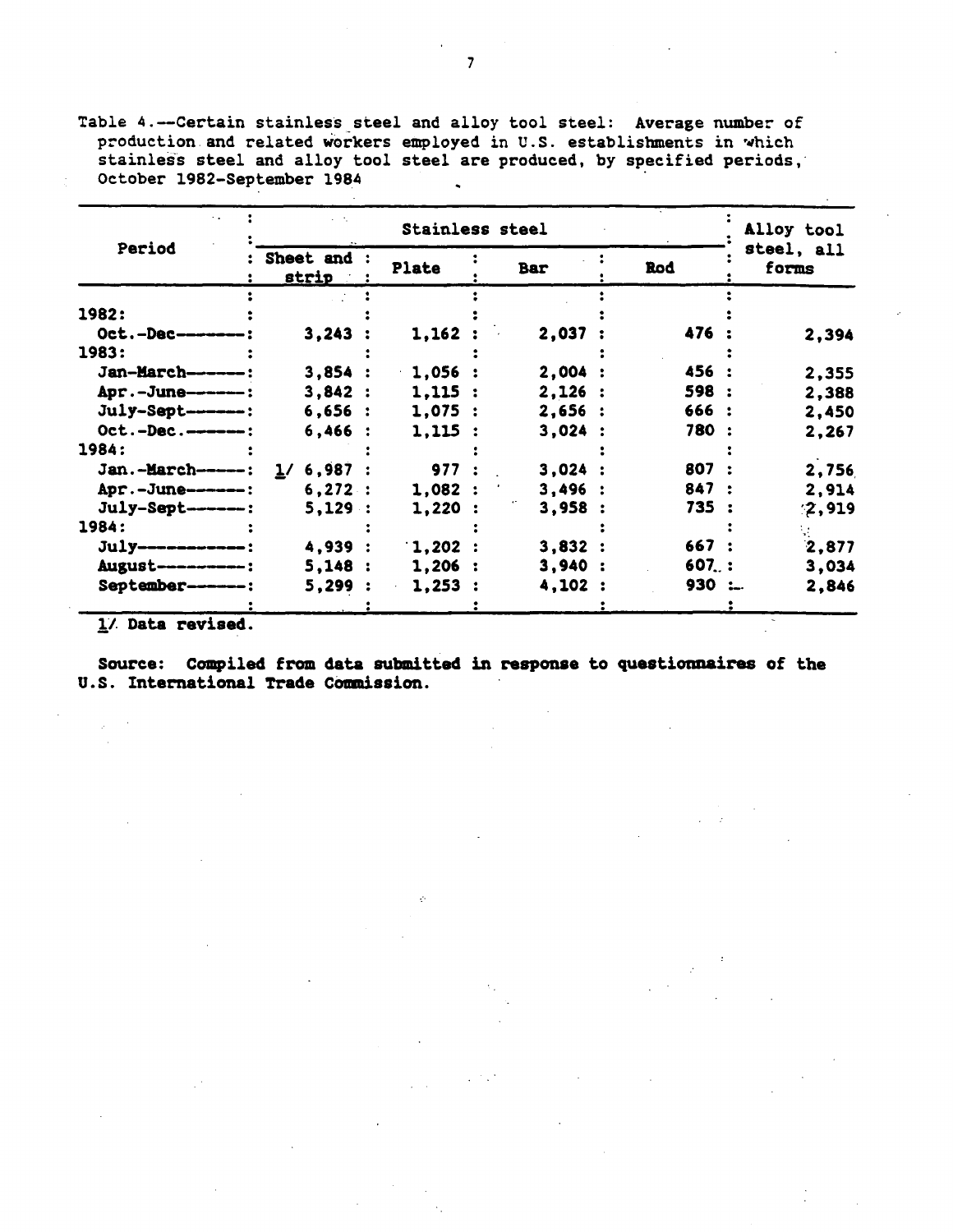Table 4.--Certain stainless steel and alloy tool steel: Average number of production and related workers employed in U.S. establishments in which stainless steel and alloy tool steel are produced, by specified periods, October 1982-September 1984

|                   |                         | Alloy tool              |            |            |                     |
|-------------------|-------------------------|-------------------------|------------|------------|---------------------|
| Period            | Sheet and :<br>strip    | Plate                   | <b>Bar</b> | <b>Rod</b> | steel, all<br>forms |
|                   |                         |                         |            |            |                     |
| 1982:             |                         |                         |            |            |                     |
| $Oct.-Dec-----:$  | 3,243:                  | 1,162:                  | 2,037:     | 476 :      | 2,394               |
| 1983:             |                         |                         |            |            |                     |
| Jan-March-------  | 3,854:                  | $1,056$ :               | 2,004:     | 456 :      | 2,355               |
| Apr.-June------:  | 3,842:                  | 1,115:                  | 2,126:     | 598 :      | 2,388               |
| July-Sept-------: | 6,656:                  | 1,075:                  | 2,656:     | 666 :      | 2,450               |
| Oct.-Dec.-------: | 6,466:                  | 1,115:                  | 3,024:     | 780 :      | 2,267               |
| 1984:             |                         |                         |            |            |                     |
| Jan.-March------: | 6,987:<br>$\frac{1}{2}$ | 977:                    | 3,024:     | 807 :      | 2,756               |
| Apr.-June------:  | 6,272:                  | 1,082:                  | 3,496:     | 847:       | 2,914               |
| July-Sept-------: | 5,129:                  | 1,220:                  | 3,958:     | 735        | 2,919               |
| 1984:             |                         |                         |            |            |                     |
| July------------: | 4,939:                  | 1,202:                  | 3,832:     | 667 :      | 2,877               |
| August----------: | 5,148:                  | 1,206:                  | 3,940:     | $607.$ :   | 3,034               |
| September-------  | 5,299:                  | 1,253:<br>$\sim$ $\sim$ | 4,102:     | 930 :      | 2,846               |
|                   |                         |                         |            |            |                     |

1/ Data revised.

 $\bar{z}$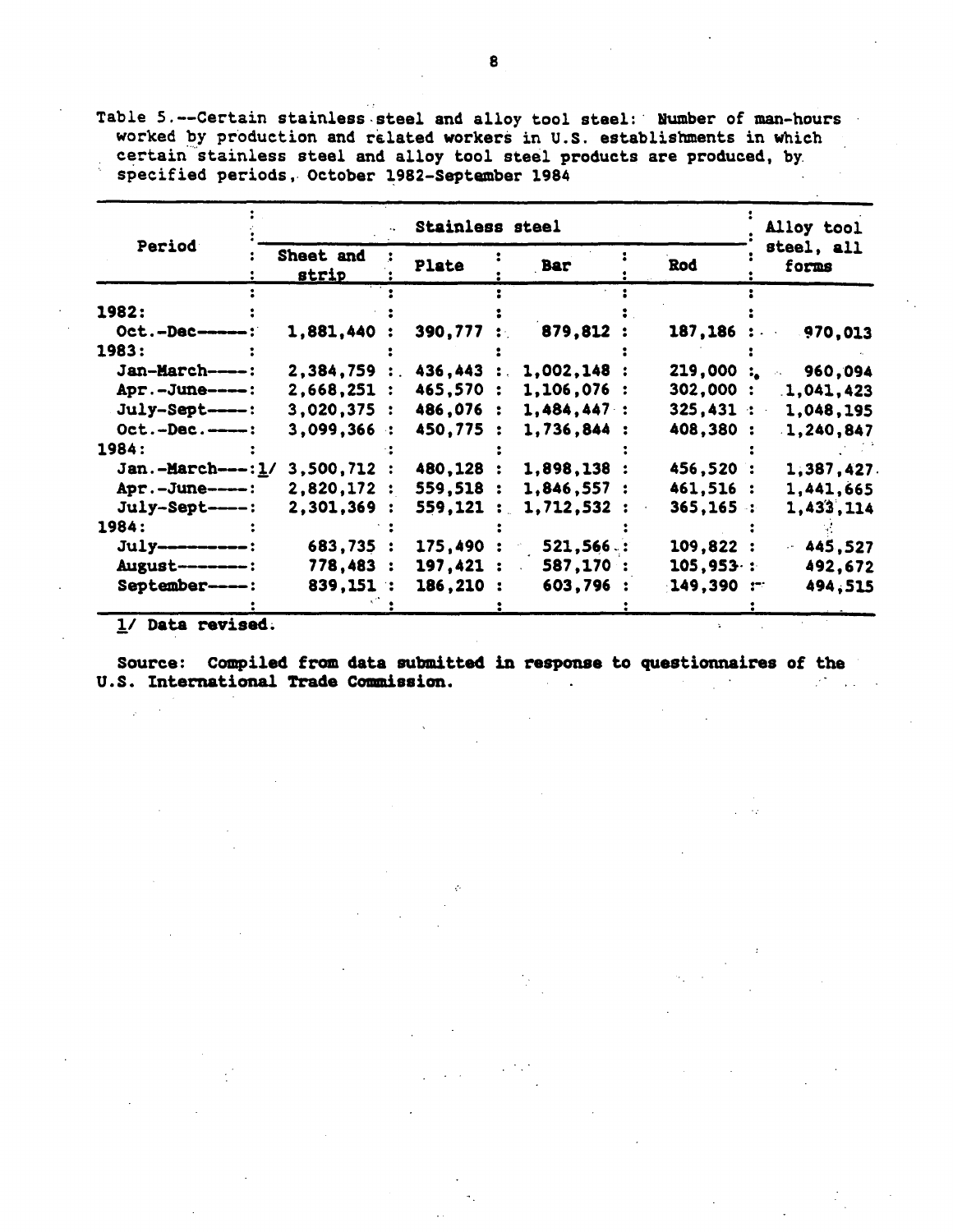| Table 5.--Certain stainless steel and alloy tool steel: Number of man-hours |  |
|-----------------------------------------------------------------------------|--|
| worked by production and related workers in U.S. establishments in which    |  |
| certain stainless steel and alloy tool steel products are produced, by      |  |
| specified periods, October 1982-September 1984                              |  |

|                   |                    | Alloy tool |              |             |                     |
|-------------------|--------------------|------------|--------------|-------------|---------------------|
| Period            | Sheet and<br>strip | Plate      | Bar          | <b>Rod</b>  | steel, all<br>forms |
|                   |                    |            |              |             |                     |
| 1982:             |                    |            |              |             |                     |
| $Oct.-Dec-----:$  | 1,881,440          | 390,777    | 879,812      | 187, 186:   | .970,013            |
| 1983:             |                    |            |              |             |                     |
| Jan-March-----    | 2,384,759:         | 436,443    | 1,002,148:   | 219,000     | 960,094             |
| Apr.-June----:    | 2,668,251:         | 465,570 :  | 1,106,076:   | 302,000:    | 1,041,423           |
| July-Sept -----   | 3,020,375:         | 486,076 :  | 1,484,447:   | 325,431:    | 1,048,195           |
| $Oct.-Dec.----:$  | 3,099,366:         | 450.775 :  | 1,736,844:   | 408,380 :   | 1,240,847           |
| 1984:             |                    |            |              |             |                     |
| Jan.-March---: 1/ | 3,500,712:         | 480,128    | 1,898,138 :  | 456,520 :   | 1,387,427.          |
| Apr.-June----:    | 2,820,172:         | 559,518    | 1,846,557:   | 461,516:    | 1,441,665           |
| July-Sept ----:   | 2,301,369:         | 559,121    | 1,712,532    | 365, 165:   | 1,433,114           |
| 1984:             |                    |            |              |             |                     |
| July---------:    | 683,735 :          | 175,490    | $521,566.$ : | 109,822:    | $-445,527$          |
| August--------:   | 778,483 :          | 197,421    | 587,170      | 105,953     | 492,672             |
| September-----    | 839,151:           | 186,210    | 603,796      | $149,390$ : | 494,515             |
|                   |                    |            |              |             |                     |

Source: Compiled from data submitted in response to questionnaires of the U.S. International Trade Commission.

 $\overline{a}$ 

 $\sim 1$  $\frac{1}{2}$ 

 $\mathcal{L} = \mathcal{L}$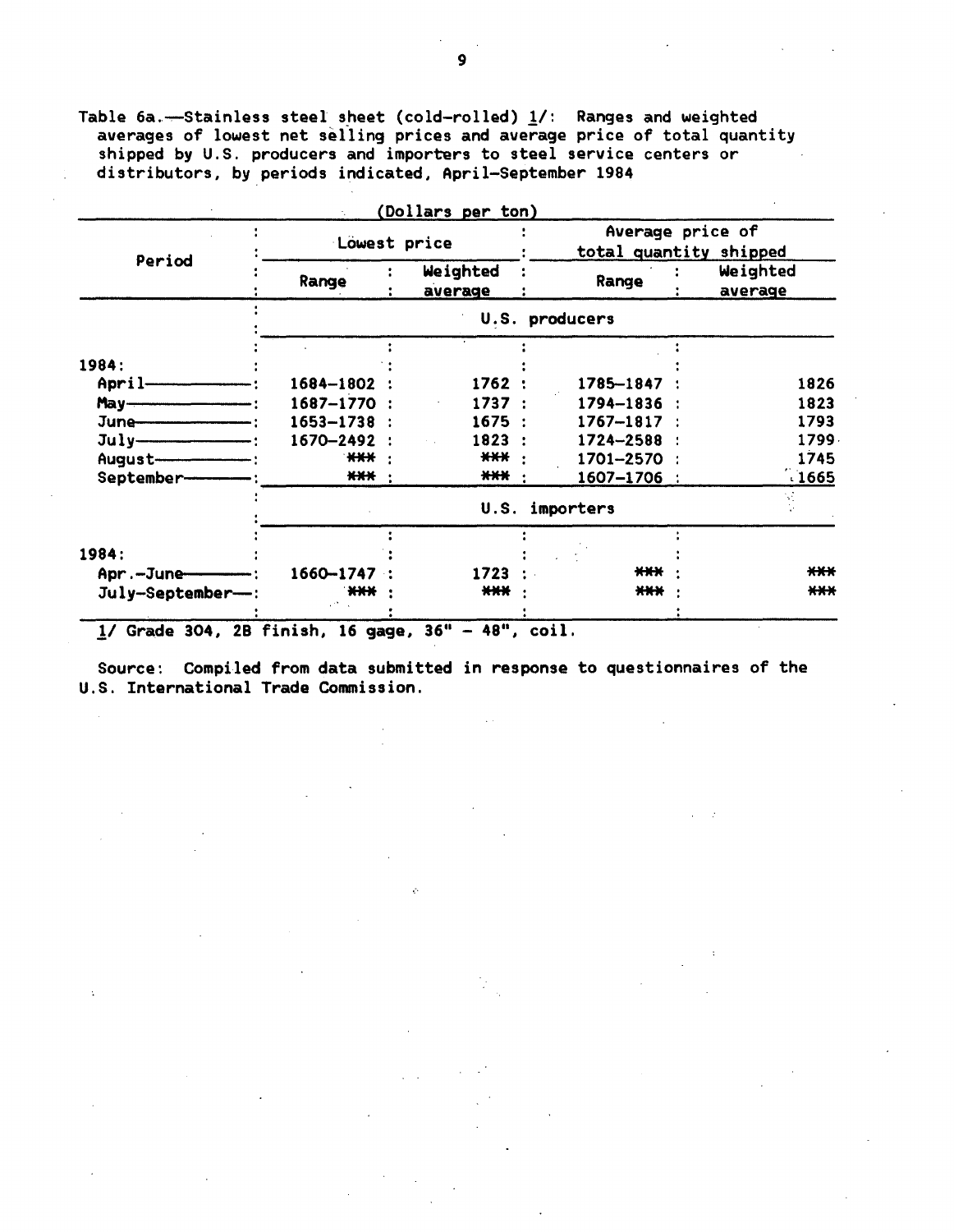Table 6a.-Stainless steel sheet (cold-rolled)  $1/$ : Ranges and weighted averages of lowest net selling prices and average price of total quantity shipped by U.S. producers and importers to steel service centers or distributors, by periods indicated, April-September 1984

|                   | Lowest price                                                                                                                                                                                                                                                                                                                                                   |                     | Average price of<br>total quantity shipped |                     |  |  |
|-------------------|----------------------------------------------------------------------------------------------------------------------------------------------------------------------------------------------------------------------------------------------------------------------------------------------------------------------------------------------------------------|---------------------|--------------------------------------------|---------------------|--|--|
| Period            | Range                                                                                                                                                                                                                                                                                                                                                          | Weighted<br>average | Range                                      | Weighted<br>average |  |  |
|                   | U.S. producers                                                                                                                                                                                                                                                                                                                                                 |                     |                                            |                     |  |  |
|                   |                                                                                                                                                                                                                                                                                                                                                                |                     |                                            |                     |  |  |
| 1984:             |                                                                                                                                                                                                                                                                                                                                                                |                     |                                            |                     |  |  |
| April-            | $1684 - 1802$ :                                                                                                                                                                                                                                                                                                                                                | 1762 :              | 1785-1847 :                                | 1826                |  |  |
| $May -$           | 1687-1770 :                                                                                                                                                                                                                                                                                                                                                    | 1737:               | 1794-1836                                  | 1823                |  |  |
|                   | $1653 - 1738$ :                                                                                                                                                                                                                                                                                                                                                | 1675:               | $1767 - 1817$ :                            | 1793                |  |  |
| $July$ :          | 1670-2492 :                                                                                                                                                                                                                                                                                                                                                    | 1823 :              | 1724-2588 :                                | 1799                |  |  |
| August-           | H                                                                                                                                                                                                                                                                                                                                                              | $***$               | 1701-2570 :                                | 1745                |  |  |
| September-------  | *** :                                                                                                                                                                                                                                                                                                                                                          | $***$               | 1607-1706 :                                | .1665               |  |  |
|                   |                                                                                                                                                                                                                                                                                                                                                                |                     |                                            |                     |  |  |
|                   |                                                                                                                                                                                                                                                                                                                                                                |                     |                                            |                     |  |  |
| 1984:             |                                                                                                                                                                                                                                                                                                                                                                |                     |                                            |                     |  |  |
| Apr.-June-        | 1660-1747 :                                                                                                                                                                                                                                                                                                                                                    | 1723                | $***$                                      | ***                 |  |  |
| July-September--: | $***$                                                                                                                                                                                                                                                                                                                                                          | $***$               | $***$                                      | $***$               |  |  |
| .                 | $\mathbf{A}$ $\mathbf{A}$ $\mathbf{A}$ $\mathbf{A}$ $\mathbf{A}$ $\mathbf{A}$ $\mathbf{A}$ $\mathbf{A}$ $\mathbf{A}$ $\mathbf{A}$ $\mathbf{A}$ $\mathbf{A}$ $\mathbf{A}$ $\mathbf{A}$ $\mathbf{A}$ $\mathbf{A}$ $\mathbf{A}$ $\mathbf{A}$ $\mathbf{A}$ $\mathbf{A}$ $\mathbf{A}$ $\mathbf{A}$ $\mathbf{A}$ $\mathbf{A}$ $\mathbf{$<br>$\overline{\phantom{a}}$ | 4.011<br>--         | $\cdot$ $\cdot$                            |                     |  |  |

 $1/$  Grade 304, 2B finish, 16 gage, 36" - 48", coil.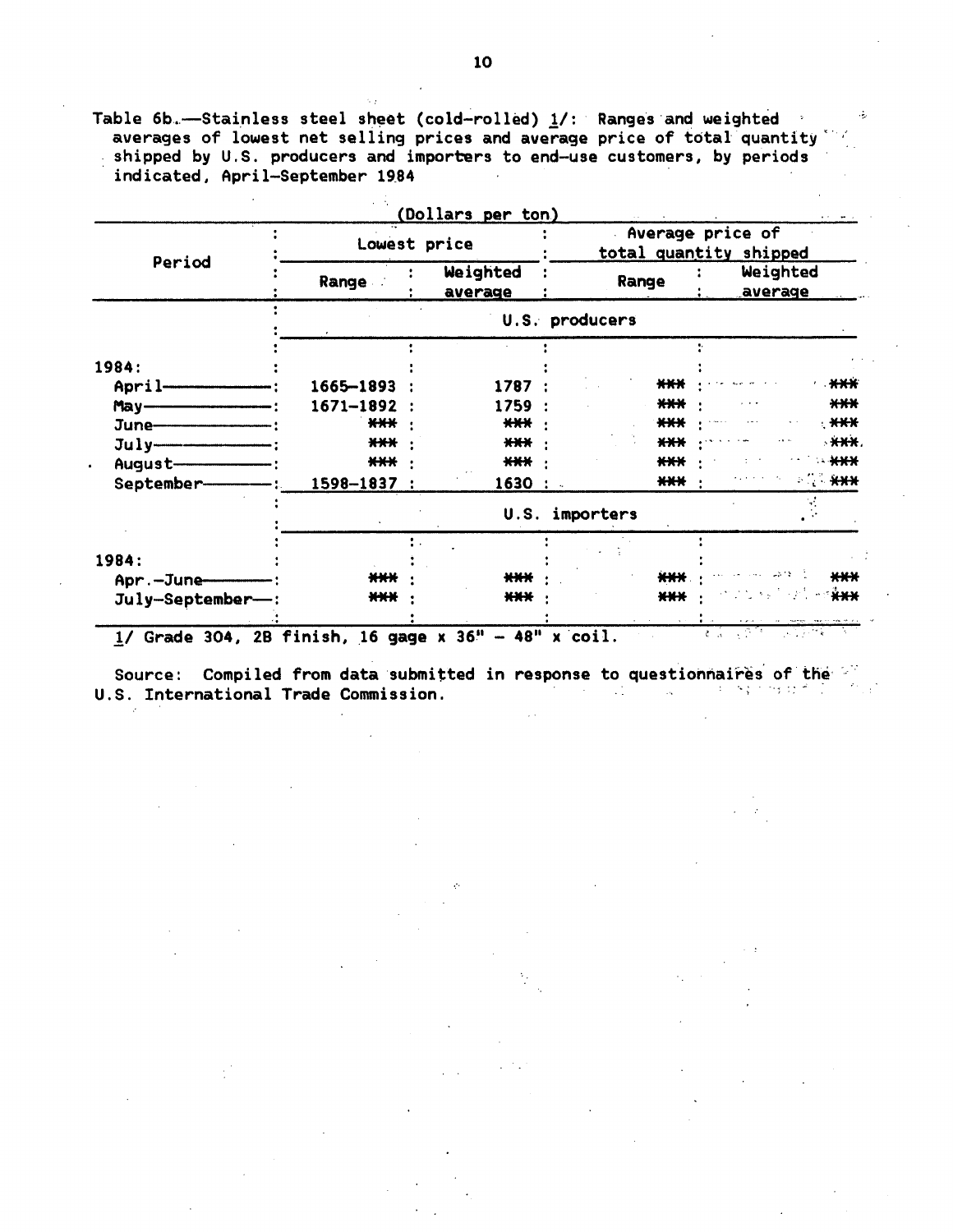Table 6b.-Stainless steel sheet (cold-rolled) 1/: Ranges and weighted averages of lowest net selling prices and average price of total quantity the shipped by U.S. producers and importers to end-use customers, by periods indicated, April-September 1984

|                  |              | (Dollars per ton)   |                |                                            |
|------------------|--------------|---------------------|----------------|--------------------------------------------|
| Period           | Lowest price |                     |                | Average price of<br>total quantity shipped |
|                  | <b>Range</b> | Weighted<br>average | Range          | Weighted<br>average                        |
|                  |              |                     | U.S. producers |                                            |
|                  |              |                     |                |                                            |
| 1984:            |              |                     |                |                                            |
| April-           | 1665-1893    | 1787                | $***$          | <b>XXX</b>                                 |
| $May -$          | 1671-1892    | 1759                | $***$          | $****$<br>$\cdots$                         |
| June-            | ***          | $***$               | $***$          | $.$ ***                                    |
| $July-$          | $***$        | $***$               | $***$          | $****$                                     |
| August-          | $***$        | $***$               | $***$          | $\rightarrow$ XXX                          |
| September-       | 1598-1837 :  | 1630:               | $***$          | <b>ARK AREA</b><br><b>Kanada Para</b>      |
|                  |              | U.S.                | importers      |                                            |
|                  |              |                     |                |                                            |
| 1984:            |              |                     |                | وأرد لأكافهم المحار الحدار معد             |
| Apr.-June-       | <b>***</b>   | $***$               | <b>***</b>     | $***$                                      |
| July-September-: | <b>XXX</b>   | $***$               | ***            | and the first of the team.                 |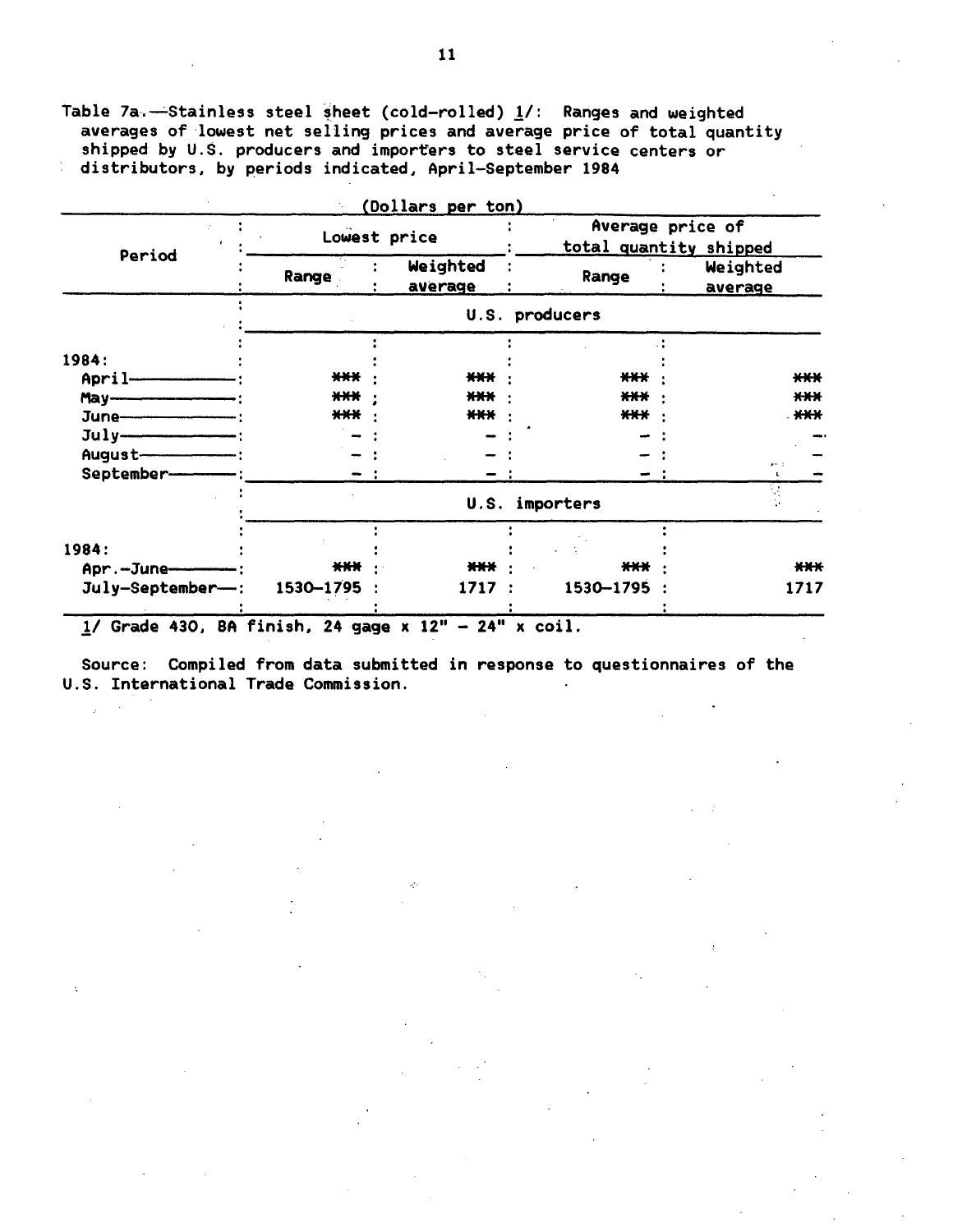Table 7a.  $-$ Stainless steel sheet (cold-rolled)  $1/$ : Ranges and weighted averages of lowest net selling prices and average price of total quantity shipped by U.S. producers and importers to steel service centers or distributors, by periods indicated, April-September 1984

|                            | Lowest price |                     |                | Average price of<br>total quantity shipped |  |  |
|----------------------------|--------------|---------------------|----------------|--------------------------------------------|--|--|
| Period                     | Range        | Weighted<br>average | Range          | Weighted<br>average                        |  |  |
| U.S. producers             |              |                     |                |                                            |  |  |
| 1984:                      |              |                     |                |                                            |  |  |
|                            | $***$        | $***$               | $***$          | $***$                                      |  |  |
|                            | $***$        | $***$               | $***$          | $***$                                      |  |  |
|                            | $***$        | $***$               | ***            | . <b>***</b>                               |  |  |
| $July$ :                   |              |                     |                |                                            |  |  |
| August-                    |              |                     |                | $\cdots$                                   |  |  |
| September--------          |              |                     |                |                                            |  |  |
|                            |              |                     | U.S. importers |                                            |  |  |
|                            |              |                     |                |                                            |  |  |
| 1984:                      |              |                     |                |                                            |  |  |
| Apr. -- June-------------- | $****$       | ***                 | $***$          | $***$                                      |  |  |
| July-September-:           | 1530-1795    | 1717:               | 1530-1795      | 1717                                       |  |  |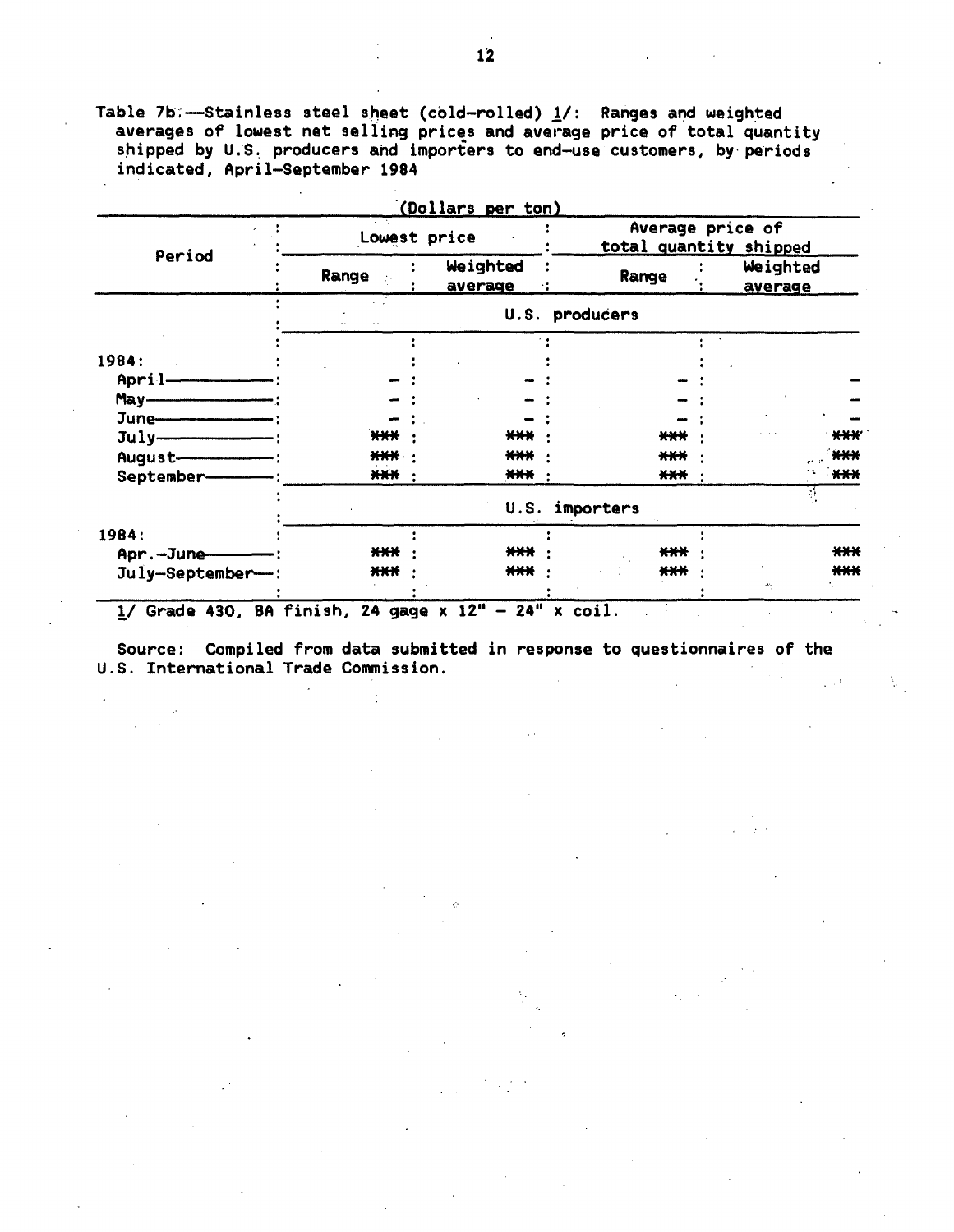Table 7b. --- Stainless steel sheet (cold-rolled) 1/: Ranges and weighted averages of lowest net selling prices and average price of total quantity<br>shipped by U.S. producers and importers to end-use customers, by periods indicated, April-September 1984

|            |                     | (Dollars per ton)<br>Average price of<br>total quantity shipped |                                |  |
|------------|---------------------|-----------------------------------------------------------------|--------------------------------|--|
| Range      | Weighted<br>average | Range                                                           | Weighted<br>average            |  |
|            |                     |                                                                 |                                |  |
|            |                     |                                                                 |                                |  |
|            |                     |                                                                 |                                |  |
|            |                     |                                                                 |                                |  |
|            |                     |                                                                 |                                |  |
|            |                     |                                                                 |                                |  |
| ***        | ***                 | $***$                                                           | ****                           |  |
| <b>***</b> | $***$               | $***$                                                           | ***                            |  |
| $***$      | $***$               | *** :                                                           | $***$                          |  |
|            | U.S.                | importers                                                       |                                |  |
|            |                     |                                                                 |                                |  |
| ***        | $***$               | $***$                                                           | $***$                          |  |
| $***$      | $***$               | $***$                                                           | $***$<br>$\delta N_{\rm{M}}=1$ |  |
|            |                     | Lowest price                                                    | U.S. producers                 |  |

Source: Compiled from data submitted in response to questionnaires of the U.S. International Trade Commission.

 $12$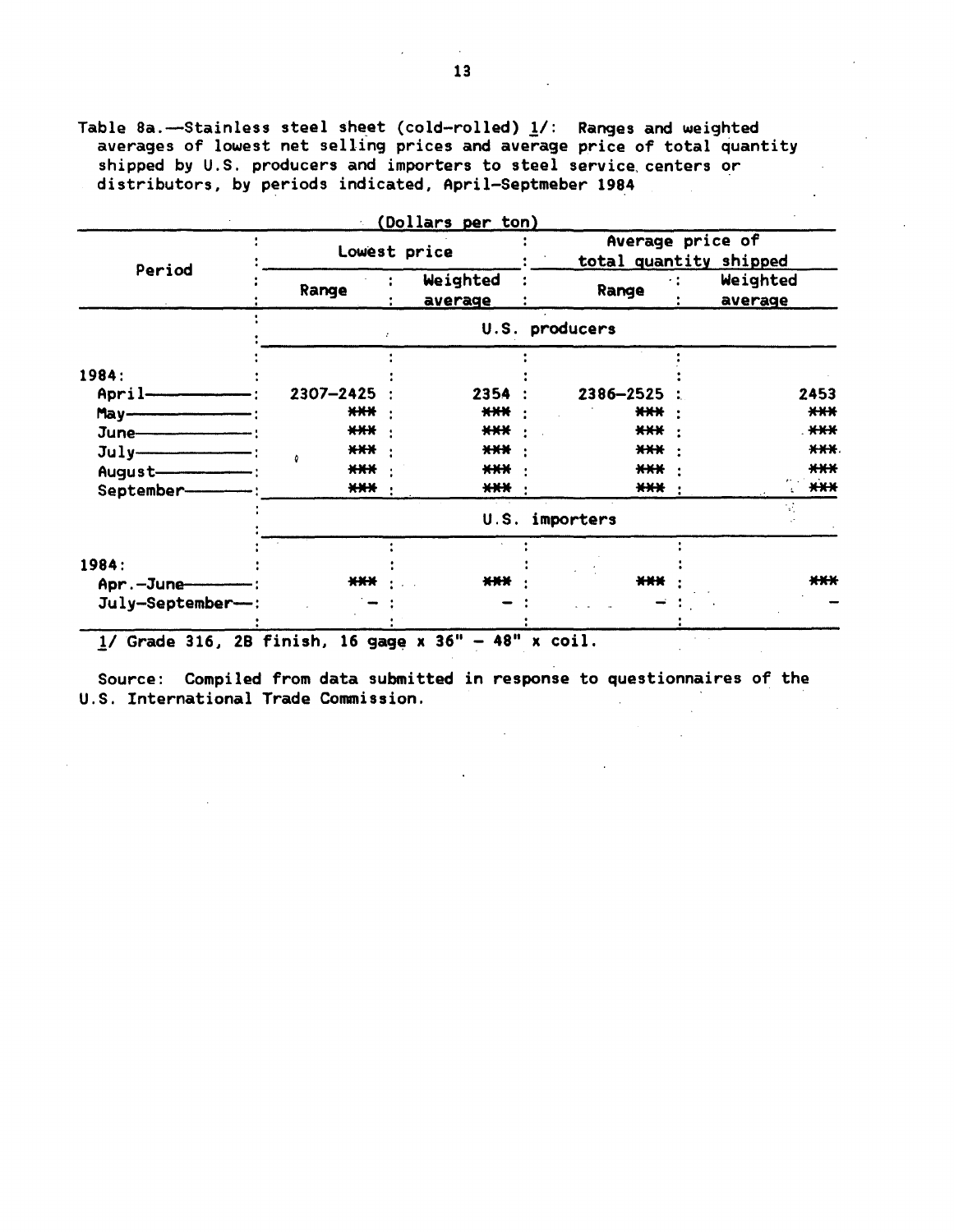Table 8a. -- Stainless steel sheet (cold-rolled) 1/: Ranges and weighted averages of lowest net selling prices and average price of total quantity shipped by U.S. producers and importers to steel service centers or distributors, by periods indicated, April-Septmeber 1984

|                                          |                   | (Dollars per ton)   |                                            |                     |  |  |  |
|------------------------------------------|-------------------|---------------------|--------------------------------------------|---------------------|--|--|--|
|                                          | Lowest price      |                     | Average price of<br>total quantity shipped |                     |  |  |  |
| Period                                   | Range             | Weighted<br>average | Range                                      | Weighted<br>average |  |  |  |
|                                          | U.S. producers    |                     |                                            |                     |  |  |  |
| 1984:                                    |                   |                     |                                            |                     |  |  |  |
| April-                                   | 2307-2425         | 2354                | 2386-2525                                  | 2453                |  |  |  |
|                                          | ***               | <b>***</b> :        | $***$                                      | $***$               |  |  |  |
|                                          | $***$             | <b>***</b>          | <b>***</b>                                 | . ***               |  |  |  |
| $July$ :                                 | $***$             | $***$               | $***$                                      | $***$               |  |  |  |
|                                          | $***$             | $***$               | $***$                                      | ***                 |  |  |  |
| September----------                      | *** :             | ***                 | $***$                                      | $***$               |  |  |  |
|                                          | U.S.<br>importers |                     |                                            |                     |  |  |  |
|                                          |                   |                     |                                            |                     |  |  |  |
| 1984:                                    |                   |                     |                                            |                     |  |  |  |
| Apr.-June-                               | $***$             | $***$               | <b>XXX</b>                                 | ***                 |  |  |  |
| July-September-:                         |                   |                     |                                            |                     |  |  |  |
| 1/ Grade 316, 2B finish, 16 gage x 36" - |                   |                     | 48" x coil.                                |                     |  |  |  |

Source: Compiled from data submitted in response to questionnaires of the

U.S. International Trade Commission.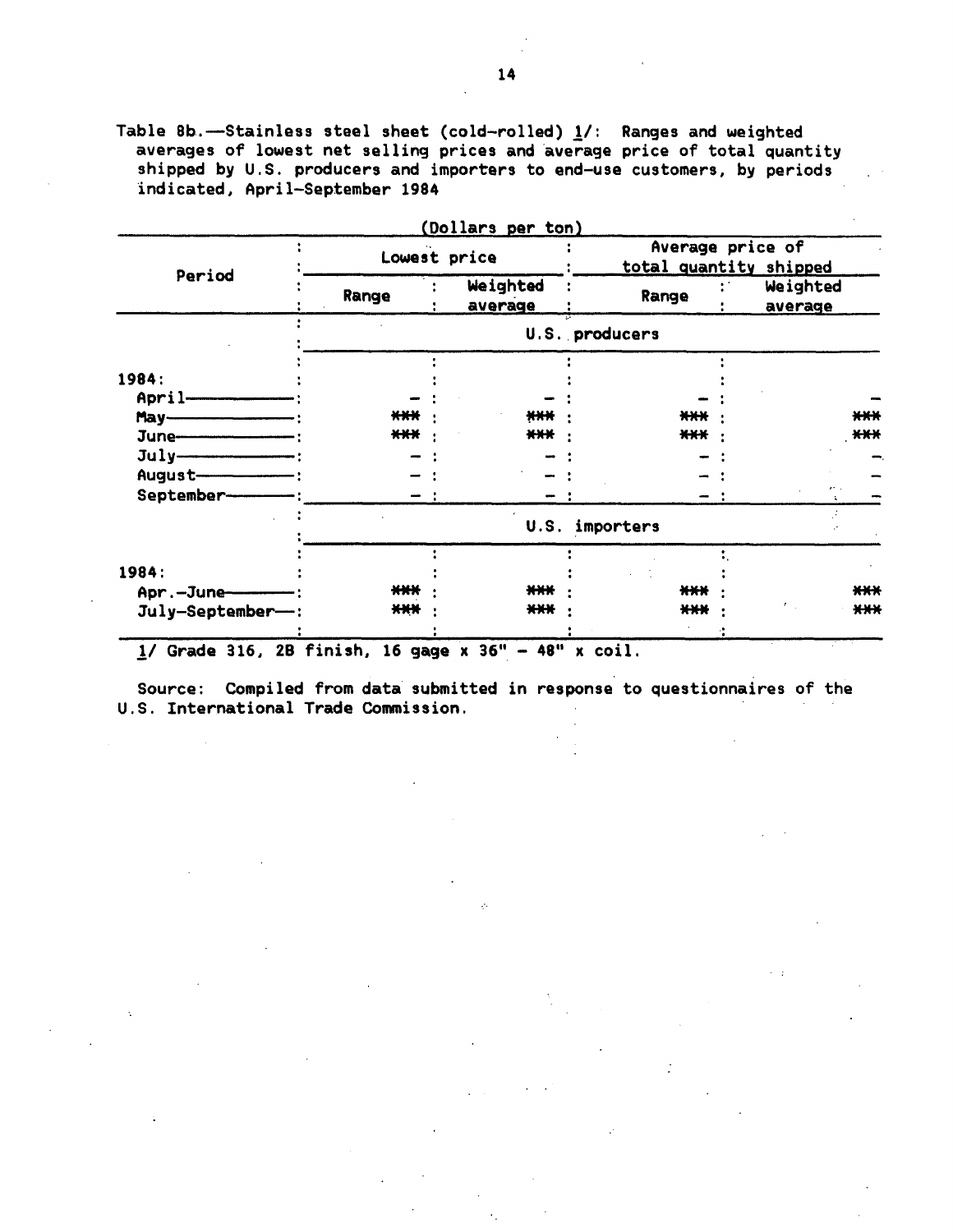Table 8b.-Stainless steel sheet (cold-rolled)  $1/$ : Ranges and weighted averages of lowest net selling prices and average price of total quantity shipped by U.S. producers and importers to end-use customers, by periods indicated, April-September 1984

|                  |                   | (Dollars per ton)   |           |                                            |  |  |  |
|------------------|-------------------|---------------------|-----------|--------------------------------------------|--|--|--|
|                  | Lowest price      |                     |           | Average price of<br>total quantity shipped |  |  |  |
| Period           | Range             | Weighted<br>average | Range     | Weighted<br>average                        |  |  |  |
|                  | U.S. producers    |                     |           |                                            |  |  |  |
| 1984:            |                   |                     |           |                                            |  |  |  |
| April            |                   |                     |           |                                            |  |  |  |
| May-             | $***$             | $***$               | $***$     | $***$                                      |  |  |  |
| <b>June</b>      | $\star\star\star$ | $***$               | $***$     | $***$                                      |  |  |  |
|                  |                   |                     |           |                                            |  |  |  |
| August-          |                   |                     |           |                                            |  |  |  |
| September-       |                   |                     |           |                                            |  |  |  |
|                  |                   | U.S.                | importers |                                            |  |  |  |
|                  |                   |                     |           |                                            |  |  |  |
| 1984:            |                   |                     |           |                                            |  |  |  |
| Apr.-June-       | ***               | $***$               | $***$     | ***                                        |  |  |  |
| July-September-: | $***$             | $***$               | ***       | $***$                                      |  |  |  |
|                  |                   |                     |           |                                            |  |  |  |

 $1/$  Grade 316, 2B finish, 16 gage x 36" - 48" x coil.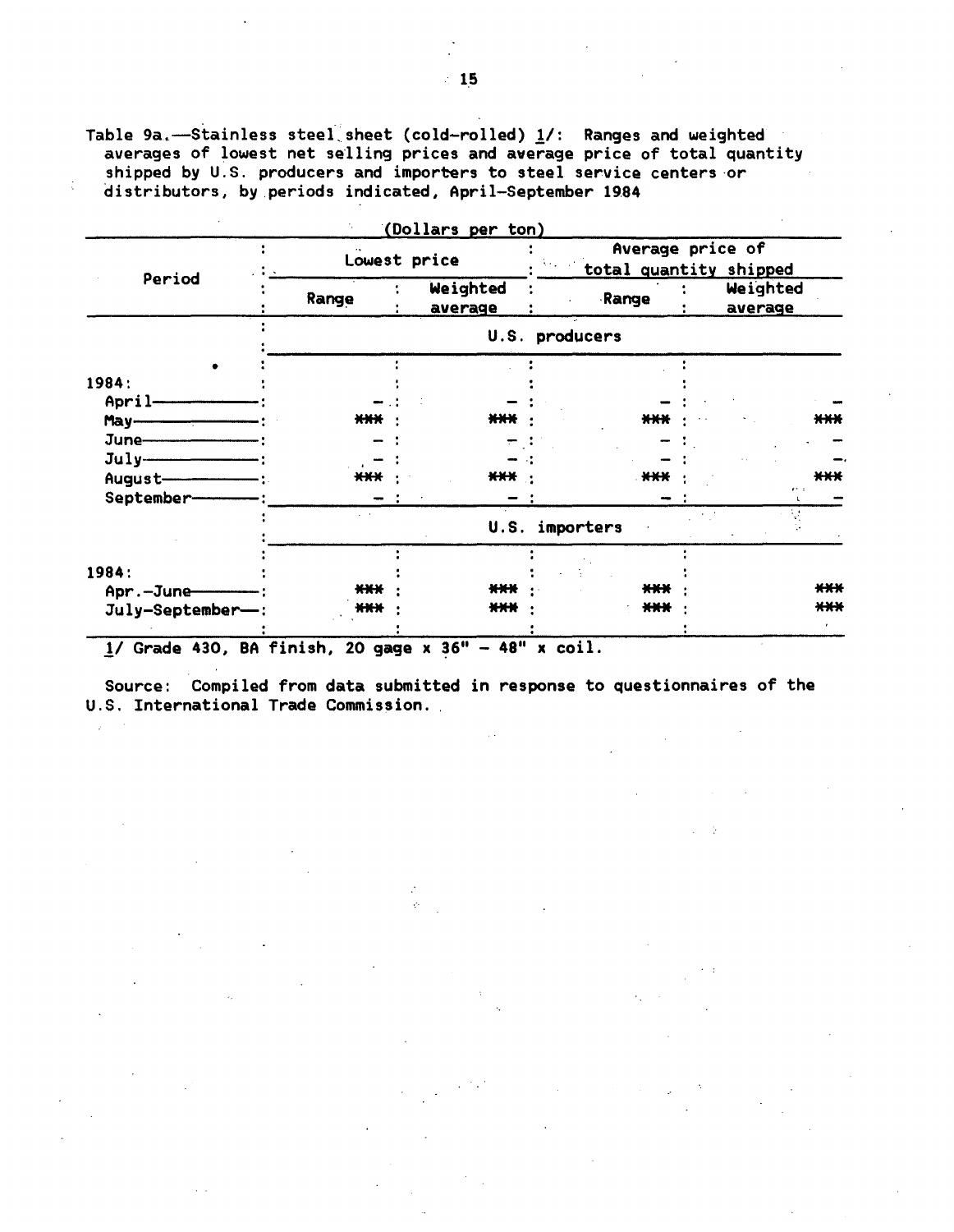Table 9a. -- Stainless steel sheet (cold-rolled) 1/: Ranges and weighted averages of lowest net selling prices and average price of total quantity shipped by U.S. producers and importers to steel service centers or distributors, by periods indicated, April-September 1984

|                         |                | (Dollars per ton)   |                | Average price of       |
|-------------------------|----------------|---------------------|----------------|------------------------|
| Period                  | Lowest price   |                     |                | total quantity shipped |
|                         | Range          | Weighted<br>average | Range          | Weighted<br>average    |
|                         | U.S. producers |                     |                |                        |
|                         |                |                     |                |                        |
| 1984:                   |                |                     |                |                        |
| April-                  |                |                     |                |                        |
| $May-$                  | ***            | ***                 | ***            | $***$                  |
|                         |                |                     |                |                        |
|                         |                |                     |                |                        |
|                         | $***$          | <b>***</b>          | $*$            | $***$                  |
| September-------------- |                |                     |                |                        |
|                         |                |                     | U.S. importers |                        |
| 1984:                   |                |                     |                |                        |
| Apr. - June------------ | $***$          | ***                 | $***$          | $***$                  |
| July-September-:        | ***            | ***                 | ***            | ***                    |

 $1/$  Grade 430, BA finish, 20 gage x 36" - 48" x coil.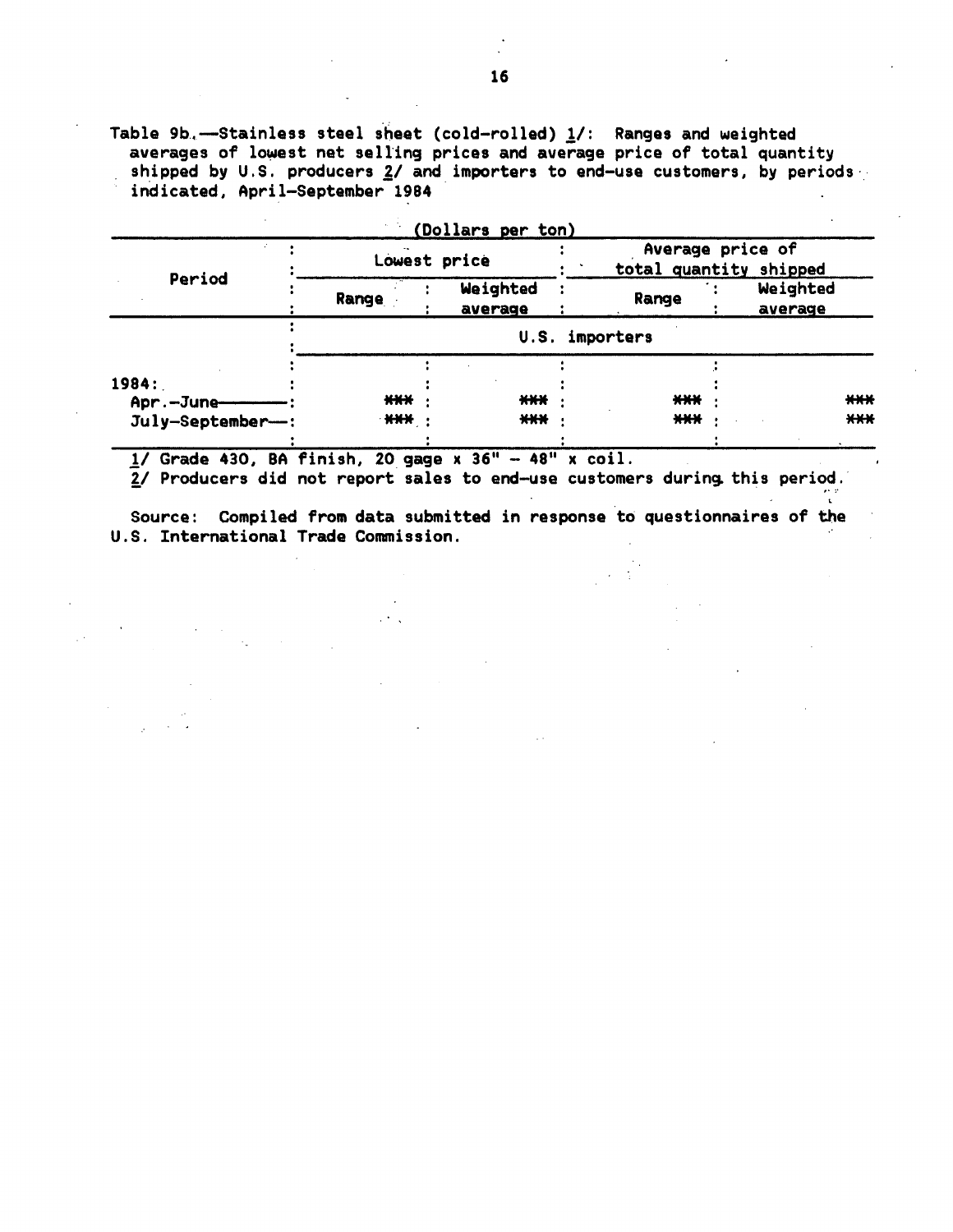Table 9b. - Stainless steel sheet (cold-rolled) 1/: Ranges and weighted averages of lowest net selling prices and average price of total quantity shipped by U.S. producers 2/ and importers to end-use customers, by periods indicated, April-September 1984

| Lowest price |                     |           | Average price of<br>total quantity shipped |
|--------------|---------------------|-----------|--------------------------------------------|
| Range        | Weighted<br>average | Range     | Weighted<br>average                        |
|              |                     | importers |                                            |
|              |                     |           |                                            |
| $***$        | ***                 | $***$     | ***                                        |
| $+HHH$ :     | ***                 |           | $***$                                      |
|              |                     |           | (Dollars per ton)<br>U.S.<br>$***$         |

 $1/$  Grade 430, BA finish, 20 gage x 36" - 48" x coil.

2/ Producers did not report sales to end-use customers during this period.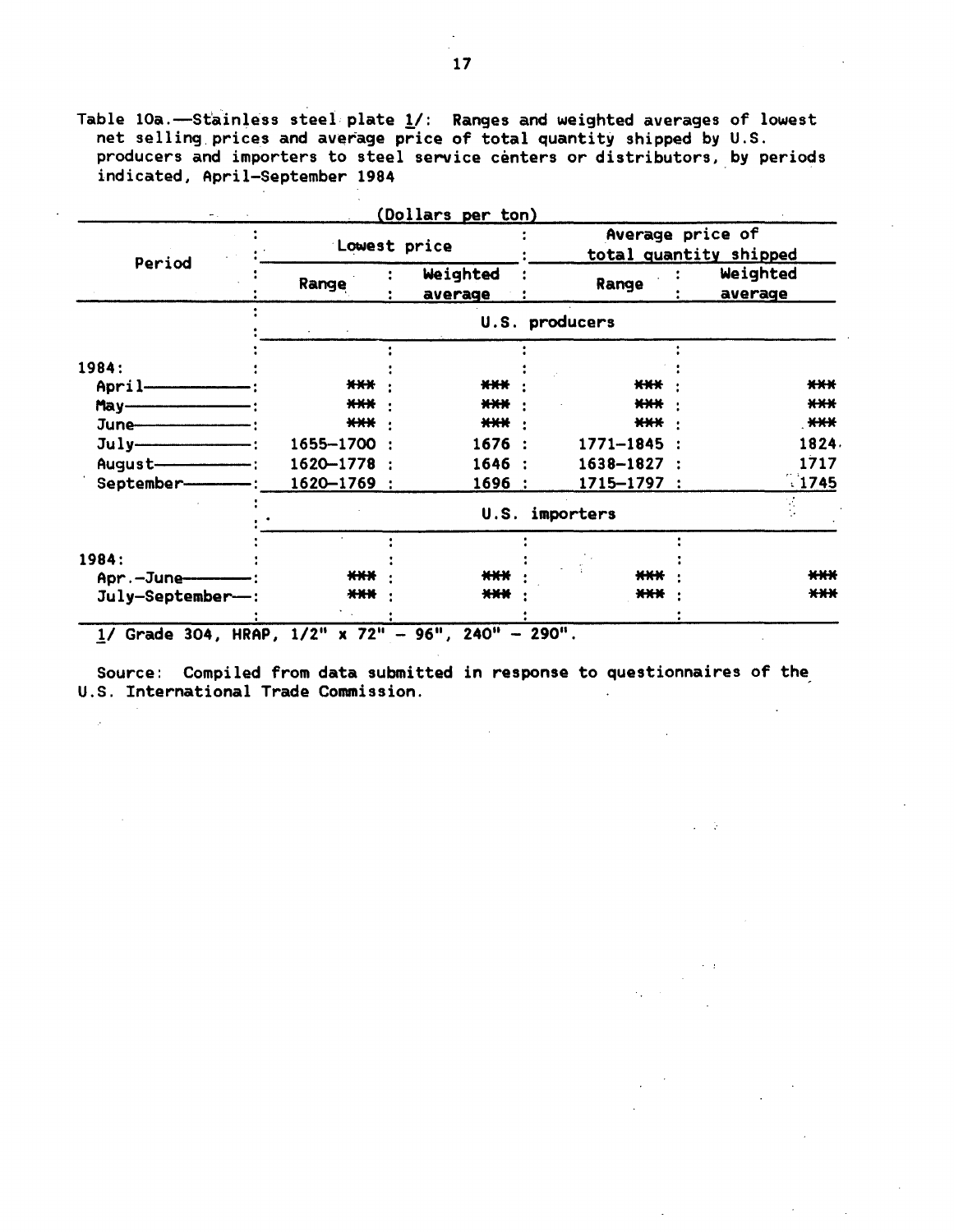Table 10a.-Stainless steel plate  $1/$ : Ranges and weighted averages of lowest net selling prices and average price of total quantity shipped by U.S. producers and importers to steel service centers or distributors, by periods indicated, April-September 1984

| Period            | Lowest price |                     |                 | Average price of<br>total quantity shipped |  |
|-------------------|--------------|---------------------|-----------------|--------------------------------------------|--|
|                   | Range        | Weighted<br>average | Range           | Weighted<br>average                        |  |
|                   |              |                     | U.S. producers  |                                            |  |
| 1984:             |              |                     |                 |                                            |  |
|                   | $***$        | ***                 | $***$           | $***$                                      |  |
|                   | $***$        | $***$               | ***             | $***$                                      |  |
| June-             | $***$        | $***$               | $***$           | $***$                                      |  |
| July              | 1655-1700 :  | 1676:               | $1771 - 1845$   | 1824.                                      |  |
|                   | 1620-1778 :  | 1646 :              | $1638 - 1827$ : | 1717                                       |  |
| September-------  | 1620-1769 :  | 1696:               | 1715-1797 :     | 1745                                       |  |
|                   |              | U.S.                | importers       |                                            |  |
|                   |              |                     |                 |                                            |  |
| 1984:             |              |                     |                 |                                            |  |
| Apr.-June-----    | $***$        | $***$               | ***             | $***$                                      |  |
| July-September--: | ***          | ***                 | ***             | $***$                                      |  |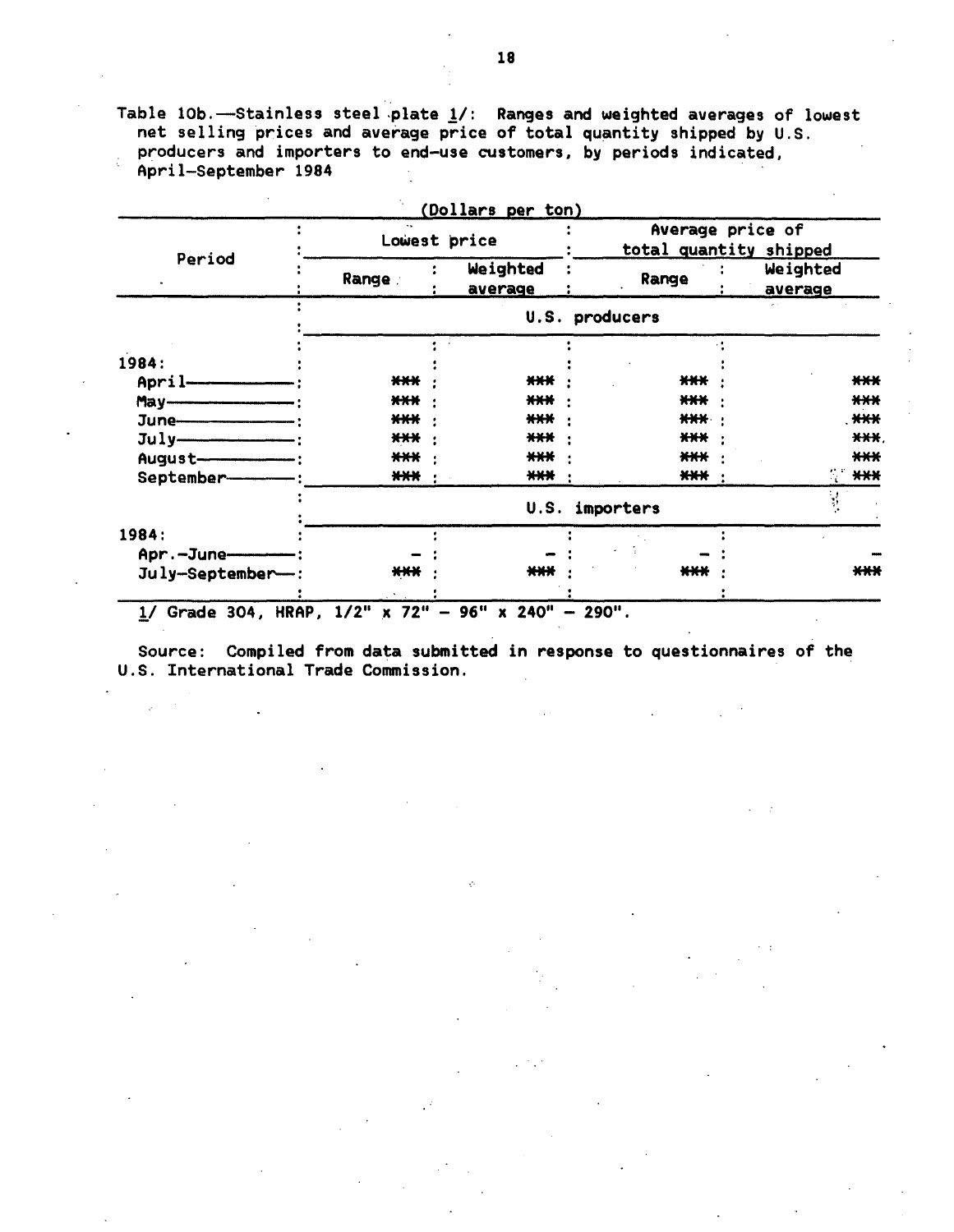Table 10b.-Stainless steel plate  $1/$ : Ranges and weighted averages of lowest net selling prices and average price of total quantity shipped by U.S. producers and importers to end-use customers, by periods indicated, April-September 1984

|                                                     | Lowest price |                     | Average price of<br>total quantity shipped |                     |
|-----------------------------------------------------|--------------|---------------------|--------------------------------------------|---------------------|
| Period                                              | <b>Range</b> | Weighted<br>average | Range                                      | Weighted<br>average |
|                                                     |              |                     | U.S. producers                             |                     |
| 1984:                                               |              |                     |                                            |                     |
| April                                               | $***$        | ***                 | $***$                                      | $***$               |
|                                                     | ***          | ***                 | $***$                                      | $***$               |
|                                                     | $***$        | $***$               | <b>***</b>                                 | . ***               |
|                                                     | ***          | $***$               | $***$                                      | $***$               |
|                                                     | ***          | $***$               | ***                                        | $***$               |
| September-                                          | ***          | $***$               | <b>***</b> :                               | $***$               |
|                                                     |              |                     | U.S. importers                             |                     |
| 1984:                                               |              |                     |                                            |                     |
| Apr.-June------------                               |              |                     |                                            |                     |
| July-September-:                                    | $***$        | $\star\star\star$   | ***                                        | $***$               |
| 1/ Grade 304, HRAP, 1/2" x 72" - 96" x 240" - 290". |              |                     |                                            |                     |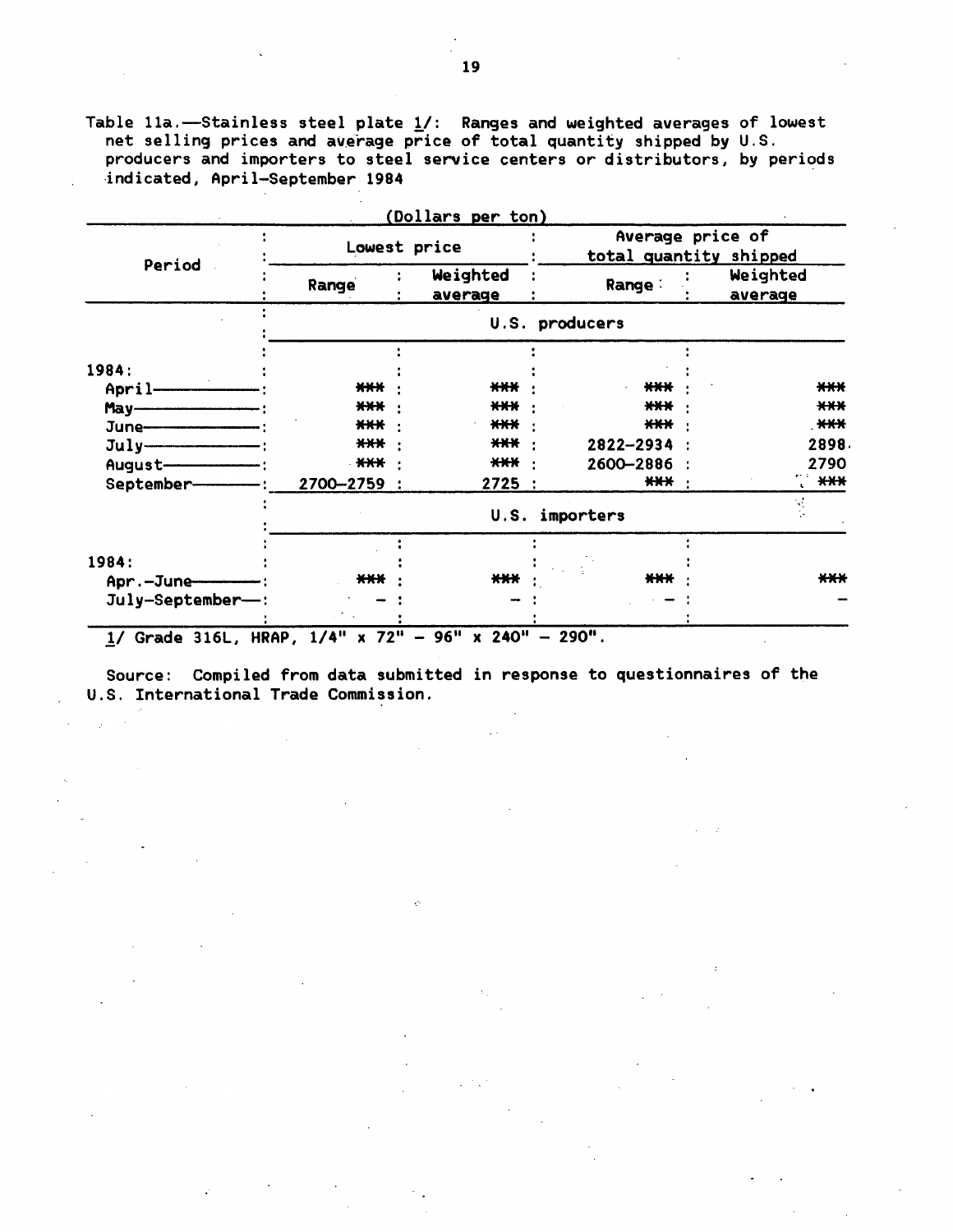Table 11a. - Stainless steel plate 1/: Ranges and weighted averages of lowest net selling prices and average price of total quantity shipped by U.S. producers and importers to steel service centers or distributors, by periods indicated, April-September 1984

|                                 |              | (Dollars per ton)   |                |                                            |  |
|---------------------------------|--------------|---------------------|----------------|--------------------------------------------|--|
|                                 | Lowest price |                     |                | Average price of<br>total quantity shipped |  |
| Period                          | Range        | Weighted<br>average | Range:         | Weighted<br>average                        |  |
|                                 |              |                     | U.S. producers |                                            |  |
| 1984:                           |              |                     |                |                                            |  |
|                                 | $***$        | $***$               | $***$          | ***                                        |  |
|                                 | $***$        | $\bf{***}$          | $***$          | $***$                                      |  |
| June-                           | $***$        | $***$               | $***$          | <b>XXX</b>                                 |  |
| $July$ = $\qquad$ :             | $***$        | $***$               | 2822-2934      | 2898                                       |  |
|                                 | . *** ·      | $***$               | 2600-2886      | 2790                                       |  |
| September---------              | 2700-2759 :  | 2725 :              | $***$          | $***$                                      |  |
|                                 |              | U.S.                | importers      |                                            |  |
|                                 |              |                     |                |                                            |  |
| 1984:                           |              |                     |                |                                            |  |
| Apr. - June                     | ***          | ***                 | ***            | $***$                                      |  |
| July-September-:                |              |                     |                |                                            |  |
| 1/ Grade 316L, HRAP, 1/4" x 72" |              | 96" x 240"          | $-290"$ .      |                                            |  |

Source: Compiled from data submitted in response to questionnaires of the U.S. International Trade Commission.

 $\mathcal{E}_{\mathcal{E}}$ 

 $\ddot{\phantom{a}}$ 

 $\bar{z}$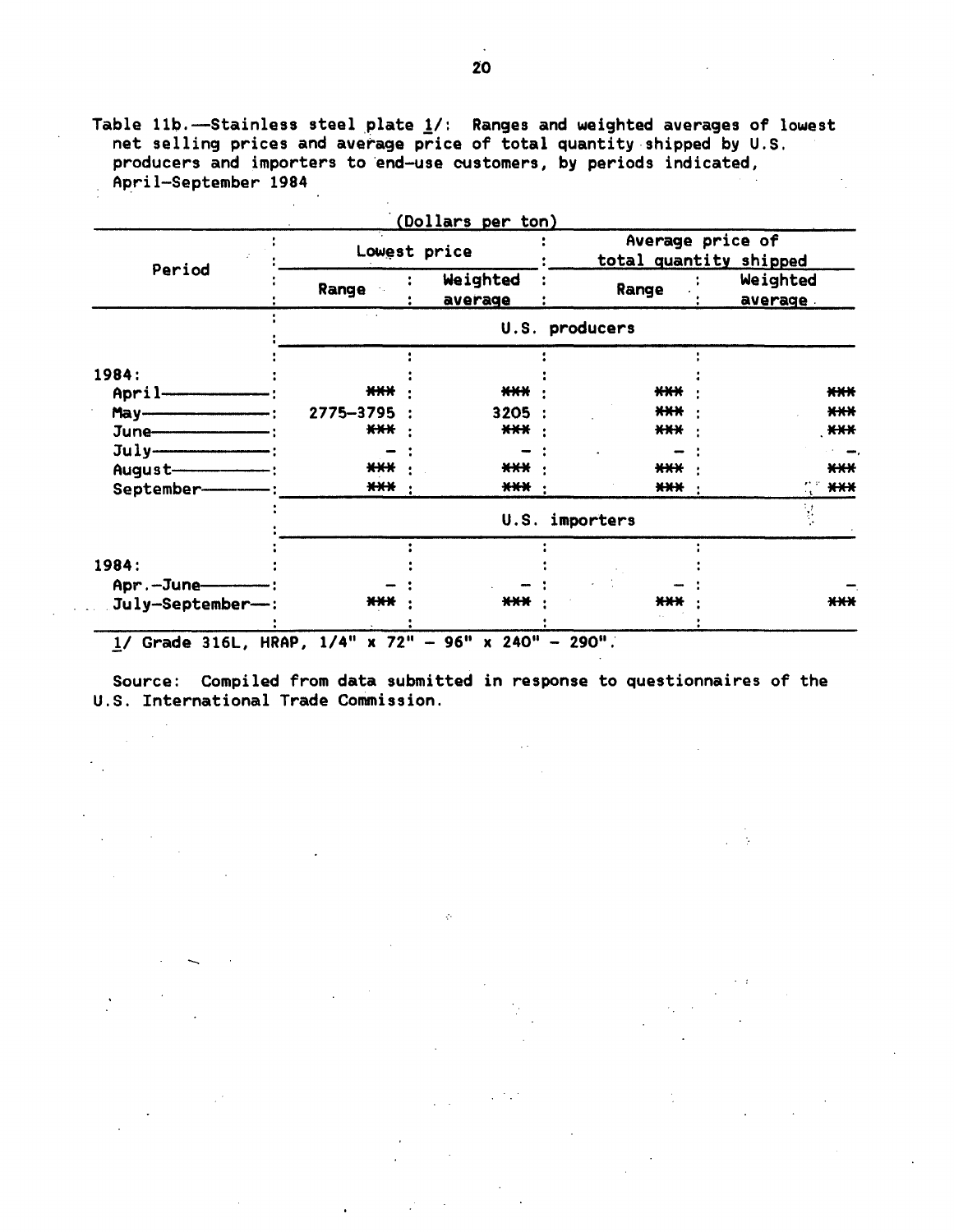Table 11b. --- Stainless steel plate  $\underline{1}/$ : Ranges and weighted averages of lowest net selling prices and average price of total quantity shipped by U.S. producers and importers to end-use customers, by periods indicated, April-September 1984

|                       |              | (Dollars per ton)   |                                            |                     |
|-----------------------|--------------|---------------------|--------------------------------------------|---------------------|
|                       | Lowest price |                     | Average price of<br>total quantity shipped |                     |
| Period                | Range        | Weighted<br>average | Range                                      | Weighted<br>average |
|                       |              |                     | U.S. producers                             |                     |
|                       |              |                     |                                            |                     |
| 1984:                 |              |                     |                                            |                     |
| April-                | ***          | $***$               | $***$                                      | $***$               |
| May-                  | 2775-3795    | 3205                | ***                                        | $***$               |
| <b>June----------</b> | $***$        | $***$               | ***                                        | ***                 |
| $July-$               |              |                     |                                            |                     |
| August-               | ***          | <b>***</b>          | $***$                                      | $***$               |
| September--------     | ***          | $***$               | ***                                        | ***                 |
|                       |              |                     | U.S. importers                             |                     |
|                       |              |                     |                                            |                     |
| 1984:                 |              |                     |                                            |                     |
|                       |              |                     |                                            |                     |
| July-September-:      | $***$        | $***$               | $***$                                      | $***$               |

1/ Grade 316L, HRAP,  $1/4''$  x 72" - 96" x 240" - 290".

÷.

 $\gamma_{\rm{th}}$ 

 $\ddot{\phantom{0}}$ 

Source: Compiled from data submitted in response to questionnaires of the U.S. International Trade Commission.

 $\sim$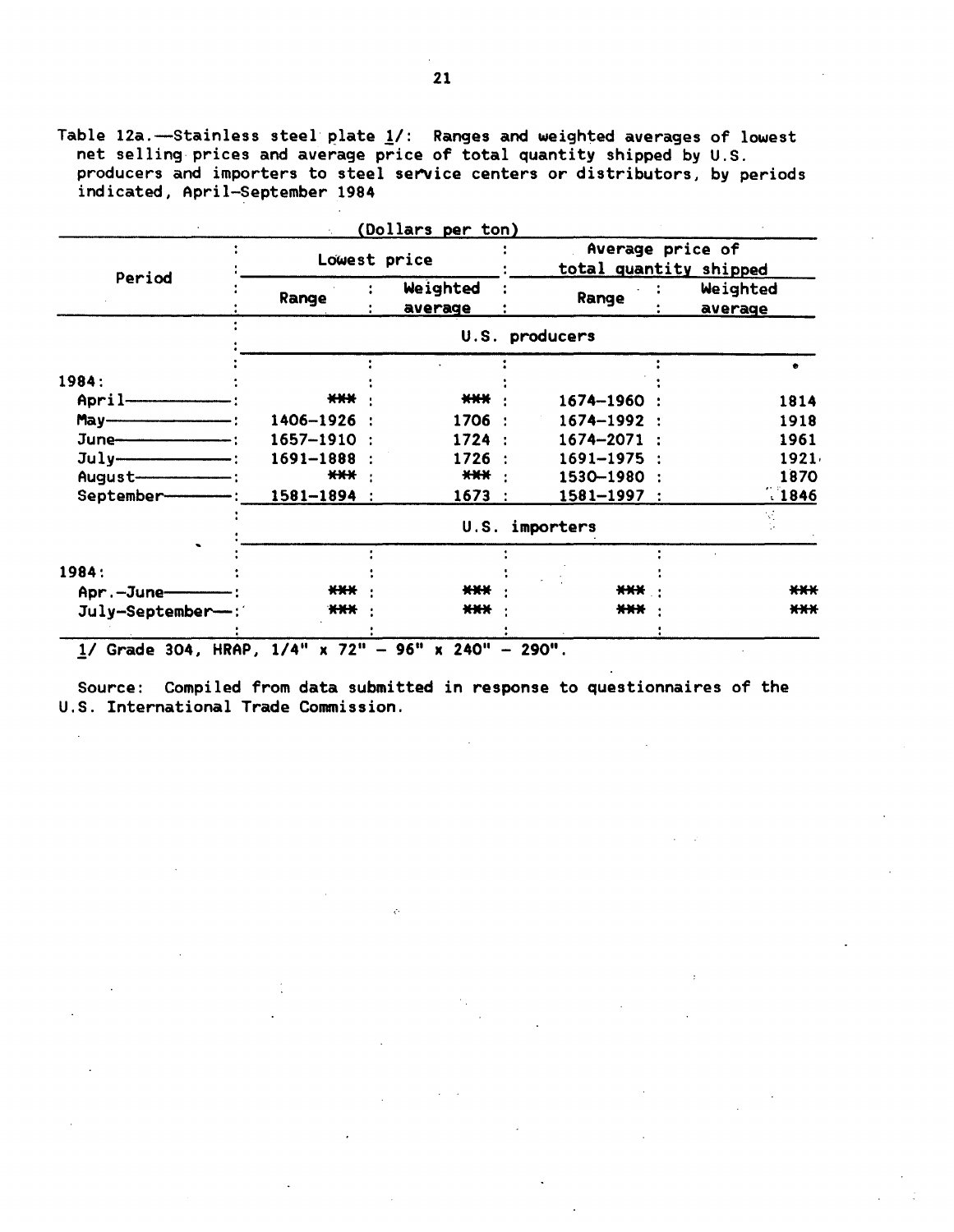Table 12a.-Stainless steel plate  $1/$ : Ranges and weighted averages of lowest net selling prices and average price of total quantity shipped by U.S. producers and importers to steel service centers or distributors, by periods indicated, April-September 1984

|                      | Lowest price      |                     |                 | Average price of<br>total quantity shipped |  |
|----------------------|-------------------|---------------------|-----------------|--------------------------------------------|--|
| Period               | Range             | Weighted<br>average | Range           | Weighted<br>average                        |  |
|                      |                   |                     | U.S. producers  |                                            |  |
| 1984:                |                   |                     |                 |                                            |  |
|                      | $\star\star\star$ | *** :               | 1674-1960 :     | 1814                                       |  |
|                      | 1406-1926 :       | 1706 :              | 1674-1992 :     | 1918                                       |  |
|                      | 1657-1910 :       | 1724:               | $1674 - 2071$ : | 1961                                       |  |
|                      | $1691 - 1888$ :   | 1726:               | $1691 - 1975$ : | 1921.                                      |  |
|                      | *** :             | $***$               | 1530-1980 :     | 1870                                       |  |
| September----------- | $1581 - 1894$ :   | 1673:               | $1581 - 1997$ : | 1846                                       |  |
|                      |                   |                     | U.S. importers  |                                            |  |
|                      |                   |                     |                 |                                            |  |
| 1984:                |                   |                     |                 |                                            |  |
| Apr.-June--------    | ***               | $***$               | *** ·           | $***$                                      |  |
| July-September--:    | $***$             | $***$               | ***             | $***$                                      |  |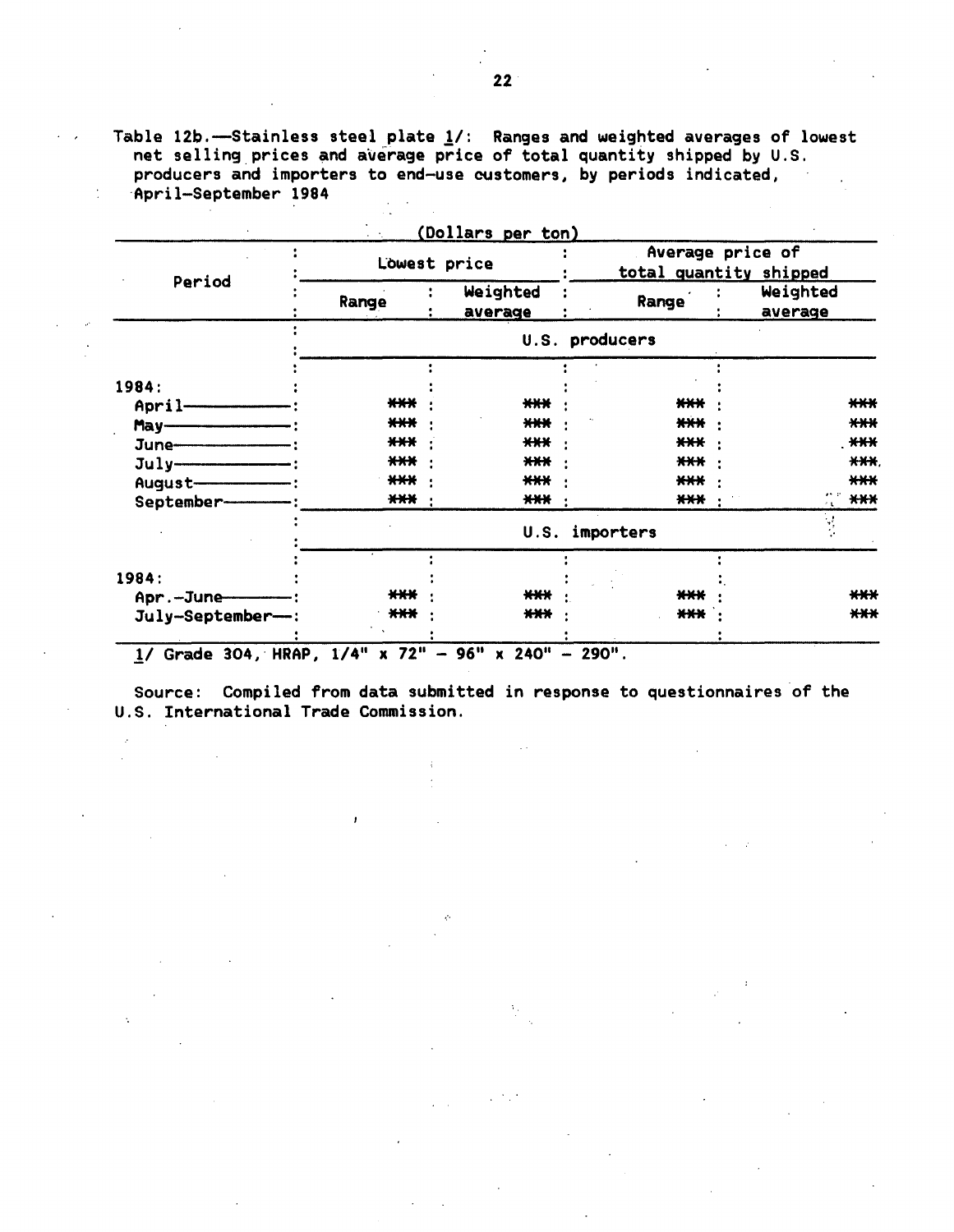Table 12b.-Stainless steel plate 1/: Ranges and weighted averages of lowest net selling prices and average price of total quantity shipped by U.S. producers and importers to end-use customers, by periods indicated,  $\mathbb{R}^2$ April-September 1984

|                   | Lowest price |                     |           | (Dollars per ton)<br>Average price of<br>total quantity shipped |                     |            |
|-------------------|--------------|---------------------|-----------|-----------------------------------------------------------------|---------------------|------------|
| Period            | Range        | Weighted<br>average | Range     |                                                                 | Weighted<br>average |            |
|                   |              | U.S.                | producers |                                                                 |                     |            |
|                   |              |                     |           |                                                                 |                     |            |
| 1984:             | ***          | $***$               | ***       |                                                                 |                     | ***        |
| $May-$            | $***$        | ***                 | $***$     |                                                                 |                     | ***        |
| June-             | ***          | ***                 | $***$     |                                                                 |                     | ***        |
| July              | $***$        | $***$               | $***$     |                                                                 |                     | $***$      |
| August-           | $***$        | ***                 | $***$     |                                                                 |                     | <b>***</b> |
| September-        | <b>***</b>   | ***                 | ***       |                                                                 |                     | $***$      |
|                   |              | U.S.                | importers |                                                                 |                     |            |
| 1984:             |              |                     |           |                                                                 |                     |            |
| Apr. - June       | <b>XXX</b>   | $***$               | ***       |                                                                 |                     | ***        |
| July-September--: | ***          | $***$               | $***$     |                                                                 |                     | $***$      |

1/ Grade 304, HRAP, 1/4" x 72" - 96" x 240" - 290".

 $\dot{\gamma}$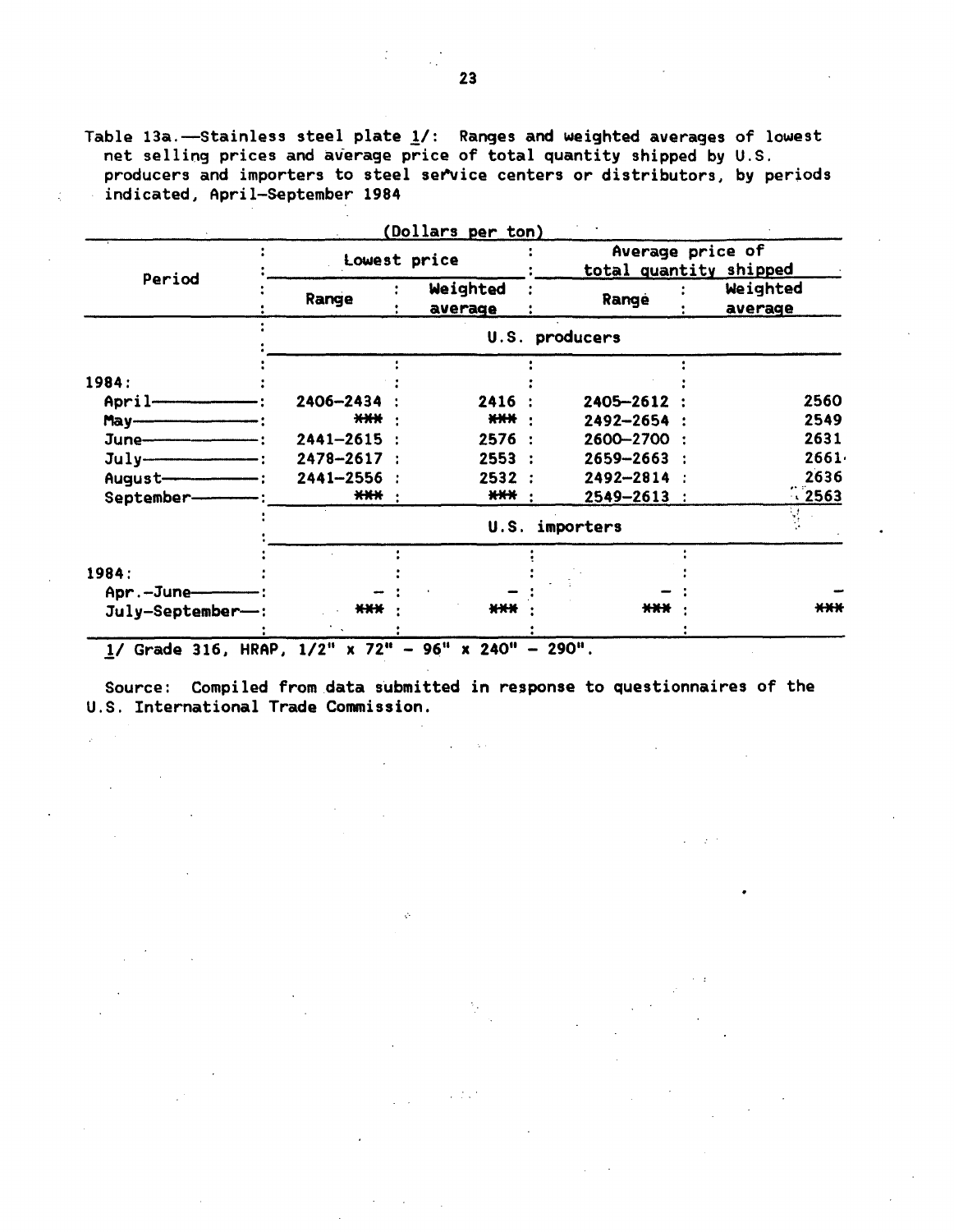Table 13a.--Stainless steel plate *11:* Ranges and weighted averages of lowest net selling prices and average price of total quantity shipped by U.S. producers and importers to steel service centers or distributors, by periods indicated, April-September 1984

|                              |                                                     | (Dollars per ton)     |                                            |                     |
|------------------------------|-----------------------------------------------------|-----------------------|--------------------------------------------|---------------------|
|                              | Lowest price                                        |                       | Average price of<br>total quantity shipped |                     |
| Period                       | Range                                               | Weighted<br>average   | Range                                      | Weighted<br>average |
|                              |                                                     |                       | U.S. producers                             |                     |
|                              |                                                     |                       |                                            |                     |
| 1984:                        |                                                     |                       |                                            |                     |
| April-                       | 2406-2434                                           | 2416                  | $2405 - 2612$ :                            | 2560                |
| <b>May-</b>                  | ***                                                 | $***$                 | 2492-2654 :                                | 2549                |
|                              | $2441 - 2615$ :                                     | 2576 :                | 2600-2700 :                                | 2631                |
|                              | $2478 - 2617$ :                                     | 2553:                 | 2659-2663 :                                | 2661                |
| August---------------------- | $2441 - 2556$ :                                     | 2532 :                | 2492-2814 :                                | 2636                |
| September--------            | <b>***</b> :                                        | $***$                 | $2549 - 2613$ :                            | 2563                |
|                              |                                                     |                       | U.S. importers                             |                     |
|                              |                                                     |                       |                                            |                     |
| 1984:                        |                                                     |                       |                                            |                     |
| Apr.-June-                   |                                                     |                       |                                            |                     |
| July-September-:             | ***                                                 | $***$                 | $***$                                      | $***$               |
|                              | $\overline{1}$ $\overline{1}$ $\overline{1}$<br>--- | --<br>$A$ $A$ $A$ $B$ | <b>AAAH</b>                                |                     |

*11* Grade 316, HRAP, 1/2" x 72" - 96" x 240" - 290".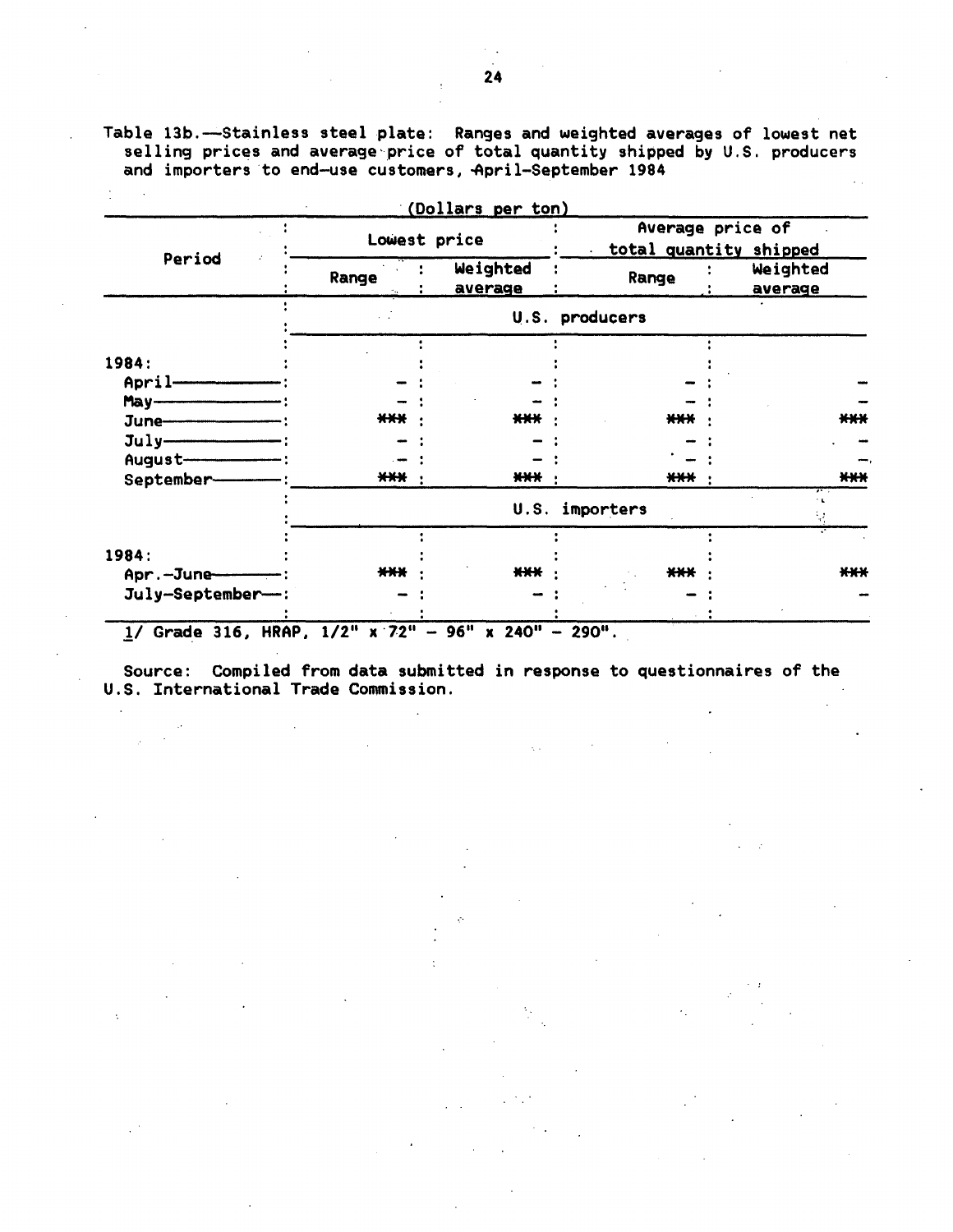Table 13b.-Stainless steel plate: Ranges and weighted averages of lowest net selling prices and average-price of total quantity shipped by U.S. producers and importers to end-use customers, April-September 1984

|                                                                                                                                                                                                                                                                                                                                                                                      |                  | (Dollars per ton)   |                |                                            |  |
|--------------------------------------------------------------------------------------------------------------------------------------------------------------------------------------------------------------------------------------------------------------------------------------------------------------------------------------------------------------------------------------|------------------|---------------------|----------------|--------------------------------------------|--|
| Period                                                                                                                                                                                                                                                                                                                                                                               | Lowest price     |                     |                | Average price of<br>total quantity shipped |  |
|                                                                                                                                                                                                                                                                                                                                                                                      | Range            | Weighted<br>average | Range          | Weighted<br>average                        |  |
|                                                                                                                                                                                                                                                                                                                                                                                      |                  |                     | U.S. producers |                                            |  |
|                                                                                                                                                                                                                                                                                                                                                                                      |                  |                     |                |                                            |  |
| 1984:<br>April-                                                                                                                                                                                                                                                                                                                                                                      |                  |                     |                |                                            |  |
| $May-$                                                                                                                                                                                                                                                                                                                                                                               |                  |                     |                |                                            |  |
|                                                                                                                                                                                                                                                                                                                                                                                      | $***$            | $***$               | $***$          | ***                                        |  |
|                                                                                                                                                                                                                                                                                                                                                                                      |                  |                     |                |                                            |  |
| August-                                                                                                                                                                                                                                                                                                                                                                              |                  |                     |                |                                            |  |
| September-------                                                                                                                                                                                                                                                                                                                                                                     | *** :            | $***$               | $***$          | $***$                                      |  |
|                                                                                                                                                                                                                                                                                                                                                                                      |                  | U.S.                | importers      |                                            |  |
|                                                                                                                                                                                                                                                                                                                                                                                      |                  |                     |                |                                            |  |
| 1984:                                                                                                                                                                                                                                                                                                                                                                                |                  |                     |                |                                            |  |
| Apr.-June                                                                                                                                                                                                                                                                                                                                                                            | ***              | $***$               | $***$          | ***                                        |  |
| July-September-:                                                                                                                                                                                                                                                                                                                                                                     |                  |                     |                |                                            |  |
| $\overline{a}$ $\overline{b}$ $\overline{a}$ $\overline{b}$ $\overline{a}$ $\overline{a}$ $\overline{a}$ $\overline{a}$ $\overline{a}$ $\overline{a}$ $\overline{a}$ $\overline{a}$ $\overline{a}$ $\overline{a}$ $\overline{a}$ $\overline{a}$ $\overline{a}$ $\overline{a}$ $\overline{a}$ $\overline{a}$ $\overline{a}$ $\overline{a}$ $\overline{a}$ $\overline{a}$ $\overline{$ | $-1 - 11$<br>--- | <b>APR</b><br>----  | $- 11$         |                                            |  |

 $1/$  Grade 316, HRAP,  $1/2''$  x  $72''$  - 96" x 240" - 290".

 $\epsilon$  $\lambda$ 

 $\overline{a}$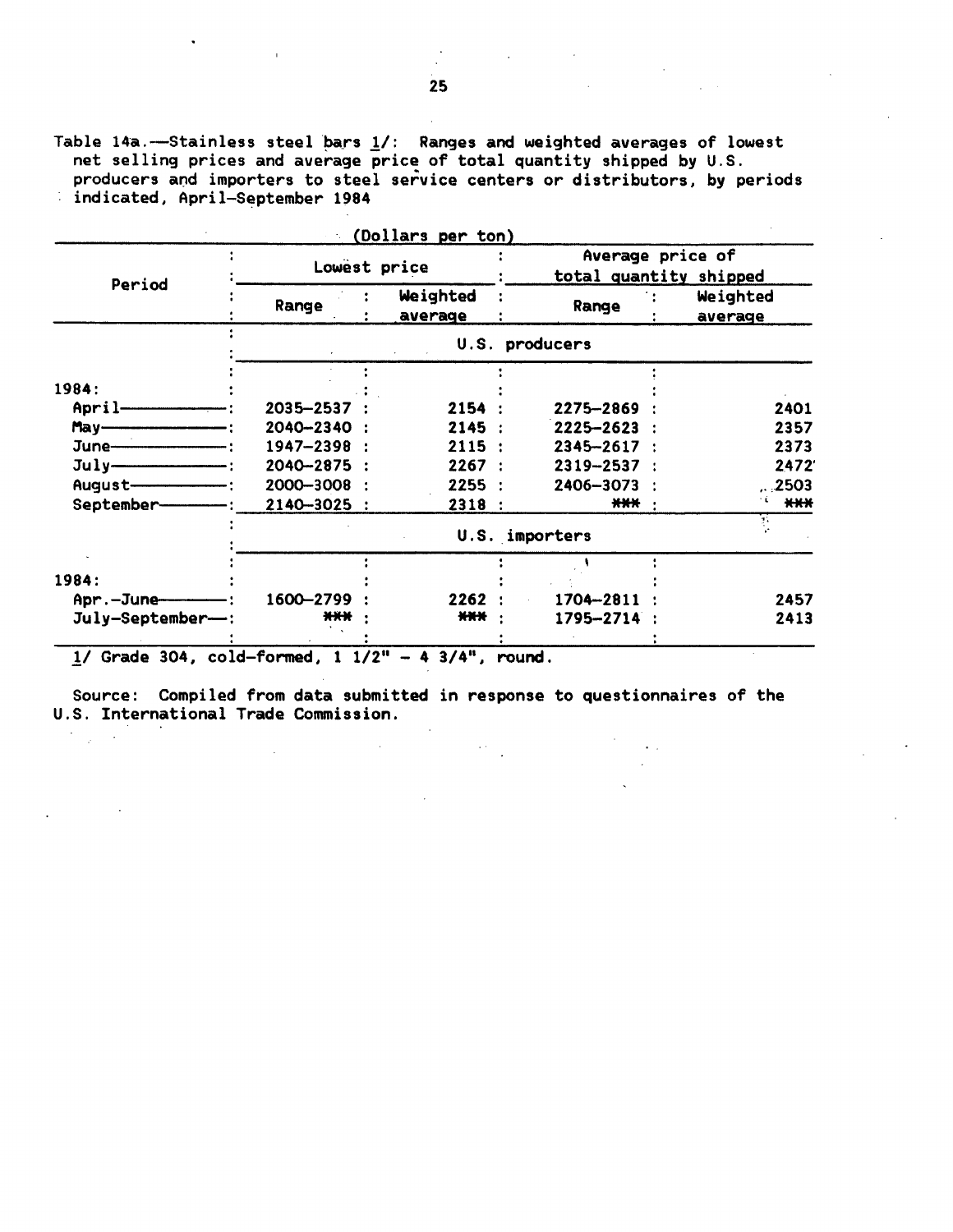Table 14a. --Stainless steel bars  $1/$ : Ranges and weighted averages of lowest net selling prices and average price of total quantity shipped by U.S. producers and importers to steel service centers or distributors, by periods indicated, April-September 1984

|                       |                 | (Dollars per ton)   |                 |                                            |  |
|-----------------------|-----------------|---------------------|-----------------|--------------------------------------------|--|
| Period                | Lowest price    |                     |                 | Average price of<br>total quantity shipped |  |
|                       | Range           | Weighted<br>average | Range           | Weighted<br>average                        |  |
|                       |                 | U.S.                | producers       |                                            |  |
|                       |                 |                     |                 |                                            |  |
| 1984:                 |                 |                     |                 |                                            |  |
| April—                | $2035 - 2537$ : | 2154:               | 2275-2869       | 2401                                       |  |
| $May-$                | 2040-2340 :     | 2145:               | $2225 - 2623$ : | 2357                                       |  |
| June-                 | 1947-2398 :     | 2115:               | 2345-2617 :     | 2373                                       |  |
|                       | 2040-2875 :     | 2267:               | 2319-2537 :     | 2472                                       |  |
| August-               | 2000-3008       | 2255:               | 2406-3073       | .2503                                      |  |
| September------------ | 2140-3025 :     | 2318:               | *** :           | $***$                                      |  |
|                       |                 |                     | U.S. importers  |                                            |  |
|                       |                 |                     |                 |                                            |  |
| 1984:                 |                 |                     |                 |                                            |  |
| Apr.–June–            | 1600-2799       | 2262                | 1704-2811       | 2457                                       |  |
| $July-September-$ :   | $***$           | $***$               | 1795-2714       | 2413                                       |  |
|                       |                 |                     |                 |                                            |  |

.!/Grade 304, cold-formed, 1 1/2" - 4 3/4", round.

Source: Compiled from data submitted in response to questionnaires of the U.S. International Trade Commission.

 $\frac{1}{2} \frac{1}{2} \frac{1}{2}$ 

 $\sim 10$  $\mathcal{L}$ 

and a state of the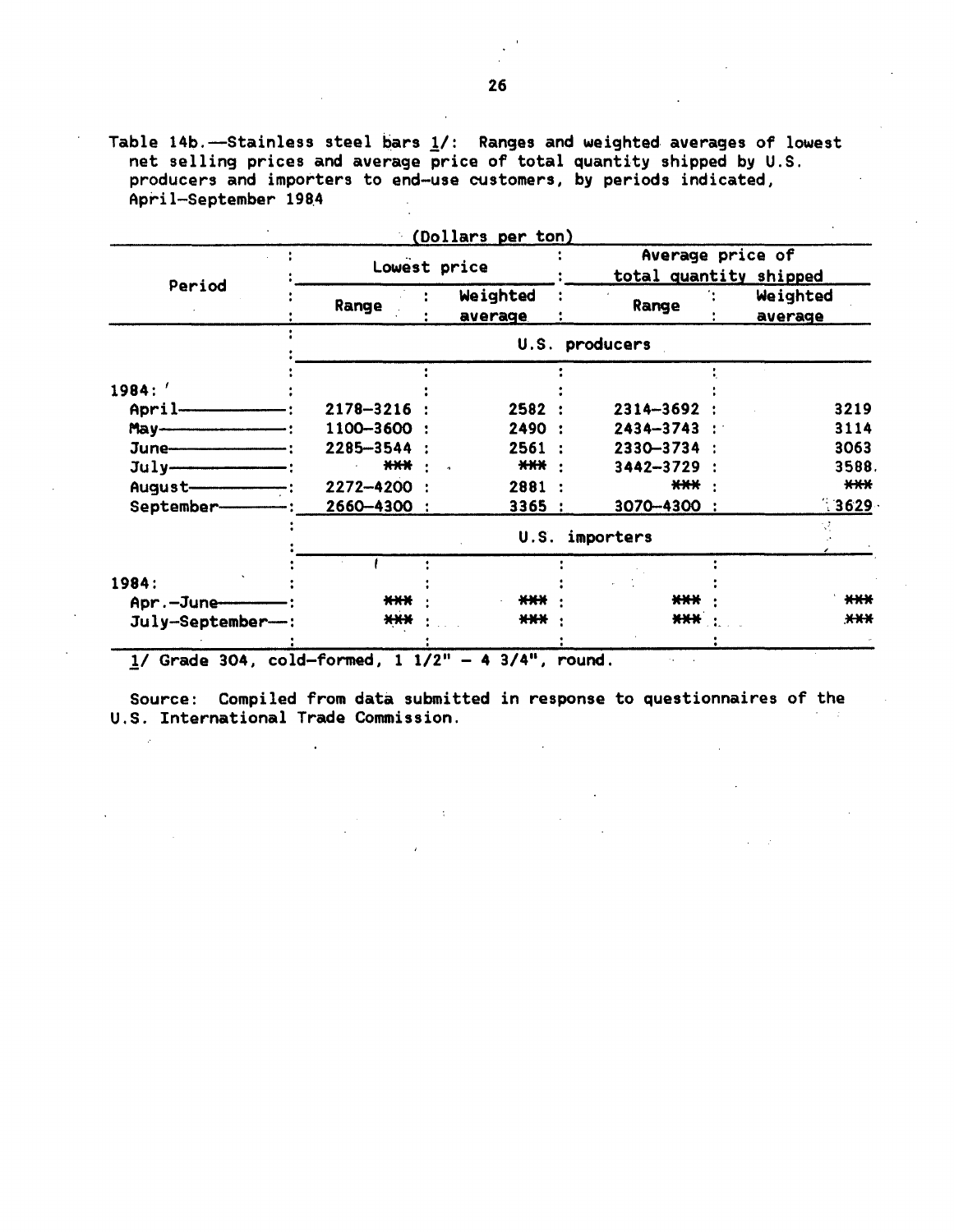Table 14b.-Stainless steel bars  $1/$ : Ranges and weighted averages of lowest net selling prices and average price of total quantity shipped by U.S. producers and importers to end-use customers, by periods indicated, Apri I-September 198.4

| Period            | Lowest price   |                                | (Dollars per ton) | Average price of<br>total quantity shipped |  |
|-------------------|----------------|--------------------------------|-------------------|--------------------------------------------|--|
|                   | Range          | Weighted<br>average            | Range             | Weighted<br>average                        |  |
|                   | U.S. producers |                                |                   |                                            |  |
|                   |                |                                |                   |                                            |  |
| 1984:             |                |                                |                   |                                            |  |
|                   | 2178-3216      | 2582                           | 2314-3692         | 3219                                       |  |
| $May-$            | 1100-3600:     | 2490 :                         | 2434-3743         | 3114                                       |  |
| June——            | 2285-3544      | 2561                           | 2330-3734 :       | 3063                                       |  |
| July              | $***$          | $***$<br>$\tilde{\mathcal{L}}$ | 3442-3729         | 3588.                                      |  |
| August-           | 2272-4200      | 2881 :                         | $***$             | $***$                                      |  |
| September-        | 2660-4300 :    | 3365 :                         | 3070-4300:        | 3629                                       |  |
|                   |                |                                | U.S. importers    |                                            |  |
|                   |                |                                |                   |                                            |  |
| 1984:             |                |                                |                   |                                            |  |
|                   | ***            | $***$                          | $***$             | $***$                                      |  |
| July-September--: | ***            | $***$                          | ***               | ***                                        |  |

 $1/$  Grade 304, cold-formed,  $1 1/2" - 4 3/4"$ , round.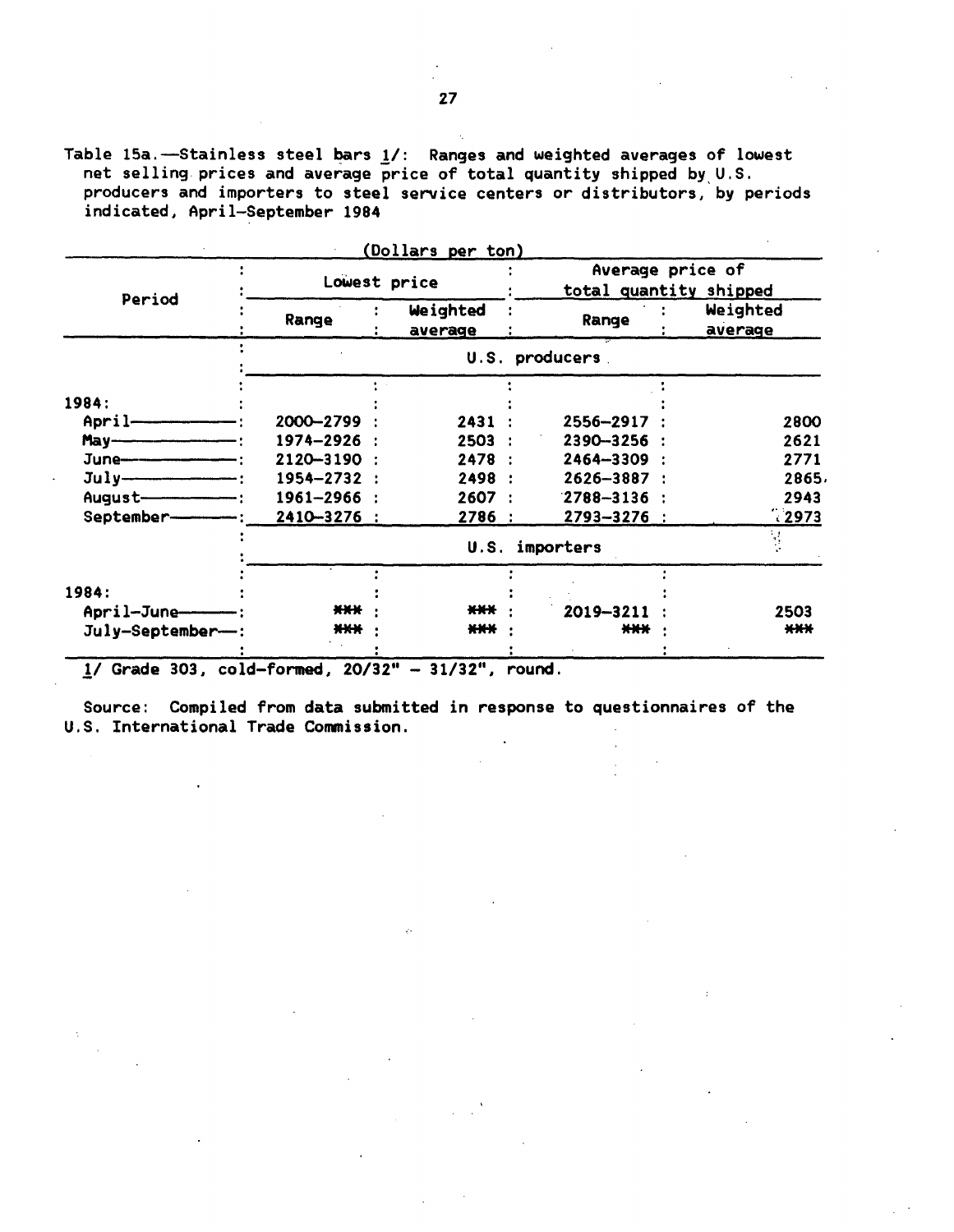Table 15a.<sup>-</sup>Stainless steel bars 1/: Ranges and weighted averages of lowest net selling prices and average price of total quantity shipped by U.S. producers and importers to steel service centers or distributors,'by periods indicated, April-September 1984

| Period                | Lowest price    |                     |                 | Average price of<br>total quantity shipped |  |  |
|-----------------------|-----------------|---------------------|-----------------|--------------------------------------------|--|--|
|                       | Range           | Weighted<br>average | Range           | Weighted<br>average                        |  |  |
|                       |                 |                     | U.S. producers. |                                            |  |  |
|                       |                 |                     |                 |                                            |  |  |
| 1984:<br>April-       | 2000-2799       | 2431 :              | 2556-2917       | 2800                                       |  |  |
| $May-$                | 1974-2926       | 2503 :              | 2390-3256       | 2621                                       |  |  |
| June----------------- | 2120-3190 :     | 2478 :              | $2464 - 3309$ : | 2771                                       |  |  |
|                       | 1954-2732 :     | 2498 :              | $2626 - 3887$ : | 2865.                                      |  |  |
|                       | $1961 - 2966$ : | 2607 :              | $2788 - 3136$ : | 2943                                       |  |  |
| September--------     | $2410 - 3276$ : | 2786 :              | $2793 - 3276$ : | 2973                                       |  |  |
|                       |                 |                     |                 |                                            |  |  |
|                       |                 |                     |                 |                                            |  |  |
| 1984:                 |                 |                     |                 |                                            |  |  |
| $April-June$ — $$     | $***$           | ***                 | 2019-3211       | 2503                                       |  |  |
| July-September-:      | ***             | ***                 | <b>***</b>      | $***$                                      |  |  |

!/Grade 303, cold-formed, 20/32" - 31/32", round.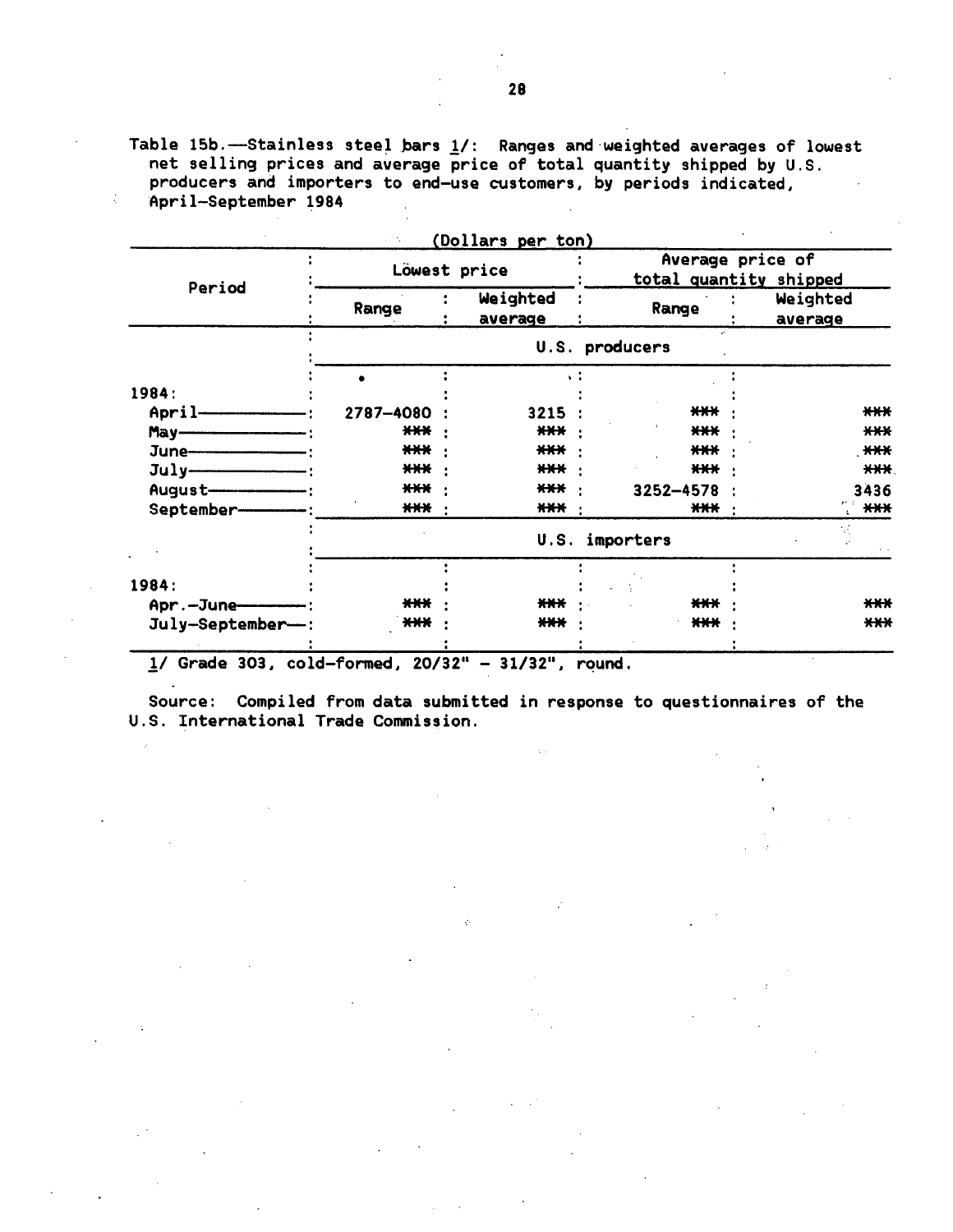Table 15b.-Stainless steel bars  $1/$ : Ranges and weighted averages of lowest net selling prices and average price of total quantity shipped by U.S. producers and importers to end-use customers, by periods indicated, April-September 1984

| Period                       | Lõwest price | (Dollars per ton)   | Average price of<br>total quantity shipped |                     |  |
|------------------------------|--------------|---------------------|--------------------------------------------|---------------------|--|
|                              | Range        | Weighted<br>average | Range                                      | Weighted<br>average |  |
|                              |              |                     | U.S. producers                             |                     |  |
|                              |              |                     |                                            |                     |  |
| 1984:                        |              |                     |                                            |                     |  |
| April-                       | 2787-4080    | 3215                | $***$                                      | $***$               |  |
|                              | ***          | ***                 | $***$                                      | $***$               |  |
|                              | $***$        | ***                 | ***                                        | $***$               |  |
| $July$ = $\qquad$ :          | $****$       | $***$               | $***$                                      | <b>***</b>          |  |
| August---------------------- | $***$        | <b>***</b>          | 3252-4578                                  | 3436                |  |
| September----------          | $***$        | ***                 | $***$                                      | $***$               |  |
|                              |              |                     |                                            |                     |  |
|                              |              |                     |                                            |                     |  |
| 1984:                        |              |                     |                                            |                     |  |
| Apr.-June-                   | $***$        | ***                 | $***$                                      | ***                 |  |
| July-September-:             | ***          | $***$               | $***$                                      | $***$               |  |

1/ Grade 303, cold-formed, 20/32" - 31/32", round.

÷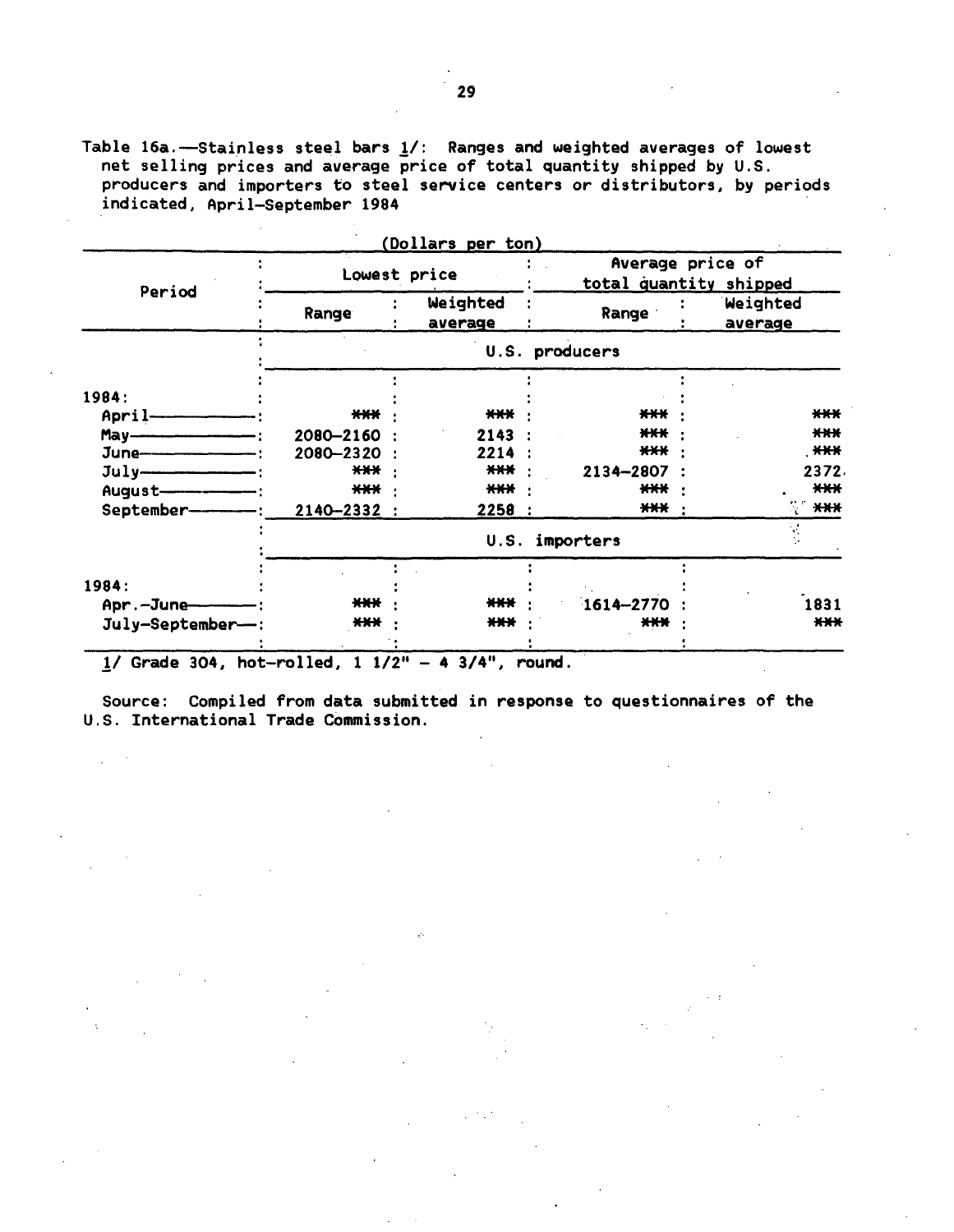Table 16a. --Stainless steel bars  $\underline{1}/$ : Ranges and weighted averages of lowest net selling prices and average price of total quantity shipped by U.S. producers and importers to steel service centers or distributors, by periods indicated, April-September 1984

| Period                     | Lowest price    | (Dollars per ton)   |                | Average price of<br>total quantity shipped |  |  |
|----------------------------|-----------------|---------------------|----------------|--------------------------------------------|--|--|
|                            | Range           | Weighted<br>average | Range          | Weighted<br>average                        |  |  |
|                            |                 |                     | U.S. producers |                                            |  |  |
|                            |                 |                     |                |                                            |  |  |
| 1984:                      | $***$           | $***$               | $***$          | ***                                        |  |  |
| $May-$                     | 2080-2160 :     | 2143:               | $***$          | $***$                                      |  |  |
|                            | 2080-2320       | 2214                | $***$          | <b>***</b>                                 |  |  |
| $July$ :                   | $***$           | $***$               | 2134-2807      | 2372.                                      |  |  |
| August-------------------- | *** :           | $***$               | ***            | ***                                        |  |  |
| September-------           | $2140 - 2332$ : | 2258 :              | <b>***</b>     | $***$<br>N.                                |  |  |
|                            |                 |                     |                |                                            |  |  |
|                            |                 |                     |                |                                            |  |  |
| 1984:                      |                 |                     |                |                                            |  |  |
| Apr.-June-                 | ***             | $***$               | $1614 - 2770$  | 1831                                       |  |  |
| July-September-:           | $***$           | ***                 | $***$          | $****$                                     |  |  |

 $1/$  Grade 304, hot-rolled,  $1 1/2" - 4 3/4"$ , round.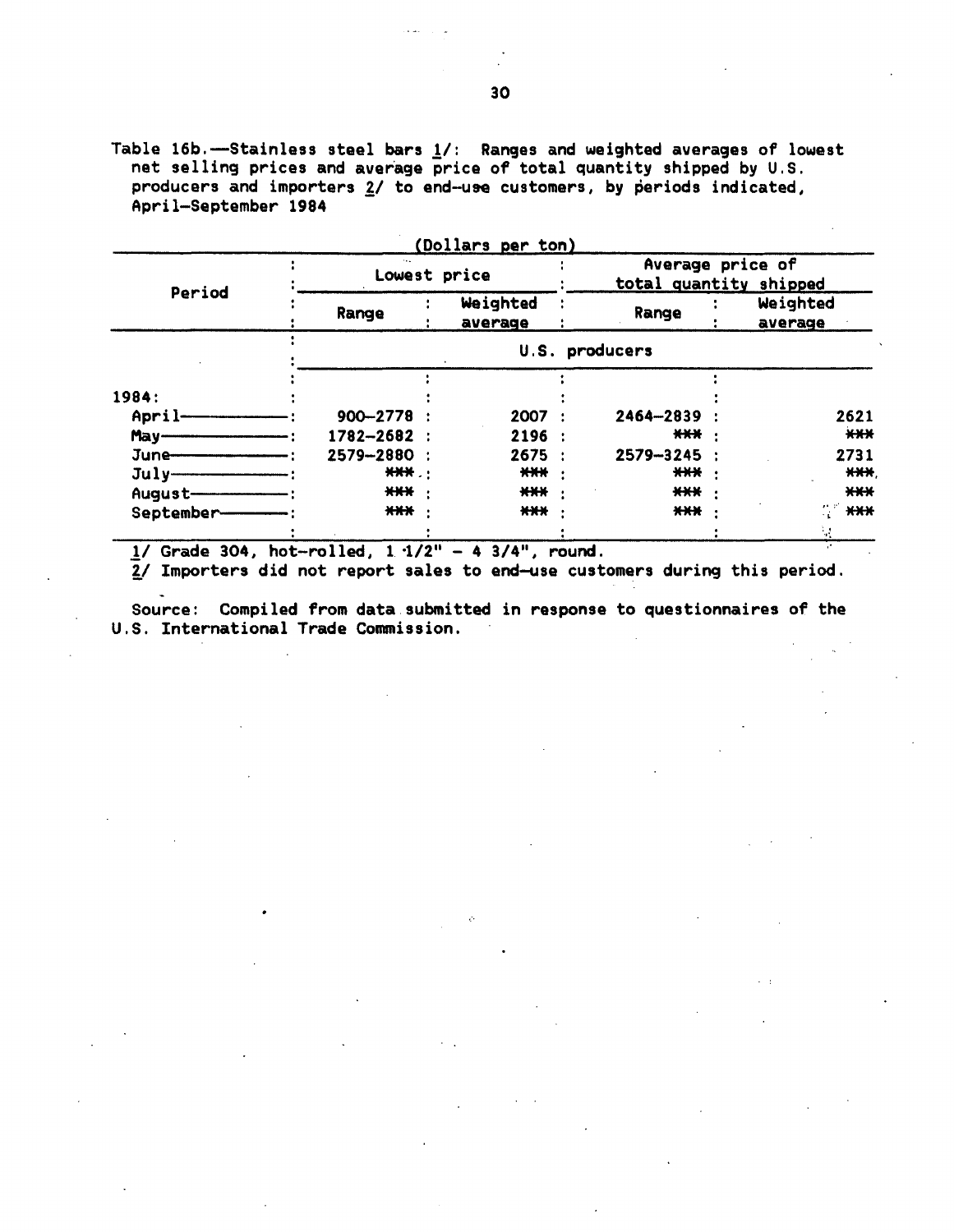Table  $16b.$  -Stainless steel bars  $1/$ : Ranges and weighted averages of lowest net selling prices and average price of total quantity shipped by U.S. producers and importers  $2/$  to end-use customers, by periods indicated, April-September 1984

|              |                           | (Dollars per ton)   |  |                                            |  |                     |  |
|--------------|---------------------------|---------------------|--|--------------------------------------------|--|---------------------|--|
| Period       | $\ddotsc$<br>Lowest price |                     |  | Average price of<br>total quantity shipped |  |                     |  |
|              | Range                     | Weighted<br>average |  | Range                                      |  | Weighted<br>average |  |
|              | U.S. producers            |                     |  |                                            |  |                     |  |
|              |                           |                     |  |                                            |  |                     |  |
| 1984:        |                           |                     |  |                                            |  |                     |  |
| April-       | $900 - 2778$ :            | 2007 :              |  | 2464-2839 :                                |  | 2621                |  |
| $May-$       | $1782 - 2682$ :           | 2196:               |  | $***$                                      |  | $***$               |  |
| June-        | 2579-2880 :               | 2675                |  | 2579-3245                                  |  | 2731                |  |
| $July-$      | <b>***</b> :              | *** :               |  | $***$                                      |  | $***$               |  |
| $Augus$ t——— | <b>***</b>                | $***$               |  | $***$                                      |  | $***$               |  |
| September-   | ***                       | $***$               |  | $***$                                      |  | $***$               |  |
|              |                           |                     |  |                                            |  |                     |  |

 $1/$  Grade 304, hot-rolled,  $1.1/2" - 4.3/4"$ , round.

2/ Importers did not report sales to end-use customers during this period.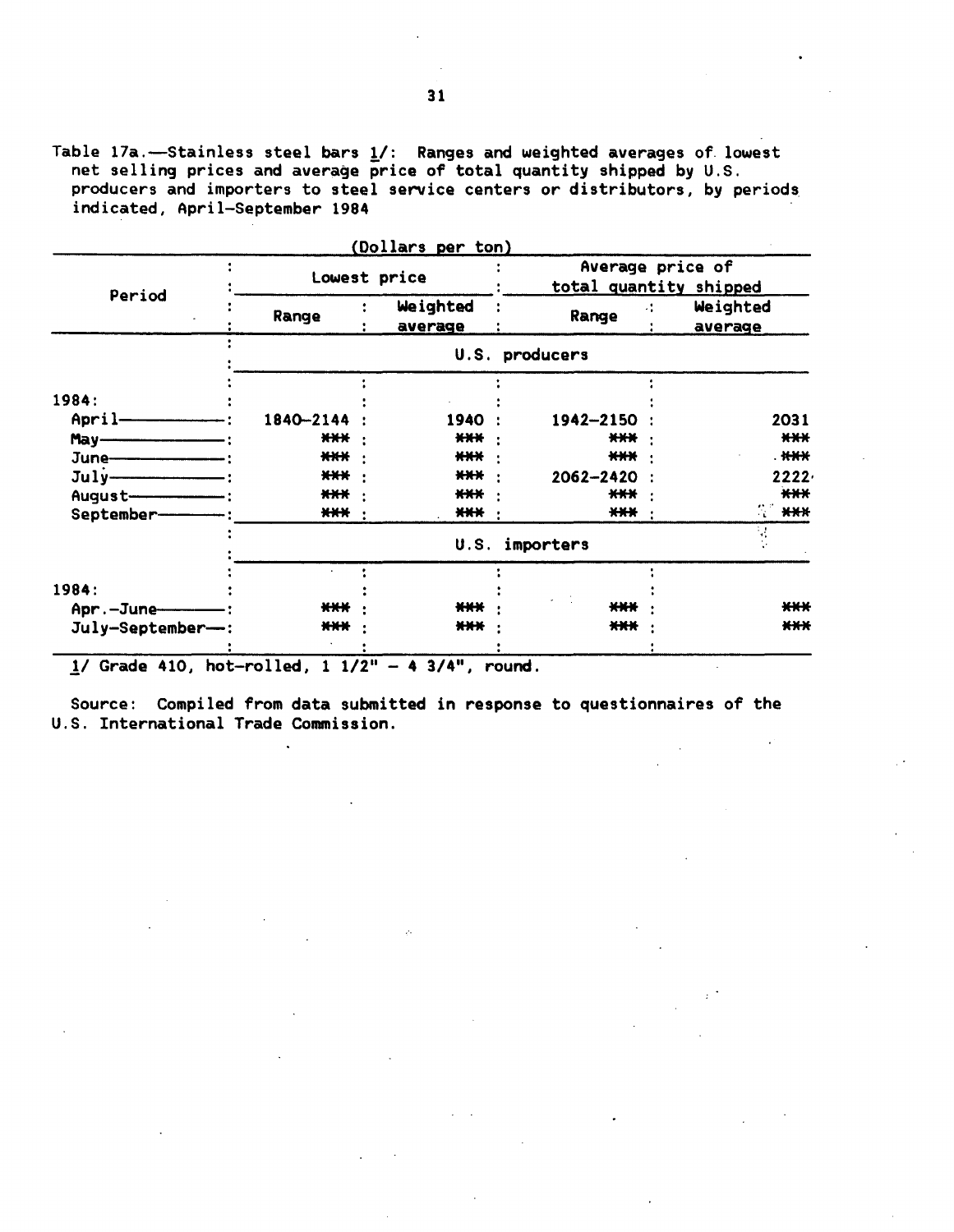Table 17a. --- Stainless steel bars  $\underline{1}/$ : Ranges and weighted averages of lowest net selling prices and average price of total quantity shipped by U.S. producers and importers to steel service centers or distributors, by periods indicated, April-September 1984

÷.

 $\overline{a}$   $\overline{a}$ 

|                                         | Lowest price                                                                  |                                 | Average price of<br>total quantity shipped                    |  |  |
|-----------------------------------------|-------------------------------------------------------------------------------|---------------------------------|---------------------------------------------------------------|--|--|
| Range                                   | Weighted<br>average                                                           | Range                           | Weighted<br>average                                           |  |  |
|                                         |                                                                               |                                 |                                                               |  |  |
|                                         |                                                                               |                                 |                                                               |  |  |
|                                         |                                                                               |                                 | 2031                                                          |  |  |
|                                         |                                                                               | ***                             | $***$                                                         |  |  |
| $***$                                   | $***$                                                                         | $***$                           | . ***                                                         |  |  |
| $***$                                   | $***$                                                                         | 2062-2420                       | 2222                                                          |  |  |
| $***$<br>August------------------------ | ***                                                                           | $***$                           | $****$                                                        |  |  |
| $***$<br>September------                | <b>***</b>                                                                    | $***$                           | S.<br>$***$                                                   |  |  |
|                                         |                                                                               |                                 |                                                               |  |  |
|                                         |                                                                               |                                 |                                                               |  |  |
|                                         |                                                                               |                                 |                                                               |  |  |
|                                         |                                                                               |                                 | <b>***</b>                                                    |  |  |
|                                         |                                                                               |                                 | $***$                                                         |  |  |
|                                         | 1840-2144<br>***<br>$***$<br>Apr.-June-------<br>$***$<br>$July-September-$ : | 1940<br>$***$<br>$***$<br>$***$ | U.S. producers<br>1942-2150<br>U.S. importers<br>$***$<br>*** |  |  |

Source: Compiled from data submitted in response to questionnaires of the U.S. International Trade Commission.

 $\mathbf{r}$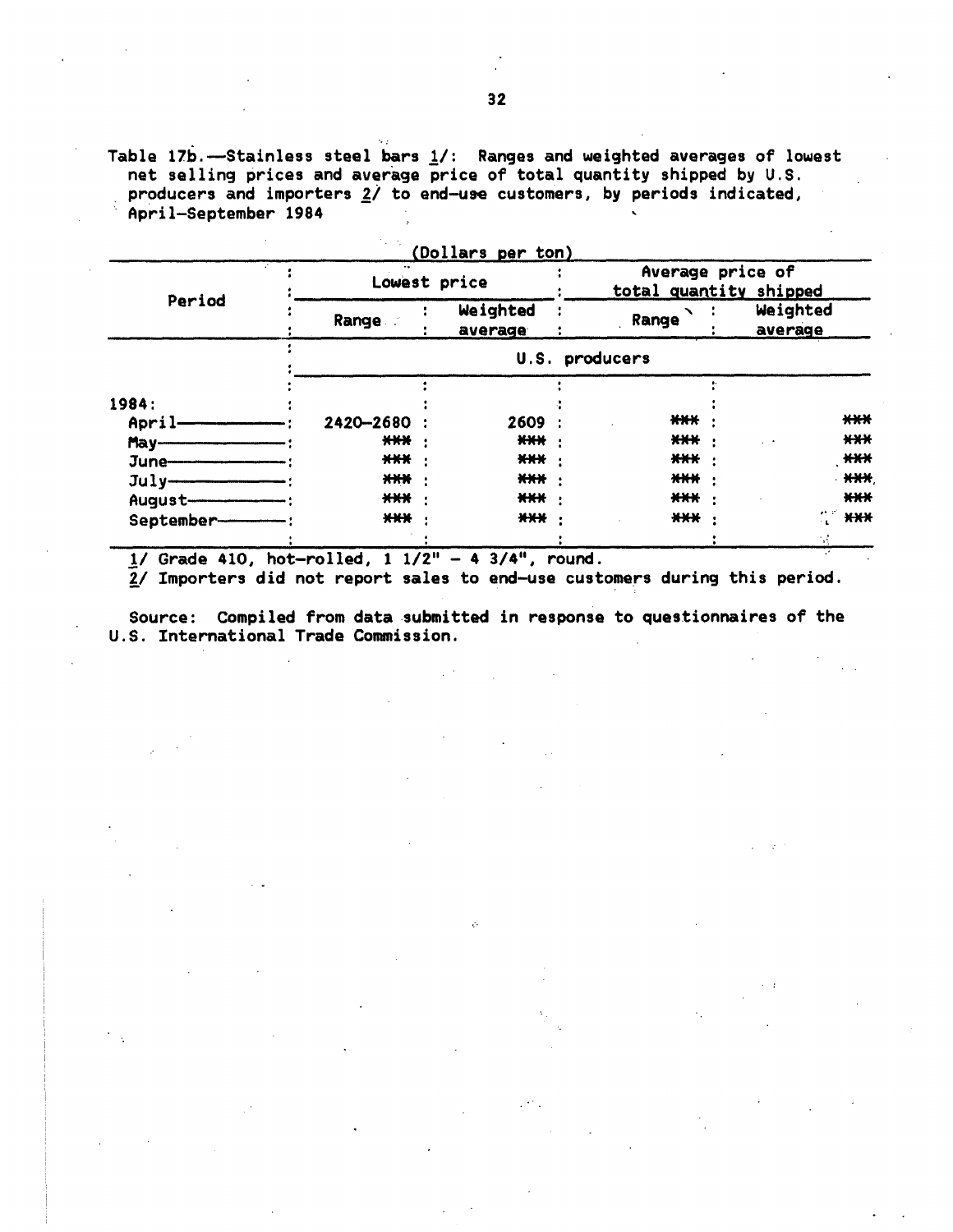Table  $17b.$  -Stainless steel bars  $1/$ : Ranges and weighted averages of lowest net selling prices and average price of total quantity shipped by U.S. producers and importers  $2/$  to end-use customers, by periods indicated, April-September 1984

....

| Period     |                | Lowest price        |  | Average price of<br>total quantity shipped |                                                    |  |  |
|------------|----------------|---------------------|--|--------------------------------------------|----------------------------------------------------|--|--|
|            | Range.         | Weighted<br>average |  | Range                                      | Weighted<br>average                                |  |  |
|            | U.S. producers |                     |  |                                            |                                                    |  |  |
|            |                |                     |  |                                            |                                                    |  |  |
| 1984:      |                |                     |  |                                            |                                                    |  |  |
| April      | 2420-2680      | 2609                |  | $***$                                      | ***                                                |  |  |
| May-       | $***$          | <b>***</b>          |  | $***$                                      | $***$                                              |  |  |
| June-      | $***$          | *** :               |  | *** :                                      | $***$                                              |  |  |
| $July-$    | $***$          | ***                 |  | $***$                                      | $***$                                              |  |  |
| August-    | $***$          | $***$               |  | ***                                        | $***$                                              |  |  |
| September- | $***$          | *** :               |  | $***$                                      | $\mathbf{r} \in \mathbb{R}^n$<br>$\star\star\star$ |  |  |

 $1/$  Grade 410, hot-rolled, 1  $1/2$ <sup>n</sup> - 4 3/4<sup>n</sup>, round.

2/ Importers did not report sales to end-use customers during this period.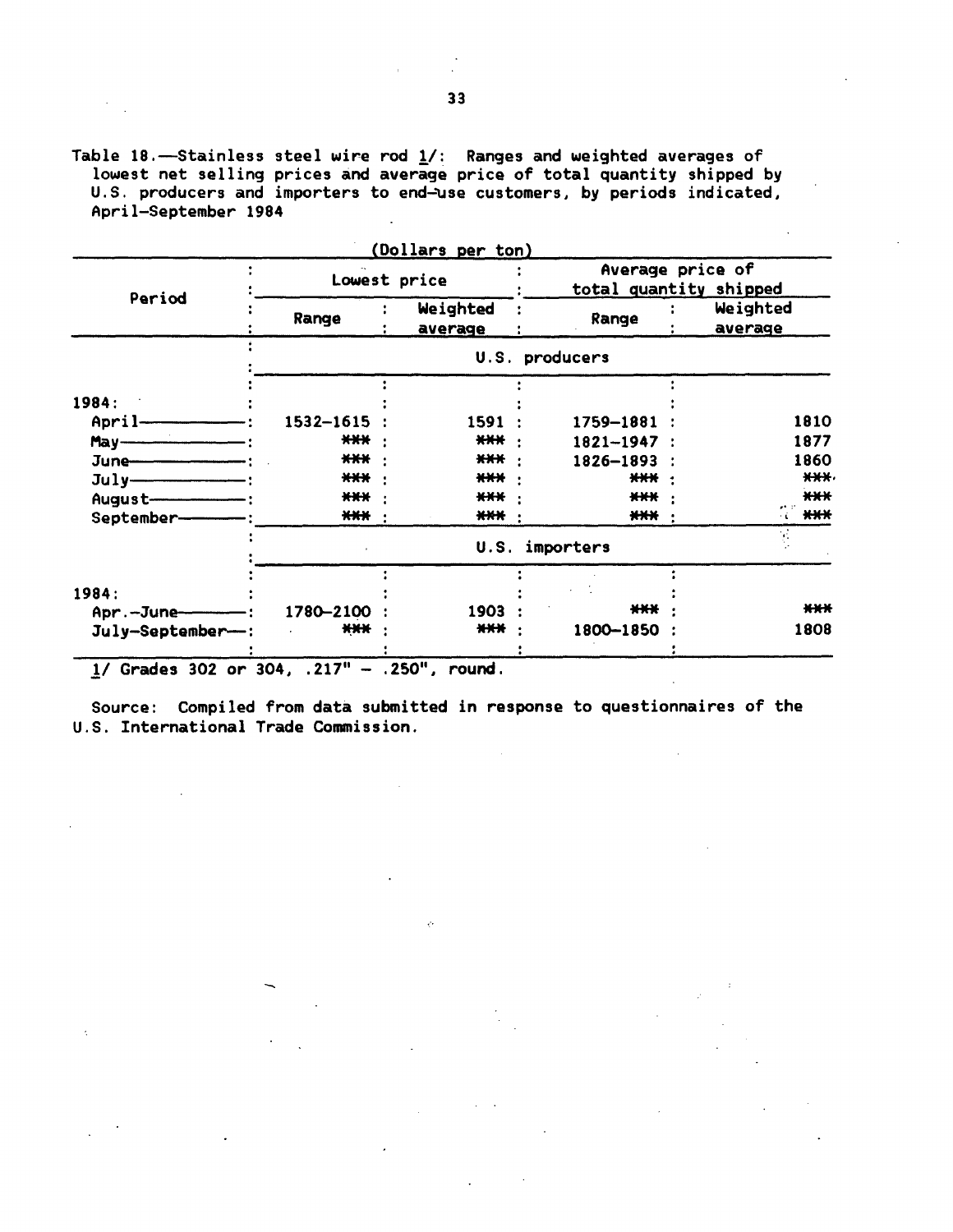Table 18.—Stainless steel wire rod  $\underline{1}/$ : Ranges and weighted averages of<br>lowest net selling prices and average price of total quantity shipped by<br>U.S. producers and importers to end-use customers, by periods indicated April-September 1984

| Period              | Lowest price |                     |                 | Average price of<br>total quantity shipped |  |  |
|---------------------|--------------|---------------------|-----------------|--------------------------------------------|--|--|
|                     | Range        | Weighted<br>average | Range           | Weighted<br>average                        |  |  |
|                     |              |                     | U.S. producers  |                                            |  |  |
| 1984:               |              |                     |                 |                                            |  |  |
| $April-$            | 1532-1615    | 1591                | 1759-1881 :     | 1810                                       |  |  |
|                     | ***          | $***$               | $1821 - 1947$ : | 1877                                       |  |  |
| June-               | ***          | $***$               | 1826-1893 :     | 1860                                       |  |  |
| $July$ :            | $***$        | $***$               | $***$           | $\mathbf{***}$                             |  |  |
| August-             | $***$        | $***$               | $***$           | $***$                                      |  |  |
| September-------    | <b>XXX :</b> | <b>***</b> :        | <b>***</b> :    | $***$                                      |  |  |
|                     |              | U.S. importers      |                 |                                            |  |  |
|                     |              |                     |                 |                                            |  |  |
| 1984:               |              |                     |                 |                                            |  |  |
| Apr.-June---------  | 1780-2100    | 1903                | ***             | $***$                                      |  |  |
| $July-September--:$ | ***          | ***                 | 1800-1850       | 1808                                       |  |  |

1/ Grades 302 or 304, .217" - .250", round.

Source: Compiled from data submitted in response to questionnaires of the U.S. International Trade Commission.

 $\mathcal{L}_{\mathcal{F}}$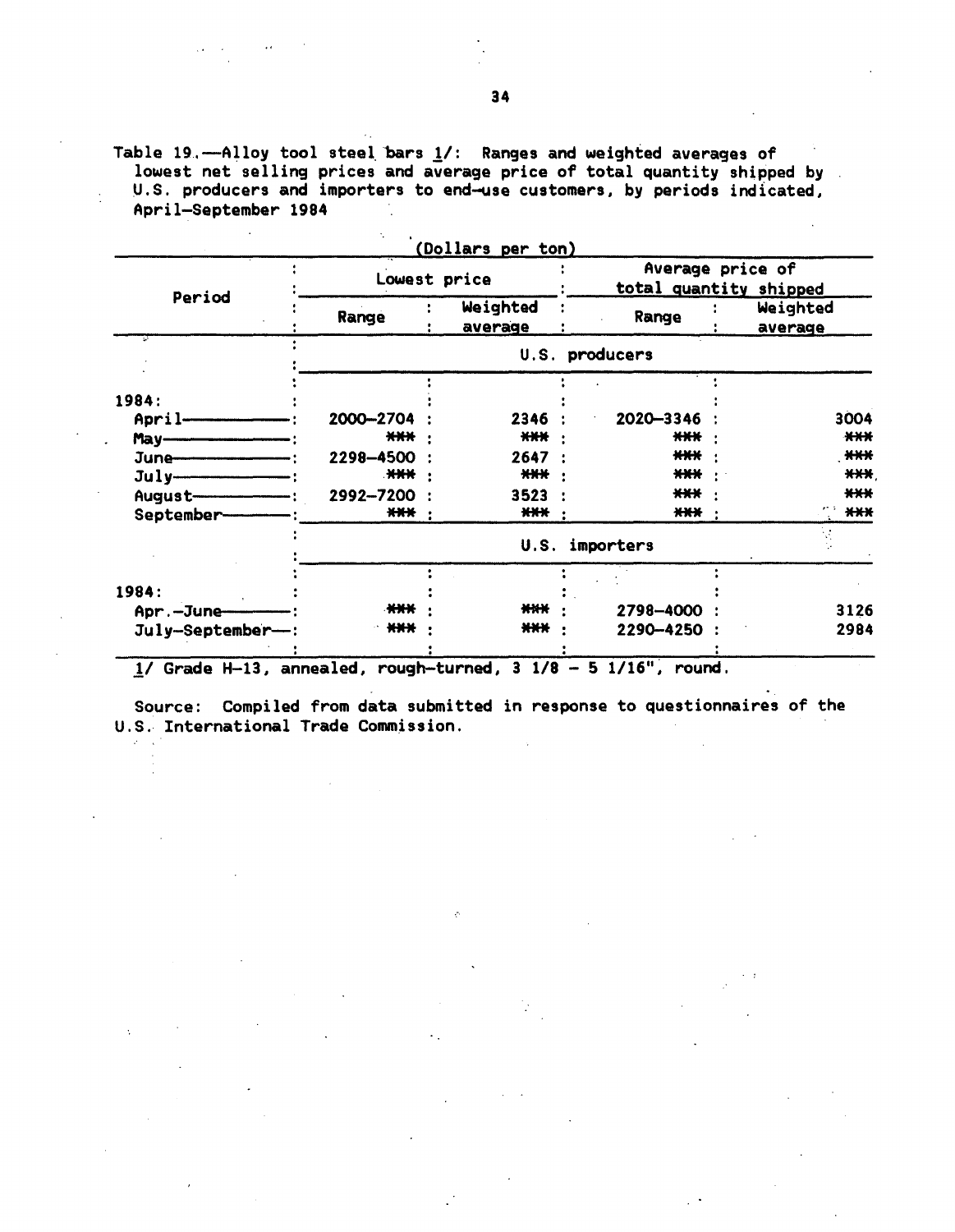Table 19. - Alloy tool steel bars 1/: Ranges and weighted averages of lowest net selling prices and average price of total quantity shipped by U.S. producers and importers to end-use customers, by periods indicated, April-September 1984

|                        | Lowest price |                     | (Dollars per ton)    | Average price of       |                     |  |
|------------------------|--------------|---------------------|----------------------|------------------------|---------------------|--|
| Period                 |              |                     |                      | total quantity shipped |                     |  |
|                        | Range        | Weighted<br>average | Range                |                        | Weighted<br>average |  |
|                        |              | U.S.                | producers            |                        |                     |  |
|                        |              |                     |                      |                        |                     |  |
| 1984:                  |              |                     |                      |                        |                     |  |
| April-                 | 2000-2704    | 2346                | 2020-3346            |                        | 3004                |  |
| May-                   | ***          | $***$               | ***                  |                        | $****$              |  |
| <b>June-----------</b> | 2298-4500    | 2647                | $***$                |                        | $***$               |  |
| July                   | ***          | $***$               | $***$                |                        | $***$               |  |
| August-                | 2992-7200    | 3523                | $***$                |                        | $***$               |  |
| September-             | ***          | <b>***</b>          | $***$                |                        | ***                 |  |
|                        |              |                     | U.S. importers       |                        |                     |  |
|                        |              |                     |                      |                        |                     |  |
| 1984:                  |              |                     |                      |                        |                     |  |
| Apr.-June-             | ***          | $***$               | 2798-4000            |                        | 3126                |  |
| July-September-:       | <b>***</b>   | $***$               | 2290-4250            |                        | 2984                |  |
|                        |              |                     | $\sim$ $\sim$ $\sim$ |                        |                     |  |

 $1/$  Grade H-13, annealed, rough-turned,  $3 \frac{1}{8} - \frac{5}{116}$ , round.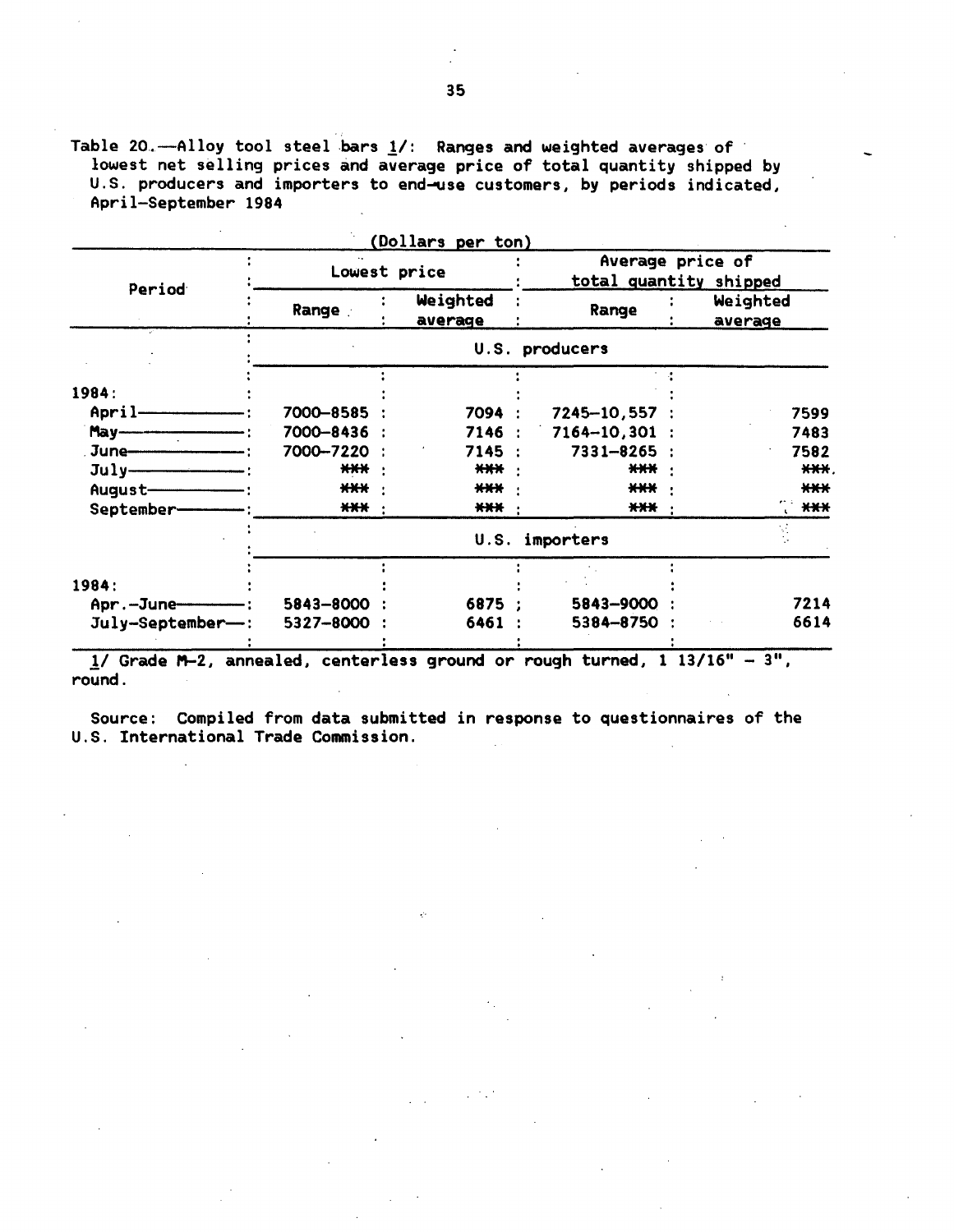Table 20.--Alloy tool steel bars  $1/$ : Ranges and weighted averages of lowest net selling prices and average price of total quantity shipped by U.S. producers and importers to end-use customers, by periods indicated, April-September 1984

|                          | Lowest price      |                      | Average price of<br>total quantity shipped |  |                     |  |  |
|--------------------------|-------------------|----------------------|--------------------------------------------|--|---------------------|--|--|
| Period                   | Range             | Weighted<br>average  | Range                                      |  | Weighted<br>average |  |  |
|                          | U.S. producers    |                      |                                            |  |                     |  |  |
|                          |                   |                      |                                            |  |                     |  |  |
| 1984:                    |                   |                      |                                            |  |                     |  |  |
| April <del>_______</del> | 7000-8585         | 7094<br>$\mathbf{r}$ | 7245-10,557                                |  | 7599                |  |  |
| $May-$                   | 7000-8436         | 7146 :               | 7164-10,301                                |  | 7483                |  |  |
| June—                    | 7000-7220         | 7145 :               | 7331-8265                                  |  | 7582                |  |  |
|                          | $***$<br>- 6      | $***$                | $***$                                      |  | ***.                |  |  |
| August-                  | ***               | ***                  | $***$                                      |  | ***                 |  |  |
| September---------       | <b>XXX :</b>      | $***$                | $***$                                      |  | $***$               |  |  |
|                          | U.S.<br>importers |                      |                                            |  |                     |  |  |
|                          |                   |                      |                                            |  |                     |  |  |
| 1984:                    |                   |                      |                                            |  |                     |  |  |
| Apr.-June-               | 5843-8000         | 6875                 | 5843-9000                                  |  | 7214                |  |  |
| July-September--:        | 5327-8000         | 6461                 | 5384-8750                                  |  | 6614                |  |  |

.!/ Grade M-2, annealed, centerless ground or rough turned, 1 13/16" - 3", round.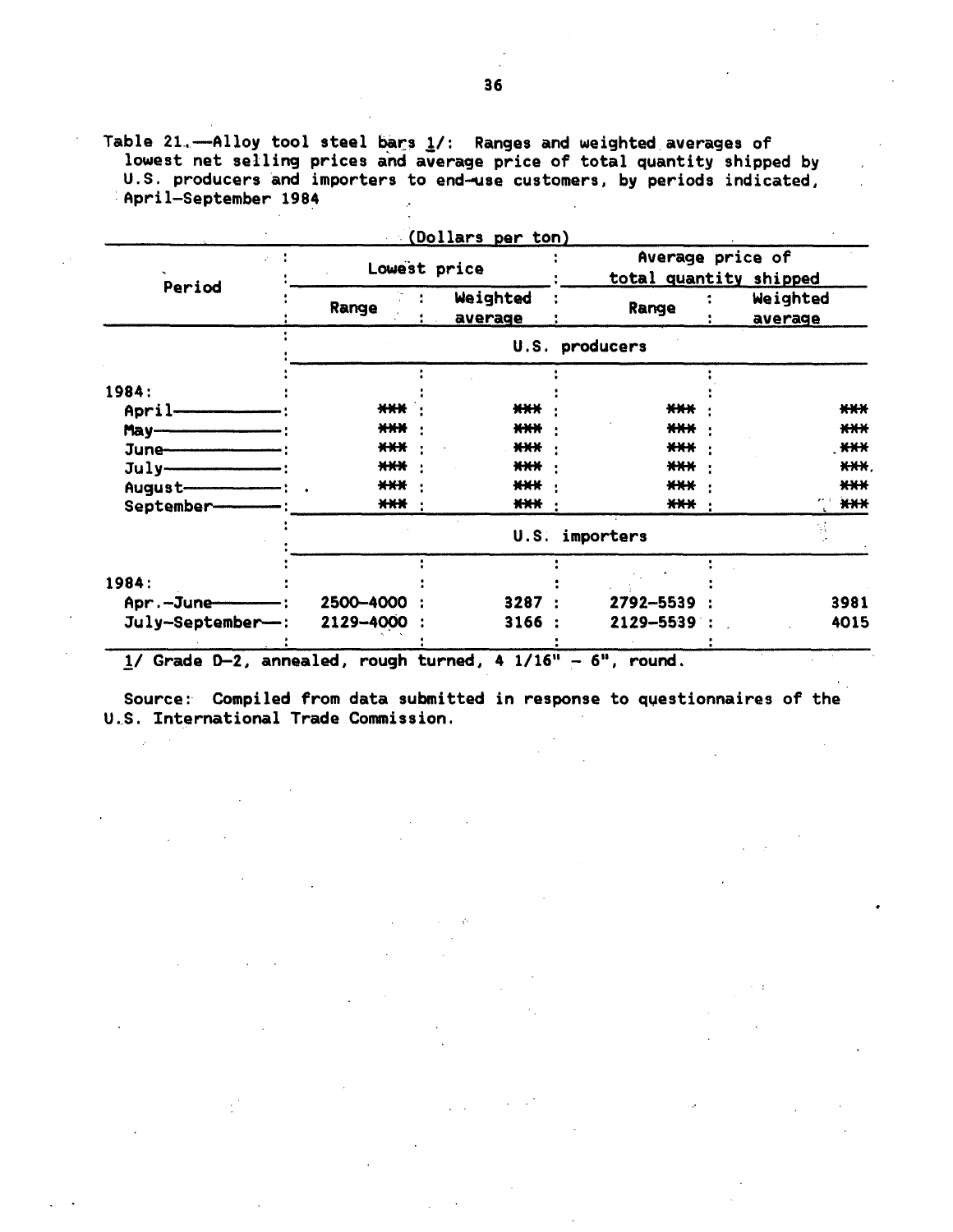Table 21.-Alloy tool steel bars 1/: Ranges and weighted averages of lowest net selling prices and average price of total quantity shipped by U.S. producers and importers to end-use customers, by periods indicated, April-September 1984

> $\sim 10$  $\sim$

|                  |              | <u>(Dollars per ton)</u> |                |                                            |  |  |
|------------------|--------------|--------------------------|----------------|--------------------------------------------|--|--|
| Period           | Lowest price |                          |                | Average price of<br>total quantity shipped |  |  |
|                  | Range        | Weighted<br>average      | Range          | Weighted<br>average                        |  |  |
|                  |              |                          | U.S. producers |                                            |  |  |
| 1984:            |              |                          |                |                                            |  |  |
| April-           | ***          | ***                      | $***$          | ***                                        |  |  |
| $May-$           | $***$        | $***$                    | ***            | $***$                                      |  |  |
| June-            | ***          | $***$                    | ***            | $,$ XXX                                    |  |  |
| $July-$          | $***$        | $***$                    | $***$          | $***$                                      |  |  |
|                  | $***$        | $***$                    | $***$          | ***                                        |  |  |
| September-       | $***$        | ***                      | $***$          | $***$                                      |  |  |
|                  |              |                          |                |                                            |  |  |
|                  |              |                          |                |                                            |  |  |
| 1984:            |              |                          |                |                                            |  |  |
| Apr.-June-       | 2500-4000    | 3287:                    | 2792-5539      | 3981                                       |  |  |
| July-September-: | 2129-4000    | 3166:                    | 2129-5539 :    | 4015                                       |  |  |

1/ Grade  $D-2$ , annealed, rough turned, 4  $1/16" - 6"$ , round.

Source: Compiled from data submitted in response to questionnaires of the U.S. International Trade Commission.

ý.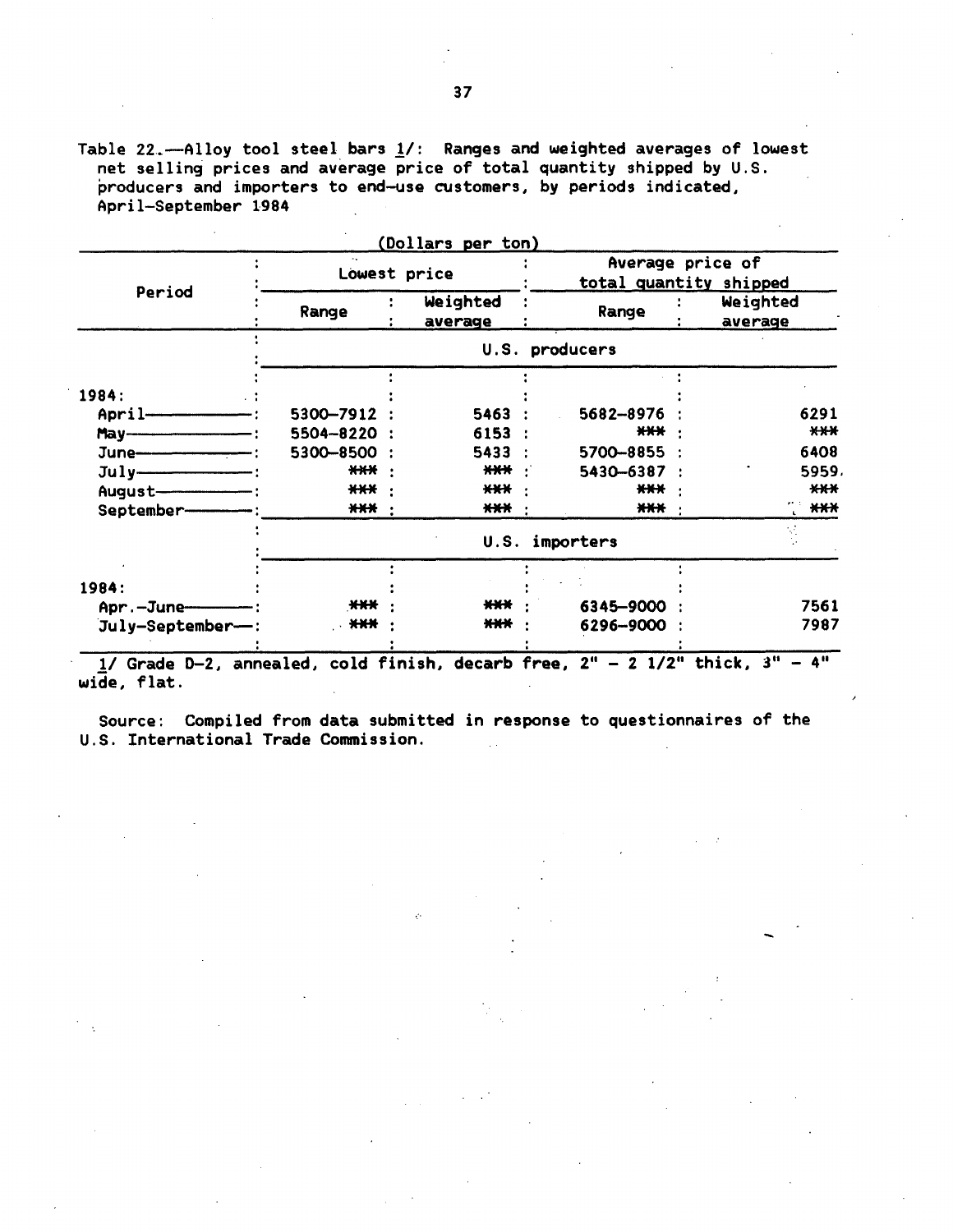Table 22.-Alloy tool steel bars  $1/$ : Ranges and weighted averages of lowest net selling prices and average price of total quantity shipped by U.S. producers and importers to end-use customers, by periods indicated, April-September 1984

| Period                             | Lowest price   |                     |              | (Dollars per ton)<br>Average price of<br>total quantity shipped |  |  |
|------------------------------------|----------------|---------------------|--------------|-----------------------------------------------------------------|--|--|
|                                    | Range          | Weighted<br>average | Range        | Weighted<br>average                                             |  |  |
|                                    |                |                     |              |                                                                 |  |  |
| 1984:                              |                |                     |              |                                                                 |  |  |
|                                    | 5300-7912 :    | 5463:               | 5682-8976    | 6291                                                            |  |  |
|                                    | 5504-8220 :    | 6153 :              | $***$        | ***                                                             |  |  |
|                                    | 5300-8500 :    | 5433:               | 5700-8855    | 6408                                                            |  |  |
| $J \mathbf{u}$ $1$ y — — — — — — : | *** :          | $***$               | 5430-6387 :  | 5959.                                                           |  |  |
| August-                            | $***$          | $***$               | $***$        | $***$                                                           |  |  |
| September------------              | <b>***</b>     | *** :               | $\mathbf{H}$ | ***                                                             |  |  |
|                                    | U.S. importers |                     |              |                                                                 |  |  |
|                                    |                |                     |              |                                                                 |  |  |
| 1984:                              |                |                     |              |                                                                 |  |  |
| Apr.-June-                         | ***            | $***$               | 6345-9000    | 7561                                                            |  |  |
| July-September--:                  | <b>HXX</b>     | ***                 | 6296-9000    | 7987                                                            |  |  |

wide, flat.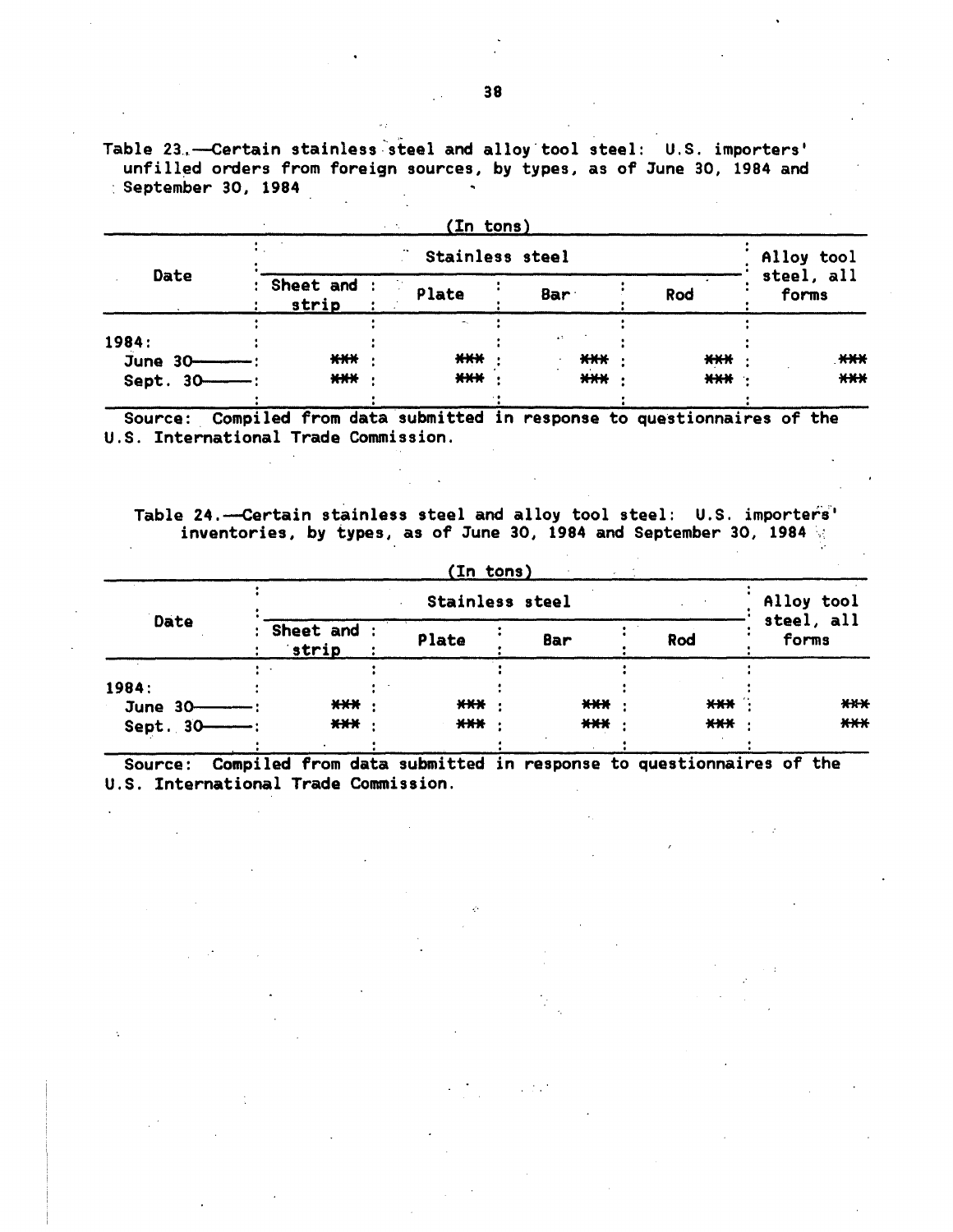Table 23. - Certain stainless steel and alloy tool steel: U.S. importers' unfilled orders from foreign sources, by types, as of June 30, 1984 and September 30, 1984

|                                |                    | (In tons)                     |                                        |                   |                     |
|--------------------------------|--------------------|-------------------------------|----------------------------------------|-------------------|---------------------|
|                                |                    | Alloy tool                    |                                        |                   |                     |
| Date                           | Sheet and<br>strip | Plate                         | <b>Bar</b>                             | Rod               | steel, all<br>forms |
| 1984:<br>June 30-<br>Sept. 30- | $***$<br>***       | $\bullet$ .<br>$***$<br>$***$ | $\ddot{\phantom{1}}$<br>$***$<br>$***$ | ***<br><b>***</b> | ***<br>$****$       |
|                                |                    |                               |                                        |                   |                     |

Source: Compiled from data submitted in response to questionnaires of the U.S. International Trade Commission.

Table 24.-Certain stainless steel and alloy tool steel: U.S. importers' inventories, by types, as of June 30, 1984 and September 30, 1984

| Date             | LII LUIIS J<br>Stainless steel |                   |       |              | Alloy tool          |
|------------------|--------------------------------|-------------------|-------|--------------|---------------------|
|                  | Sheet and<br>strip             | Plate             | Bar   | Rod          | steel, all<br>forms |
| 1984:            |                                |                   |       |              |                     |
| <b>June 30-</b>  | $***$                          | $\star\star\star$ | *** : | $\mathbf{H}$ | $***$               |
| $Sept. 30$ $  :$ | ***                            | <b>***</b>        | ***   | ***          | ***                 |

 $(In$  tone)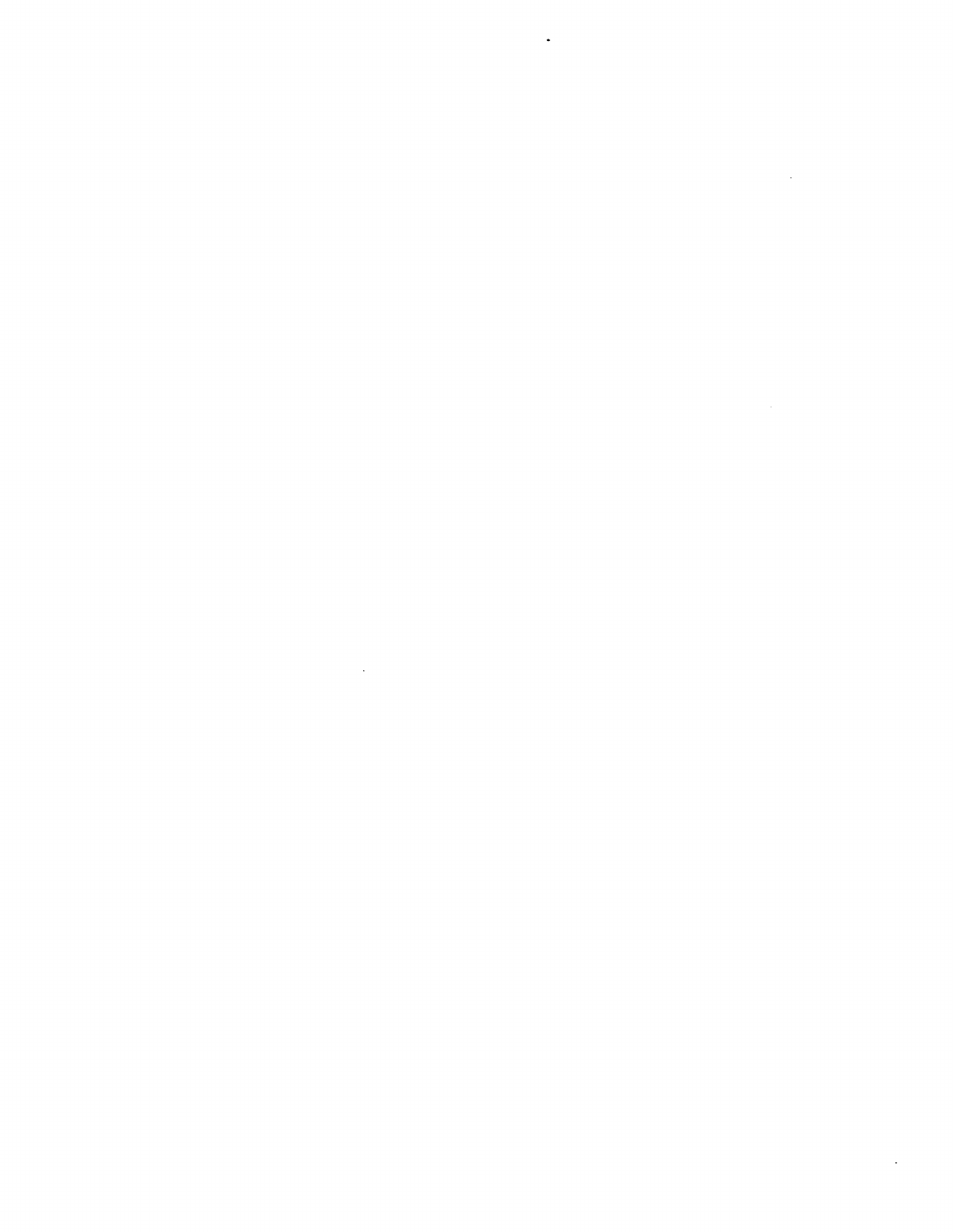$\label{eq:2.1} \frac{1}{\sqrt{2}}\int_{\mathbb{R}^3}\frac{1}{\sqrt{2}}\left(\frac{1}{\sqrt{2}}\right)^2\frac{1}{\sqrt{2}}\left(\frac{1}{\sqrt{2}}\right)^2\frac{1}{\sqrt{2}}\left(\frac{1}{\sqrt{2}}\right)^2\frac{1}{\sqrt{2}}\left(\frac{1}{\sqrt{2}}\right)^2.$ 

 $\mathcal{L}^{\text{max}}$ 

 $\label{eq:2.1} \frac{1}{\sqrt{2}}\int_{\mathbb{R}^3}\frac{1}{\sqrt{2}}\left(\frac{1}{\sqrt{2}}\right)^2\frac{1}{\sqrt{2}}\left(\frac{1}{\sqrt{2}}\right)^2\frac{1}{\sqrt{2}}\left(\frac{1}{\sqrt{2}}\right)^2\frac{1}{\sqrt{2}}\left(\frac{1}{\sqrt{2}}\right)^2.$ 

 $\sim 400$